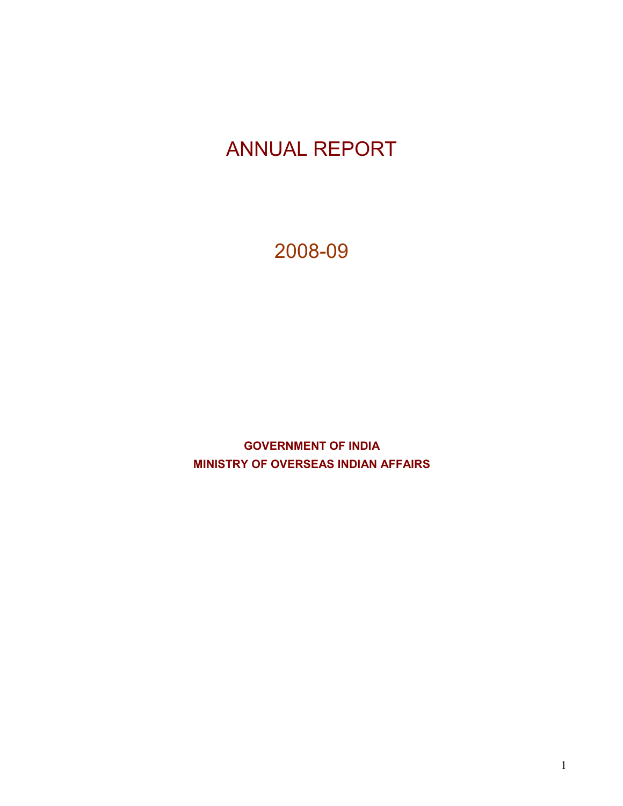# ANNUAL REPORT

2008-09

GOVERNMENT OF INDIA MINISTRY OF OVERSEAS INDIAN AFFAIRS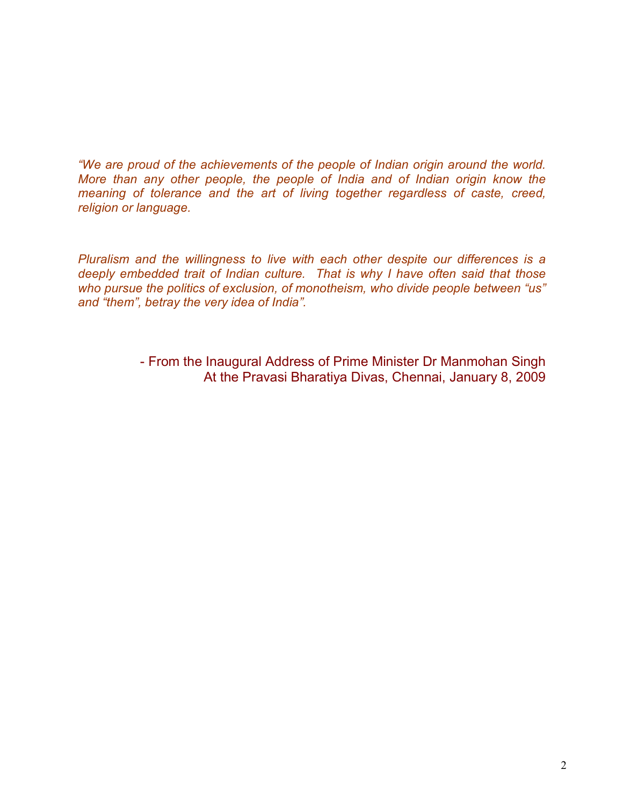"We are proud of the achievements of the people of Indian origin around the world. More than any other people, the people of India and of Indian origin know the meaning of tolerance and the art of living together regardless of caste, creed, religion or language.

Pluralism and the willingness to live with each other despite our differences is a deeply embedded trait of Indian culture. That is why I have often said that those who pursue the politics of exclusion, of monotheism, who divide people between "us" and "them", betray the very idea of India".

> - From the Inaugural Address of Prime Minister Dr Manmohan Singh At the Pravasi Bharatiya Divas, Chennai, January 8, 2009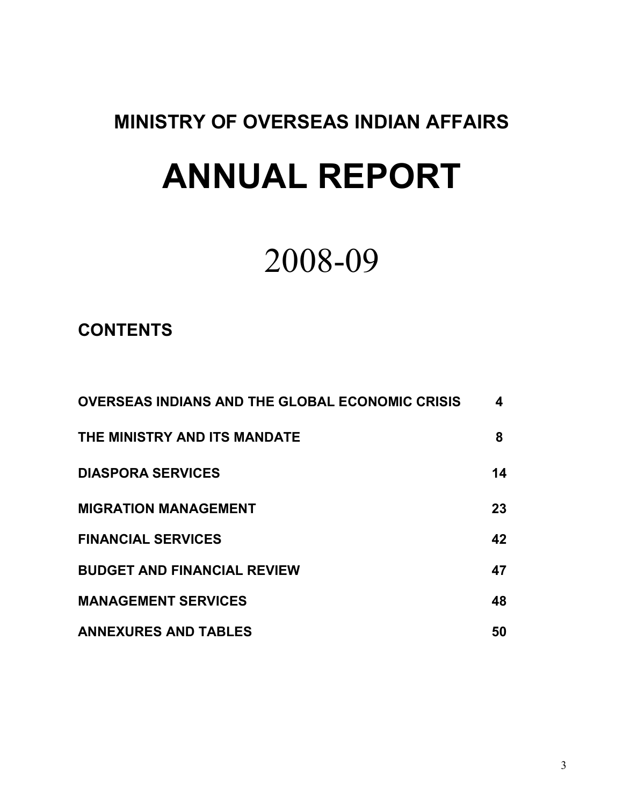# MINISTRY OF OVERSEAS INDIAN AFFAIRS

# ANNUAL REPORT

# 2008-09

# **CONTENTS**

| <b>OVERSEAS INDIANS AND THE GLOBAL ECONOMIC CRISIS</b> | 4  |
|--------------------------------------------------------|----|
| THE MINISTRY AND ITS MANDATE                           | 8  |
| <b>DIASPORA SERVICES</b>                               | 14 |
| <b>MIGRATION MANAGEMENT</b>                            | 23 |
| <b>FINANCIAL SERVICES</b>                              | 42 |
| <b>BUDGET AND FINANCIAL REVIEW</b>                     | 47 |
| <b>MANAGEMENT SERVICES</b>                             | 48 |
| <b>ANNEXURES AND TABLES</b>                            | 50 |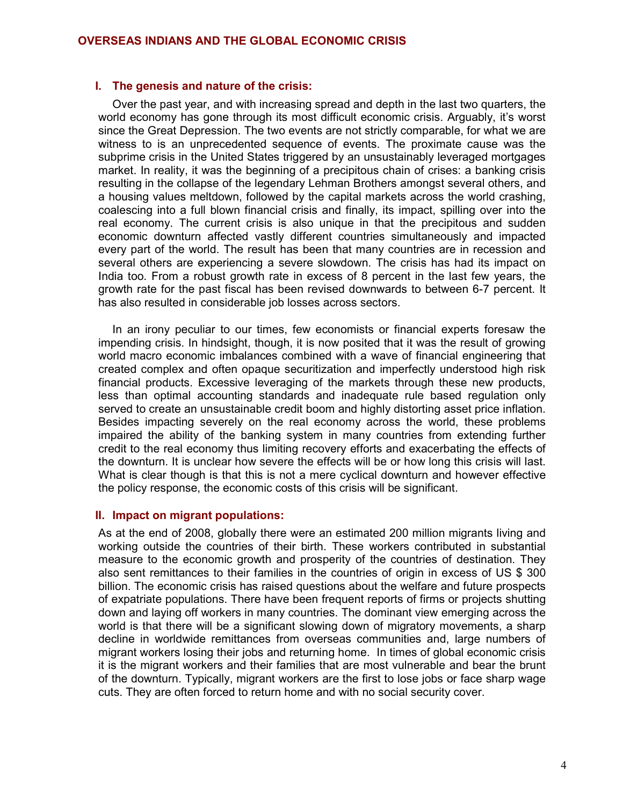#### I. The genesis and nature of the crisis:

Over the past year, and with increasing spread and depth in the last two quarters, the world economy has gone through its most difficult economic crisis. Arguably, it's worst since the Great Depression. The two events are not strictly comparable, for what we are witness to is an unprecedented sequence of events. The proximate cause was the subprime crisis in the United States triggered by an unsustainably leveraged mortgages market. In reality, it was the beginning of a precipitous chain of crises: a banking crisis resulting in the collapse of the legendary Lehman Brothers amongst several others, and a housing values meltdown, followed by the capital markets across the world crashing, coalescing into a full blown financial crisis and finally, its impact, spilling over into the real economy. The current crisis is also unique in that the precipitous and sudden economic downturn affected vastly different countries simultaneously and impacted every part of the world. The result has been that many countries are in recession and several others are experiencing a severe slowdown. The crisis has had its impact on India too. From a robust growth rate in excess of 8 percent in the last few years, the growth rate for the past fiscal has been revised downwards to between 6-7 percent. It has also resulted in considerable job losses across sectors.

In an irony peculiar to our times, few economists or financial experts foresaw the impending crisis. In hindsight, though, it is now posited that it was the result of growing world macro economic imbalances combined with a wave of financial engineering that created complex and often opaque securitization and imperfectly understood high risk financial products. Excessive leveraging of the markets through these new products, less than optimal accounting standards and inadequate rule based regulation only served to create an unsustainable credit boom and highly distorting asset price inflation. Besides impacting severely on the real economy across the world, these problems impaired the ability of the banking system in many countries from extending further credit to the real economy thus limiting recovery efforts and exacerbating the effects of the downturn. It is unclear how severe the effects will be or how long this crisis will last. What is clear though is that this is not a mere cyclical downturn and however effective the policy response, the economic costs of this crisis will be significant.

#### II. Impact on migrant populations:

As at the end of 2008, globally there were an estimated 200 million migrants living and working outside the countries of their birth. These workers contributed in substantial measure to the economic growth and prosperity of the countries of destination. They also sent remittances to their families in the countries of origin in excess of US \$ 300 billion. The economic crisis has raised questions about the welfare and future prospects of expatriate populations. There have been frequent reports of firms or projects shutting down and laying off workers in many countries. The dominant view emerging across the world is that there will be a significant slowing down of migratory movements, a sharp decline in worldwide remittances from overseas communities and, large numbers of migrant workers losing their jobs and returning home. In times of global economic crisis it is the migrant workers and their families that are most vulnerable and bear the brunt of the downturn. Typically, migrant workers are the first to lose jobs or face sharp wage cuts. They are often forced to return home and with no social security cover.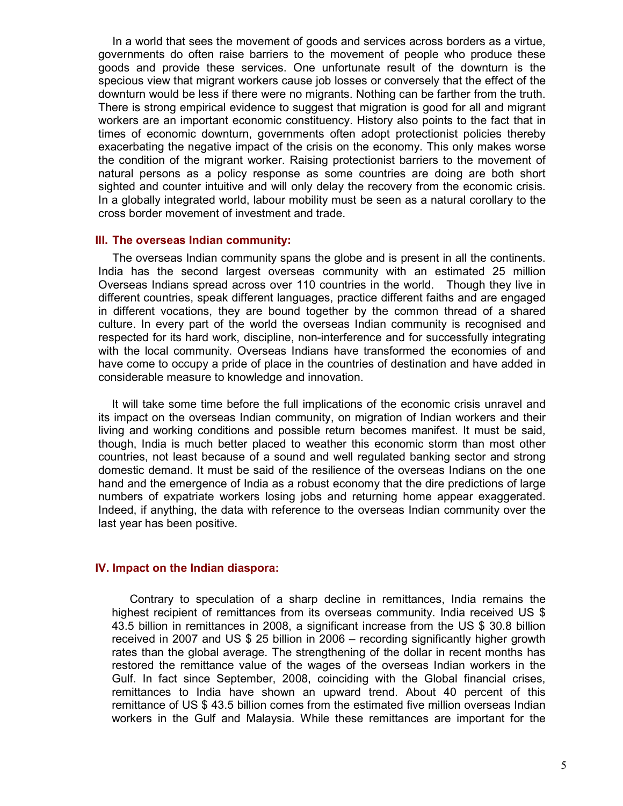In a world that sees the movement of goods and services across borders as a virtue, governments do often raise barriers to the movement of people who produce these goods and provide these services. One unfortunate result of the downturn is the specious view that migrant workers cause job losses or conversely that the effect of the downturn would be less if there were no migrants. Nothing can be farther from the truth. There is strong empirical evidence to suggest that migration is good for all and migrant workers are an important economic constituency. History also points to the fact that in times of economic downturn, governments often adopt protectionist policies thereby exacerbating the negative impact of the crisis on the economy. This only makes worse the condition of the migrant worker. Raising protectionist barriers to the movement of natural persons as a policy response as some countries are doing are both short sighted and counter intuitive and will only delay the recovery from the economic crisis. In a globally integrated world, labour mobility must be seen as a natural corollary to the cross border movement of investment and trade.

#### III. The overseas Indian community:

The overseas Indian community spans the globe and is present in all the continents. India has the second largest overseas community with an estimated 25 million Overseas Indians spread across over 110 countries in the world. Though they live in different countries, speak different languages, practice different faiths and are engaged in different vocations, they are bound together by the common thread of a shared culture. In every part of the world the overseas Indian community is recognised and respected for its hard work, discipline, non-interference and for successfully integrating with the local community. Overseas Indians have transformed the economies of and have come to occupy a pride of place in the countries of destination and have added in considerable measure to knowledge and innovation.

It will take some time before the full implications of the economic crisis unravel and its impact on the overseas Indian community, on migration of Indian workers and their living and working conditions and possible return becomes manifest. It must be said, though, India is much better placed to weather this economic storm than most other countries, not least because of a sound and well regulated banking sector and strong domestic demand. It must be said of the resilience of the overseas Indians on the one hand and the emergence of India as a robust economy that the dire predictions of large numbers of expatriate workers losing jobs and returning home appear exaggerated. Indeed, if anything, the data with reference to the overseas Indian community over the last year has been positive.

#### IV. Impact on the Indian diaspora:

Contrary to speculation of a sharp decline in remittances, India remains the highest recipient of remittances from its overseas community. India received US \$ 43.5 billion in remittances in 2008, a significant increase from the US \$ 30.8 billion received in 2007 and US \$ 25 billion in 2006 – recording significantly higher growth rates than the global average. The strengthening of the dollar in recent months has restored the remittance value of the wages of the overseas Indian workers in the Gulf. In fact since September, 2008, coinciding with the Global financial crises, remittances to India have shown an upward trend. About 40 percent of this remittance of US \$ 43.5 billion comes from the estimated five million overseas Indian workers in the Gulf and Malaysia. While these remittances are important for the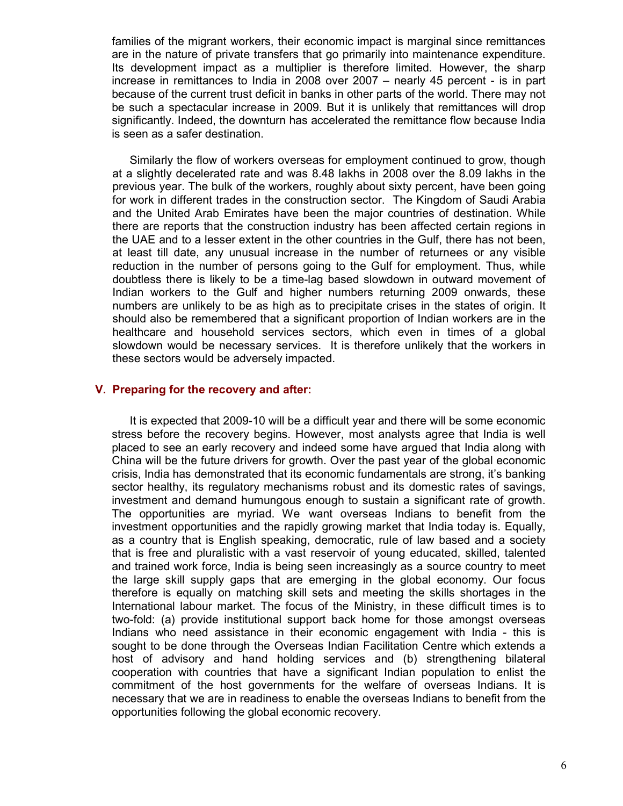families of the migrant workers, their economic impact is marginal since remittances are in the nature of private transfers that go primarily into maintenance expenditure. Its development impact as a multiplier is therefore limited. However, the sharp increase in remittances to India in 2008 over 2007 – nearly 45 percent - is in part because of the current trust deficit in banks in other parts of the world. There may not be such a spectacular increase in 2009. But it is unlikely that remittances will drop significantly. Indeed, the downturn has accelerated the remittance flow because India is seen as a safer destination.

Similarly the flow of workers overseas for employment continued to grow, though at a slightly decelerated rate and was 8.48 lakhs in 2008 over the 8.09 lakhs in the previous year. The bulk of the workers, roughly about sixty percent, have been going for work in different trades in the construction sector. The Kingdom of Saudi Arabia and the United Arab Emirates have been the major countries of destination. While there are reports that the construction industry has been affected certain regions in the UAE and to a lesser extent in the other countries in the Gulf, there has not been, at least till date, any unusual increase in the number of returnees or any visible reduction in the number of persons going to the Gulf for employment. Thus, while doubtless there is likely to be a time-lag based slowdown in outward movement of Indian workers to the Gulf and higher numbers returning 2009 onwards, these numbers are unlikely to be as high as to precipitate crises in the states of origin. It should also be remembered that a significant proportion of Indian workers are in the healthcare and household services sectors, which even in times of a global slowdown would be necessary services. It is therefore unlikely that the workers in these sectors would be adversely impacted.

#### V. Preparing for the recovery and after:

It is expected that 2009-10 will be a difficult year and there will be some economic stress before the recovery begins. However, most analysts agree that India is well placed to see an early recovery and indeed some have argued that India along with China will be the future drivers for growth. Over the past year of the global economic crisis, India has demonstrated that its economic fundamentals are strong, it's banking sector healthy, its regulatory mechanisms robust and its domestic rates of savings, investment and demand humungous enough to sustain a significant rate of growth. The opportunities are myriad. We want overseas Indians to benefit from the investment opportunities and the rapidly growing market that India today is. Equally, as a country that is English speaking, democratic, rule of law based and a society that is free and pluralistic with a vast reservoir of young educated, skilled, talented and trained work force, India is being seen increasingly as a source country to meet the large skill supply gaps that are emerging in the global economy. Our focus therefore is equally on matching skill sets and meeting the skills shortages in the International labour market. The focus of the Ministry, in these difficult times is to two-fold: (a) provide institutional support back home for those amongst overseas Indians who need assistance in their economic engagement with India - this is sought to be done through the Overseas Indian Facilitation Centre which extends a host of advisory and hand holding services and (b) strengthening bilateral cooperation with countries that have a significant Indian population to enlist the commitment of the host governments for the welfare of overseas Indians. It is necessary that we are in readiness to enable the overseas Indians to benefit from the opportunities following the global economic recovery.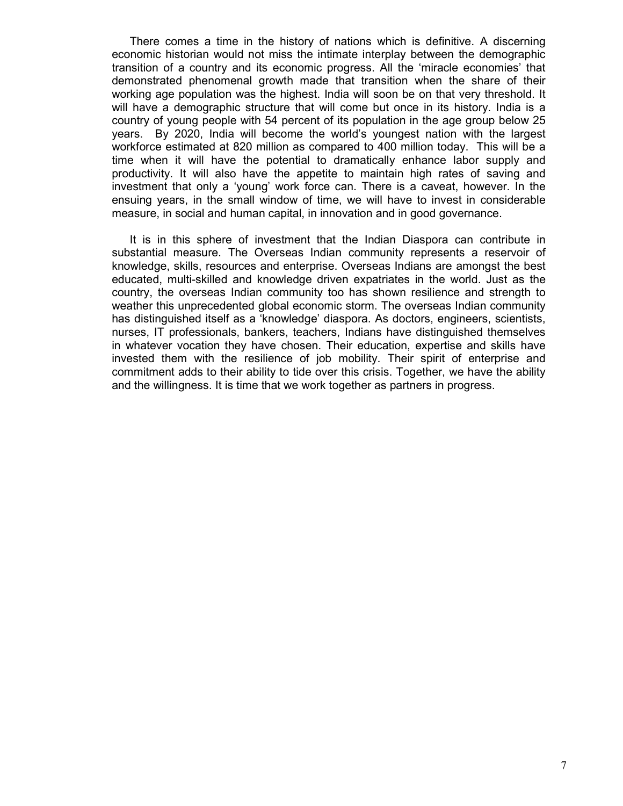There comes a time in the history of nations which is definitive. A discerning economic historian would not miss the intimate interplay between the demographic transition of a country and its economic progress. All the 'miracle economies' that demonstrated phenomenal growth made that transition when the share of their working age population was the highest. India will soon be on that very threshold. It will have a demographic structure that will come but once in its history. India is a country of young people with 54 percent of its population in the age group below 25 years. By 2020, India will become the world's youngest nation with the largest workforce estimated at 820 million as compared to 400 million today. This will be a time when it will have the potential to dramatically enhance labor supply and productivity. It will also have the appetite to maintain high rates of saving and investment that only a 'young' work force can. There is a caveat, however. In the ensuing years, in the small window of time, we will have to invest in considerable measure, in social and human capital, in innovation and in good governance.

It is in this sphere of investment that the Indian Diaspora can contribute in substantial measure. The Overseas Indian community represents a reservoir of knowledge, skills, resources and enterprise. Overseas Indians are amongst the best educated, multi-skilled and knowledge driven expatriates in the world. Just as the country, the overseas Indian community too has shown resilience and strength to weather this unprecedented global economic storm. The overseas Indian community has distinguished itself as a 'knowledge' diaspora. As doctors, engineers, scientists, nurses, IT professionals, bankers, teachers, Indians have distinguished themselves in whatever vocation they have chosen. Their education, expertise and skills have invested them with the resilience of job mobility. Their spirit of enterprise and commitment adds to their ability to tide over this crisis. Together, we have the ability and the willingness. It is time that we work together as partners in progress.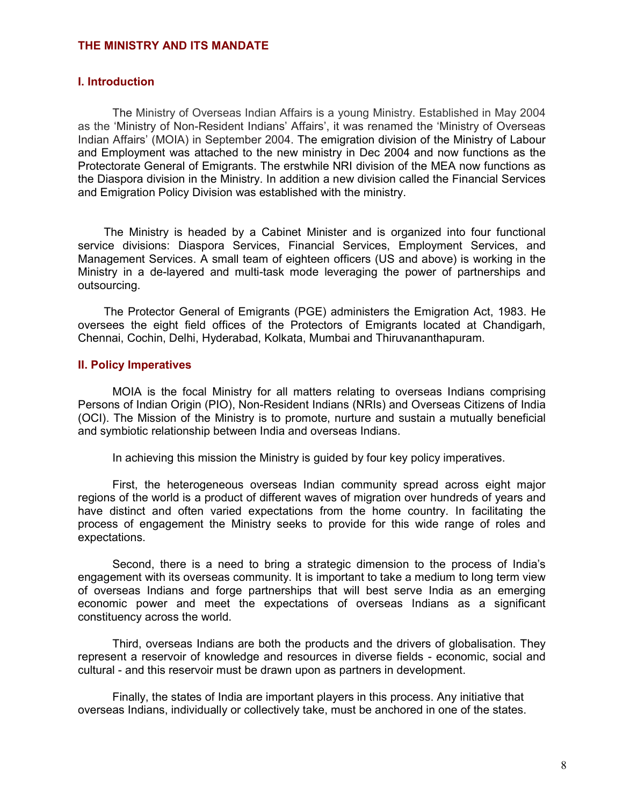#### THE MINISTRY AND ITS MANDATE

#### I. Introduction

The Ministry of Overseas Indian Affairs is a young Ministry. Established in May 2004 as the 'Ministry of Non-Resident Indians' Affairs', it was renamed the 'Ministry of Overseas Indian Affairs' (MOIA) in September 2004. The emigration division of the Ministry of Labour and Employment was attached to the new ministry in Dec 2004 and now functions as the Protectorate General of Emigrants. The erstwhile NRI division of the MEA now functions as the Diaspora division in the Ministry. In addition a new division called the Financial Services and Emigration Policy Division was established with the ministry.

The Ministry is headed by a Cabinet Minister and is organized into four functional service divisions: Diaspora Services, Financial Services, Employment Services, and Management Services. A small team of eighteen officers (US and above) is working in the Ministry in a de-layered and multi-task mode leveraging the power of partnerships and outsourcing.

The Protector General of Emigrants (PGE) administers the Emigration Act, 1983. He oversees the eight field offices of the Protectors of Emigrants located at Chandigarh, Chennai, Cochin, Delhi, Hyderabad, Kolkata, Mumbai and Thiruvananthapuram.

#### II. Policy Imperatives

MOIA is the focal Ministry for all matters relating to overseas Indians comprising Persons of Indian Origin (PIO), Non-Resident Indians (NRIs) and Overseas Citizens of India (OCI). The Mission of the Ministry is to promote, nurture and sustain a mutually beneficial and symbiotic relationship between India and overseas Indians.

In achieving this mission the Ministry is guided by four key policy imperatives.

First, the heterogeneous overseas Indian community spread across eight major regions of the world is a product of different waves of migration over hundreds of years and have distinct and often varied expectations from the home country. In facilitating the process of engagement the Ministry seeks to provide for this wide range of roles and expectations.

Second, there is a need to bring a strategic dimension to the process of India's engagement with its overseas community. It is important to take a medium to long term view of overseas Indians and forge partnerships that will best serve India as an emerging economic power and meet the expectations of overseas Indians as a significant constituency across the world.

Third, overseas Indians are both the products and the drivers of globalisation. They represent a reservoir of knowledge and resources in diverse fields - economic, social and cultural - and this reservoir must be drawn upon as partners in development.

Finally, the states of India are important players in this process. Any initiative that overseas Indians, individually or collectively take, must be anchored in one of the states.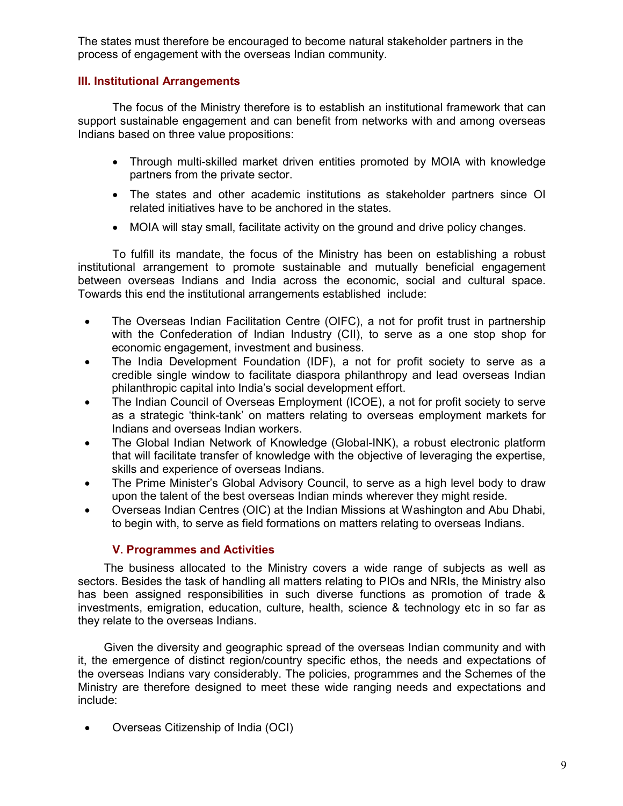The states must therefore be encouraged to become natural stakeholder partners in the process of engagement with the overseas Indian community.

## III. Institutional Arrangements

The focus of the Ministry therefore is to establish an institutional framework that can support sustainable engagement and can benefit from networks with and among overseas Indians based on three value propositions:

- Through multi-skilled market driven entities promoted by MOIA with knowledge partners from the private sector.
- The states and other academic institutions as stakeholder partners since OI related initiatives have to be anchored in the states.
- MOIA will stay small, facilitate activity on the ground and drive policy changes.

 To fulfill its mandate, the focus of the Ministry has been on establishing a robust institutional arrangement to promote sustainable and mutually beneficial engagement between overseas Indians and India across the economic, social and cultural space. Towards this end the institutional arrangements established include:

- The Overseas Indian Facilitation Centre (OIFC), a not for profit trust in partnership with the Confederation of Indian Industry (CII), to serve as a one stop shop for economic engagement, investment and business.
- The India Development Foundation (IDF), a not for profit society to serve as a credible single window to facilitate diaspora philanthropy and lead overseas Indian philanthropic capital into India's social development effort.
- The Indian Council of Overseas Employment (ICOE), a not for profit society to serve as a strategic 'think-tank' on matters relating to overseas employment markets for Indians and overseas Indian workers.
- The Global Indian Network of Knowledge (Global-INK), a robust electronic platform that will facilitate transfer of knowledge with the objective of leveraging the expertise, skills and experience of overseas Indians.
- The Prime Minister's Global Advisory Council, to serve as a high level body to draw upon the talent of the best overseas Indian minds wherever they might reside.
- Overseas Indian Centres (OIC) at the Indian Missions at Washington and Abu Dhabi, to begin with, to serve as field formations on matters relating to overseas Indians.

## V. Programmes and Activities

The business allocated to the Ministry covers a wide range of subjects as well as sectors. Besides the task of handling all matters relating to PIOs and NRIs, the Ministry also has been assigned responsibilities in such diverse functions as promotion of trade & investments, emigration, education, culture, health, science & technology etc in so far as they relate to the overseas Indians.

Given the diversity and geographic spread of the overseas Indian community and with it, the emergence of distinct region/country specific ethos, the needs and expectations of the overseas Indians vary considerably. The policies, programmes and the Schemes of the Ministry are therefore designed to meet these wide ranging needs and expectations and include:

• Overseas Citizenship of India (OCI)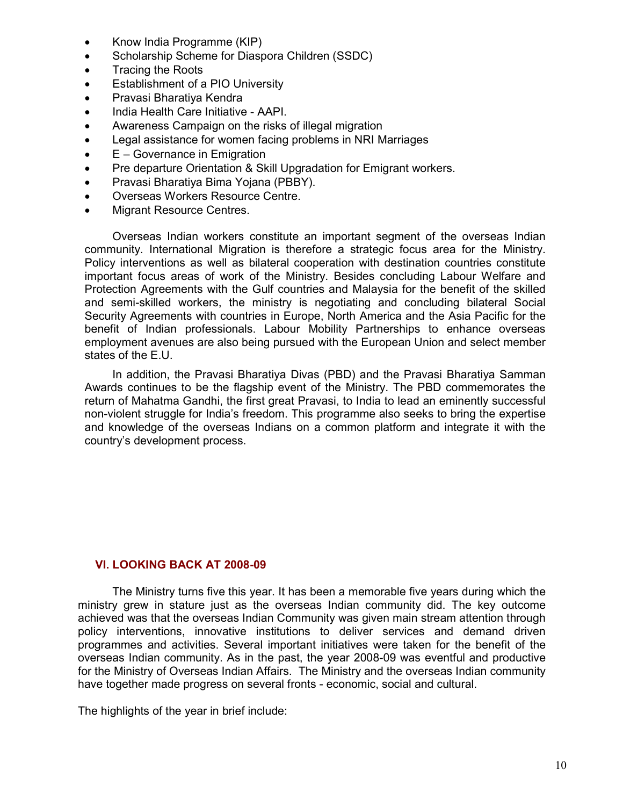- Know India Programme (KIP)
- Scholarship Scheme for Diaspora Children (SSDC)
- Tracing the Roots
- Establishment of a PIO University
- Pravasi Bharatiya Kendra
- India Health Care Initiative AAPI.
- Awareness Campaign on the risks of illegal migration
- Legal assistance for women facing problems in NRI Marriages
- E Governance in Emigration
- Pre departure Orientation & Skill Upgradation for Emigrant workers.
- Pravasi Bharatiya Bima Yojana (PBBY).
- Overseas Workers Resource Centre.
- **Migrant Resource Centres.**

Overseas Indian workers constitute an important segment of the overseas Indian community. International Migration is therefore a strategic focus area for the Ministry. Policy interventions as well as bilateral cooperation with destination countries constitute important focus areas of work of the Ministry. Besides concluding Labour Welfare and Protection Agreements with the Gulf countries and Malaysia for the benefit of the skilled and semi-skilled workers, the ministry is negotiating and concluding bilateral Social Security Agreements with countries in Europe, North America and the Asia Pacific for the benefit of Indian professionals. Labour Mobility Partnerships to enhance overseas employment avenues are also being pursued with the European Union and select member states of the E.U.

In addition, the Pravasi Bharatiya Divas (PBD) and the Pravasi Bharatiya Samman Awards continues to be the flagship event of the Ministry. The PBD commemorates the return of Mahatma Gandhi, the first great Pravasi, to India to lead an eminently successful non-violent struggle for India's freedom. This programme also seeks to bring the expertise and knowledge of the overseas Indians on a common platform and integrate it with the country's development process.

#### VI. LOOKING BACK AT 2008-09

The Ministry turns five this year. It has been a memorable five years during which the ministry grew in stature just as the overseas Indian community did. The key outcome achieved was that the overseas Indian Community was given main stream attention through policy interventions, innovative institutions to deliver services and demand driven programmes and activities. Several important initiatives were taken for the benefit of the overseas Indian community. As in the past, the year 2008-09 was eventful and productive for the Ministry of Overseas Indian Affairs. The Ministry and the overseas Indian community have together made progress on several fronts - economic, social and cultural.

The highlights of the year in brief include: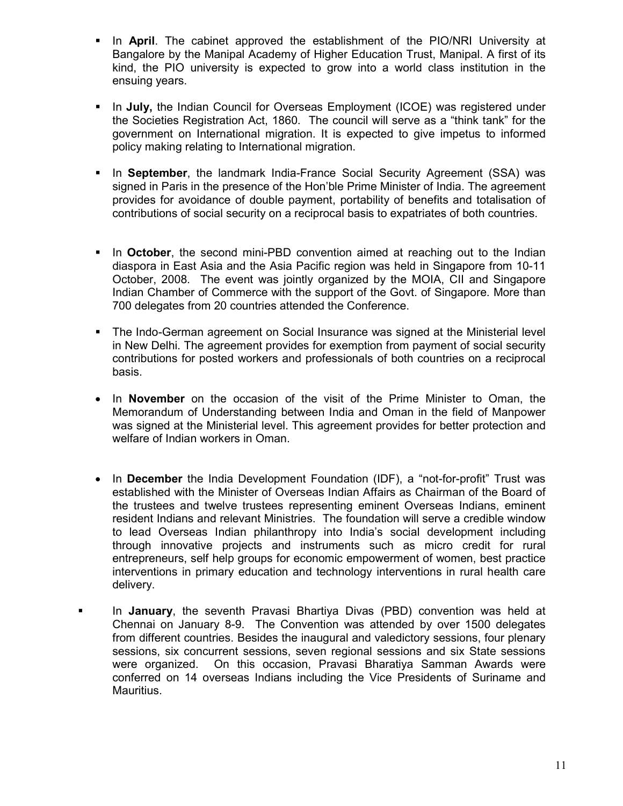- In **April**. The cabinet approved the establishment of the PIO/NRI University at Bangalore by the Manipal Academy of Higher Education Trust, Manipal. A first of its kind, the PIO university is expected to grow into a world class institution in the ensuing years.
- In July, the Indian Council for Overseas Employment (ICOE) was registered under the Societies Registration Act, 1860. The council will serve as a "think tank" for the government on International migration. It is expected to give impetus to informed policy making relating to International migration.
- In September, the landmark India-France Social Security Agreement (SSA) was signed in Paris in the presence of the Hon'ble Prime Minister of India. The agreement provides for avoidance of double payment, portability of benefits and totalisation of contributions of social security on a reciprocal basis to expatriates of both countries.
- In October, the second mini-PBD convention aimed at reaching out to the Indian diaspora in East Asia and the Asia Pacific region was held in Singapore from 10-11 October, 2008. The event was jointly organized by the MOIA, CII and Singapore Indian Chamber of Commerce with the support of the Govt. of Singapore. More than 700 delegates from 20 countries attended the Conference.
- The Indo-German agreement on Social Insurance was signed at the Ministerial level in New Delhi. The agreement provides for exemption from payment of social security contributions for posted workers and professionals of both countries on a reciprocal basis.
- In November on the occasion of the visit of the Prime Minister to Oman, the Memorandum of Understanding between India and Oman in the field of Manpower was signed at the Ministerial level. This agreement provides for better protection and welfare of Indian workers in Oman.
- In December the India Development Foundation (IDF), a "not-for-profit" Trust was established with the Minister of Overseas Indian Affairs as Chairman of the Board of the trustees and twelve trustees representing eminent Overseas Indians, eminent resident Indians and relevant Ministries. The foundation will serve a credible window to lead Overseas Indian philanthropy into India's social development including through innovative projects and instruments such as micro credit for rural entrepreneurs, self help groups for economic empowerment of women, best practice interventions in primary education and technology interventions in rural health care delivery.
- In January, the seventh Pravasi Bhartiya Divas (PBD) convention was held at Chennai on January 8-9. The Convention was attended by over 1500 delegates from different countries. Besides the inaugural and valedictory sessions, four plenary sessions, six concurrent sessions, seven regional sessions and six State sessions were organized. On this occasion, Pravasi Bharatiya Samman Awards were conferred on 14 overseas Indians including the Vice Presidents of Suriname and Mauritius.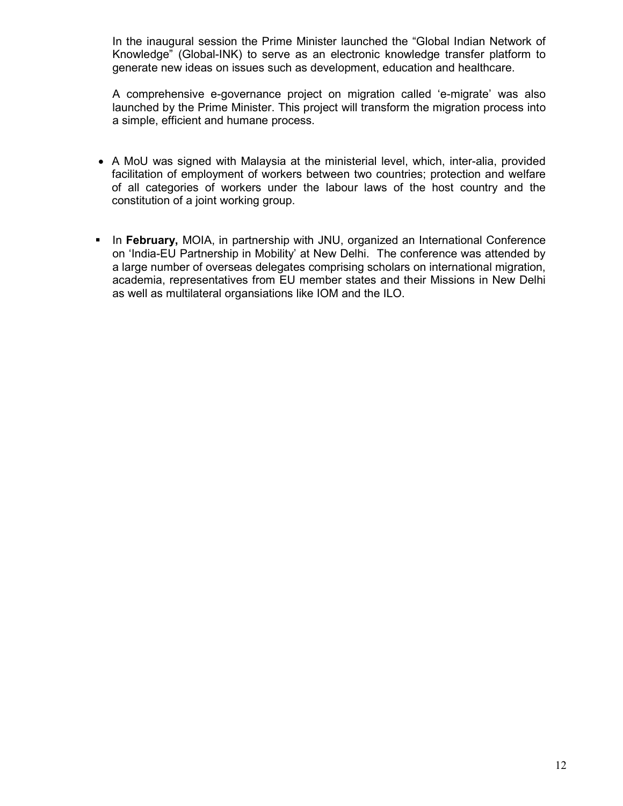In the inaugural session the Prime Minister launched the "Global Indian Network of Knowledge" (Global-INK) to serve as an electronic knowledge transfer platform to generate new ideas on issues such as development, education and healthcare.

A comprehensive e-governance project on migration called 'e-migrate' was also launched by the Prime Minister. This project will transform the migration process into a simple, efficient and humane process.

- A MoU was signed with Malaysia at the ministerial level, which, inter-alia, provided facilitation of employment of workers between two countries; protection and welfare of all categories of workers under the labour laws of the host country and the constitution of a joint working group.
- In February, MOIA, in partnership with JNU, organized an International Conference on 'India-EU Partnership in Mobility' at New Delhi. The conference was attended by a large number of overseas delegates comprising scholars on international migration, academia, representatives from EU member states and their Missions in New Delhi as well as multilateral organsiations like IOM and the ILO.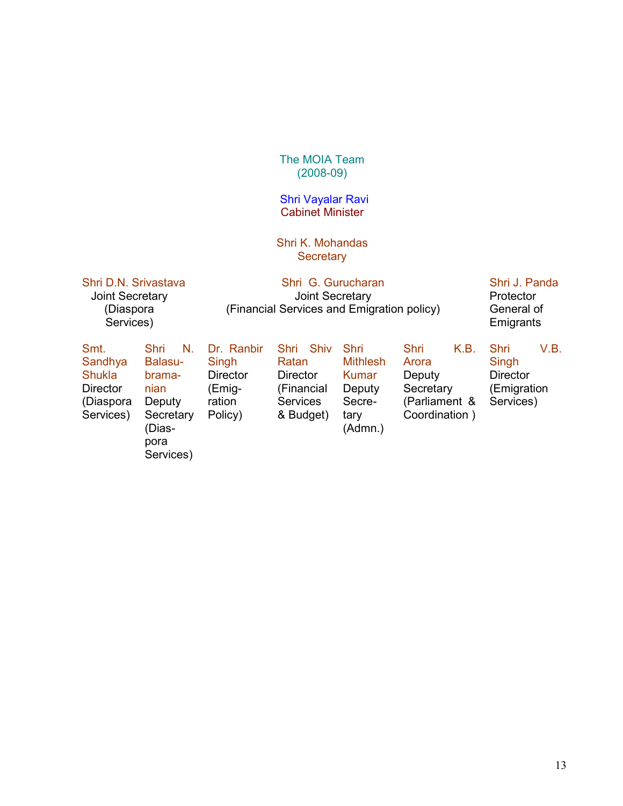#### The MOIA Team (2008-09)

#### Shri Vayalar Ravi Cabinet Minister

#### Shri K. Mohandas **Secretary**

#### Shri D.N. Srivastava Joint Secretary (Diaspora Services)

Shri G. Gurucharan Joint Secretary (Financial Services and Emigration policy)

### Shri J. Panda **Protector** General of **Emigrants**

| Smt.<br>Sandhya<br><b>Shukla</b><br><b>Director</b><br>(Diaspora<br>Services) | Shri<br>N.<br>Balasu-<br>brama-<br>nian<br>Deputy<br>Secretary<br>(Dias-<br>pora | Dr. Ranbir<br>Singh<br><b>Director</b><br>(Emig-<br>ration<br>Policy) | Shiv<br>Shri<br>Ratan<br><b>Director</b><br>(Financial<br><b>Services</b><br>& Budget) | Shri<br><b>Mithlesh</b><br>Kumar<br>Deputy<br>Secre-<br>tary<br>(Admn.) | <b>Shri</b><br>K.B.<br>Arora<br>Deputy<br>Secretary<br>(Parliament &<br>Coordination) | V.B.<br>Shri<br>Singh<br><b>Director</b><br>(Emigration)<br>Services) |
|-------------------------------------------------------------------------------|----------------------------------------------------------------------------------|-----------------------------------------------------------------------|----------------------------------------------------------------------------------------|-------------------------------------------------------------------------|---------------------------------------------------------------------------------------|-----------------------------------------------------------------------|
|                                                                               | Services)                                                                        |                                                                       |                                                                                        |                                                                         |                                                                                       |                                                                       |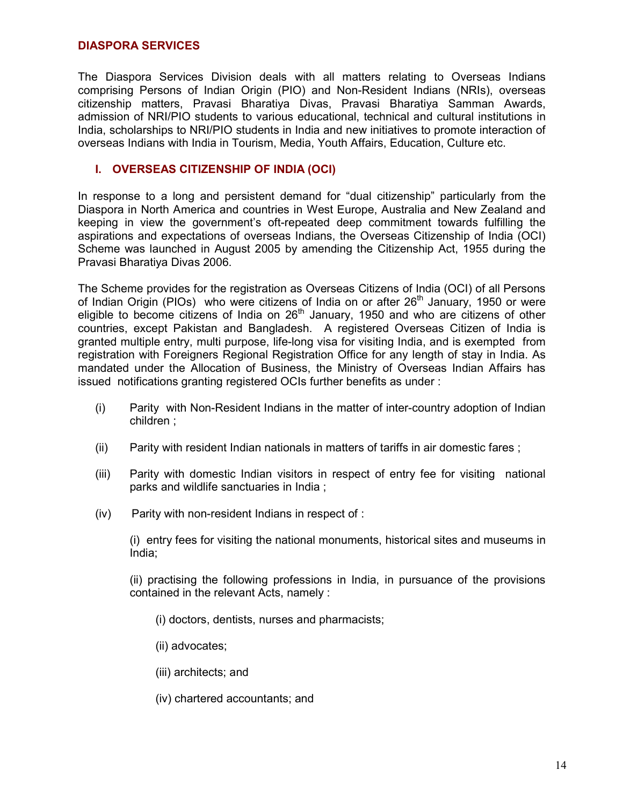#### DIASPORA SERVICES

The Diaspora Services Division deals with all matters relating to Overseas Indians comprising Persons of Indian Origin (PIO) and Non-Resident Indians (NRIs), overseas citizenship matters, Pravasi Bharatiya Divas, Pravasi Bharatiya Samman Awards, admission of NRI/PIO students to various educational, technical and cultural institutions in India, scholarships to NRI/PIO students in India and new initiatives to promote interaction of overseas Indians with India in Tourism, Media, Youth Affairs, Education, Culture etc.

#### I. OVERSEAS CITIZENSHIP OF INDIA (OCI)

In response to a long and persistent demand for "dual citizenship" particularly from the Diaspora in North America and countries in West Europe, Australia and New Zealand and keeping in view the government's oft-repeated deep commitment towards fulfilling the aspirations and expectations of overseas Indians, the Overseas Citizenship of India (OCI) Scheme was launched in August 2005 by amending the Citizenship Act, 1955 during the Pravasi Bharatiya Divas 2006.

The Scheme provides for the registration as Overseas Citizens of India (OCI) of all Persons of Indian Origin (PIOs) who were citizens of India on or after  $26<sup>th</sup>$  January, 1950 or were eligible to become citizens of India on 26<sup>th</sup> January, 1950 and who are citizens of other countries, except Pakistan and Bangladesh. A registered Overseas Citizen of India is granted multiple entry, multi purpose, life-long visa for visiting India, and is exempted from registration with Foreigners Regional Registration Office for any length of stay in India. As mandated under the Allocation of Business, the Ministry of Overseas Indian Affairs has issued notifications granting registered OCIs further benefits as under :

- (i) Parity with Non-Resident Indians in the matter of inter-country adoption of Indian children ;
- (ii) Parity with resident Indian nationals in matters of tariffs in air domestic fares ;
- (iii) Parity with domestic Indian visitors in respect of entry fee for visiting national parks and wildlife sanctuaries in India ;
- (iv) Parity with non-resident Indians in respect of :

(i) entry fees for visiting the national monuments, historical sites and museums in India;

(ii) practising the following professions in India, in pursuance of the provisions contained in the relevant Acts, namely :

- (i) doctors, dentists, nurses and pharmacists;
- (ii) advocates;
- (iii) architects; and
- (iv) chartered accountants; and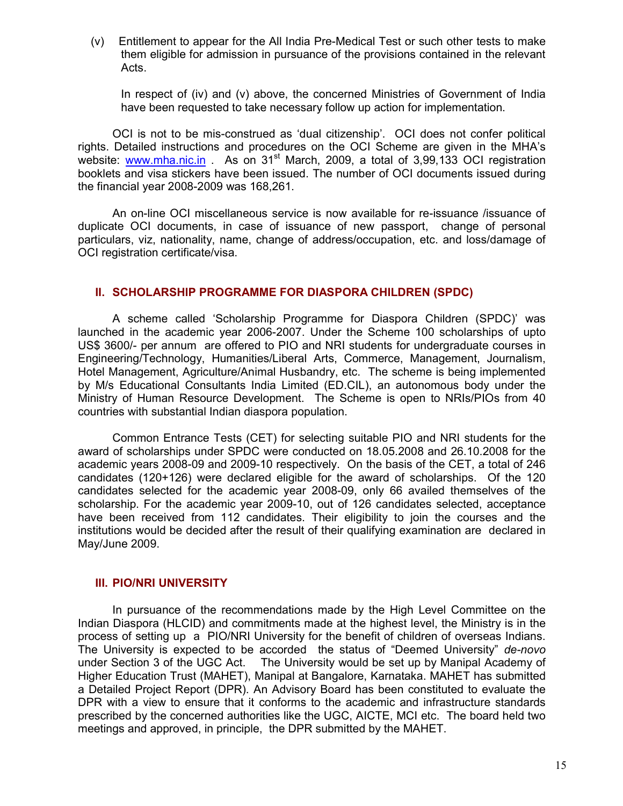(v) Entitlement to appear for the All India Pre-Medical Test or such other tests to make them eligible for admission in pursuance of the provisions contained in the relevant Acts.

 In respect of (iv) and (v) above, the concerned Ministries of Government of India have been requested to take necessary follow up action for implementation.

OCI is not to be mis-construed as 'dual citizenship'. OCI does not confer political rights. Detailed instructions and procedures on the OCI Scheme are given in the MHA's website: www.mha.nic.in . As on 31<sup>st</sup> March, 2009, a total of 3,99,133 OCI registration booklets and visa stickers have been issued. The number of OCI documents issued during the financial year 2008-2009 was 168,261.

An on-line OCI miscellaneous service is now available for re-issuance /issuance of duplicate OCI documents, in case of issuance of new passport, change of personal particulars, viz, nationality, name, change of address/occupation, etc. and loss/damage of OCI registration certificate/visa.

#### II. SCHOLARSHIP PROGRAMME FOR DIASPORA CHILDREN (SPDC)

 A scheme called 'Scholarship Programme for Diaspora Children (SPDC)' was launched in the academic year 2006-2007. Under the Scheme 100 scholarships of upto US\$ 3600/- per annum are offered to PIO and NRI students for undergraduate courses in Engineering/Technology, Humanities/Liberal Arts, Commerce, Management, Journalism, Hotel Management, Agriculture/Animal Husbandry, etc. The scheme is being implemented by M/s Educational Consultants India Limited (ED.CIL), an autonomous body under the Ministry of Human Resource Development. The Scheme is open to NRIs/PIOs from 40 countries with substantial Indian diaspora population.

Common Entrance Tests (CET) for selecting suitable PIO and NRI students for the award of scholarships under SPDC were conducted on 18.05.2008 and 26.10.2008 for the academic years 2008-09 and 2009-10 respectively. On the basis of the CET, a total of 246 candidates (120+126) were declared eligible for the award of scholarships. Of the 120 candidates selected for the academic year 2008-09, only 66 availed themselves of the scholarship. For the academic year 2009-10, out of 126 candidates selected, acceptance have been received from 112 candidates. Their eligibility to join the courses and the institutions would be decided after the result of their qualifying examination are declared in May/June 2009.

#### III. PIO/NRI UNIVERSITY

 In pursuance of the recommendations made by the High Level Committee on the Indian Diaspora (HLCID) and commitments made at the highest level, the Ministry is in the process of setting up a PIO/NRI University for the benefit of children of overseas Indians. The University is expected to be accorded the status of "Deemed University" de-novo under Section 3 of the UGC Act. The University would be set up by Manipal Academy of Higher Education Trust (MAHET), Manipal at Bangalore, Karnataka. MAHET has submitted a Detailed Project Report (DPR). An Advisory Board has been constituted to evaluate the DPR with a view to ensure that it conforms to the academic and infrastructure standards prescribed by the concerned authorities like the UGC, AICTE, MCI etc. The board held two meetings and approved, in principle, the DPR submitted by the MAHET.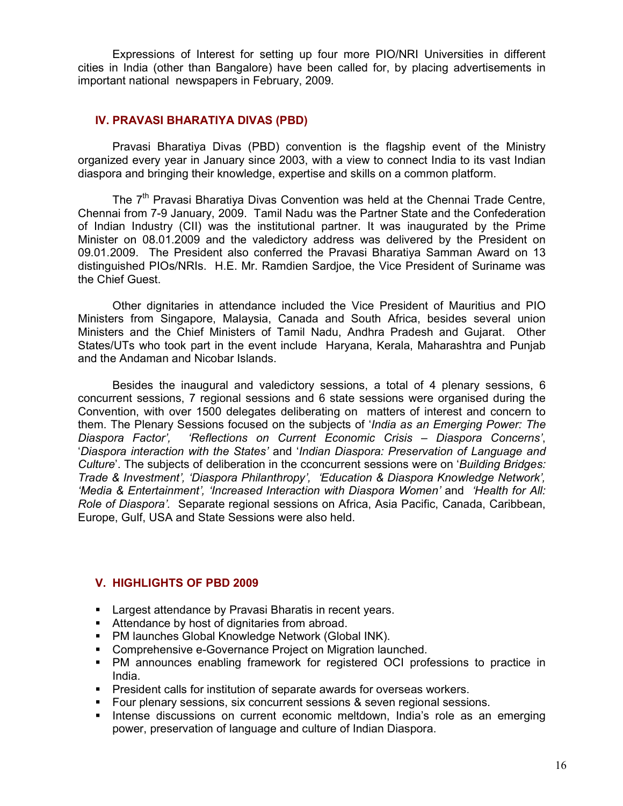Expressions of Interest for setting up four more PIO/NRI Universities in different cities in India (other than Bangalore) have been called for, by placing advertisements in important national newspapers in February, 2009.

#### IV. PRAVASI BHARATIYA DIVAS (PBD)

 Pravasi Bharatiya Divas (PBD) convention is the flagship event of the Ministry organized every year in January since 2003, with a view to connect India to its vast Indian diaspora and bringing their knowledge, expertise and skills on a common platform.

The  $7<sup>th</sup>$  Pravasi Bharatiya Divas Convention was held at the Chennai Trade Centre, Chennai from 7-9 January, 2009. Tamil Nadu was the Partner State and the Confederation of Indian Industry (CII) was the institutional partner. It was inaugurated by the Prime Minister on 08.01.2009 and the valedictory address was delivered by the President on 09.01.2009. The President also conferred the Pravasi Bharatiya Samman Award on 13 distinguished PIOs/NRIs. H.E. Mr. Ramdien Sardjoe, the Vice President of Suriname was the Chief Guest.

Other dignitaries in attendance included the Vice President of Mauritius and PIO Ministers from Singapore, Malaysia, Canada and South Africa, besides several union Ministers and the Chief Ministers of Tamil Nadu, Andhra Pradesh and Gujarat. Other States/UTs who took part in the event include Haryana, Kerala, Maharashtra and Punjab and the Andaman and Nicobar Islands.

Besides the inaugural and valedictory sessions, a total of 4 plenary sessions, 6 concurrent sessions, 7 regional sessions and 6 state sessions were organised during the Convention, with over 1500 delegates deliberating on matters of interest and concern to them. The Plenary Sessions focused on the subjects of 'India as an Emerging Power: The Diaspora Concerns', the Diaspora Concerns', 'Reflections on Current Economic Crisis – Diaspora Concerns', 'Diaspora interaction with the States' and 'Indian Diaspora: Preservation of Language and Culture'. The subjects of deliberation in the cconcurrent sessions were on 'Building Bridges: Trade & Investment', 'Diaspora Philanthropy', 'Education & Diaspora Knowledge Network', 'Media & Entertainment', 'Increased Interaction with Diaspora Women' and 'Health for All: Role of Diaspora'. Separate regional sessions on Africa, Asia Pacific, Canada, Caribbean, Europe, Gulf, USA and State Sessions were also held.

#### V. HIGHLIGHTS OF PBD 2009

- **Largest attendance by Pravasi Bharatis in recent years.**
- Attendance by host of dignitaries from abroad.
- PM launches Global Knowledge Network (Global INK).
- **Comprehensive e-Governance Project on Migration launched.**
- PM announces enabling framework for registered OCI professions to practice in India.
- **President calls for institution of separate awards for overseas workers.**
- Four plenary sessions, six concurrent sessions & seven regional sessions.
- **Intense discussions on current economic meltdown, India's role as an emerging** power, preservation of language and culture of Indian Diaspora.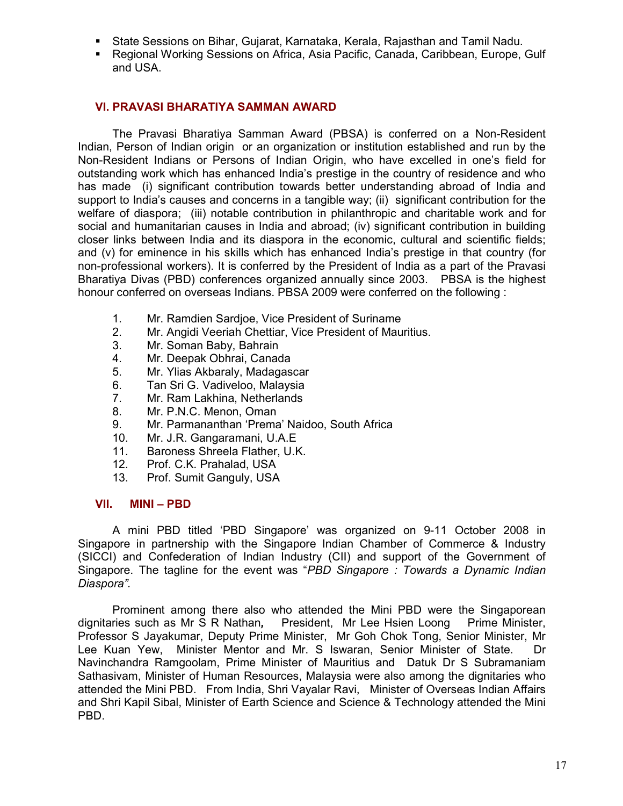- State Sessions on Bihar, Gujarat, Karnataka, Kerala, Rajasthan and Tamil Nadu.
- Regional Working Sessions on Africa, Asia Pacific, Canada, Caribbean, Europe, Gulf and USA.

#### VI. PRAVASI BHARATIYA SAMMAN AWARD

The Pravasi Bharatiya Samman Award (PBSA) is conferred on a Non-Resident Indian, Person of Indian origin or an organization or institution established and run by the Non-Resident Indians or Persons of Indian Origin, who have excelled in one's field for outstanding work which has enhanced India's prestige in the country of residence and who has made (i) significant contribution towards better understanding abroad of India and support to India's causes and concerns in a tangible way; (ii) significant contribution for the welfare of diaspora; (iii) notable contribution in philanthropic and charitable work and for social and humanitarian causes in India and abroad; (iv) significant contribution in building closer links between India and its diaspora in the economic, cultural and scientific fields; and (v) for eminence in his skills which has enhanced India's prestige in that country (for non-professional workers). It is conferred by the President of India as a part of the Pravasi Bharatiya Divas (PBD) conferences organized annually since 2003. PBSA is the highest honour conferred on overseas Indians. PBSA 2009 were conferred on the following :

- 
- 1. Mr. Ramdien Sardjoe, Vice President of Suriname<br>2. Mr. Angidi Veeriah Chettiar, Vice President of Mau 2. Mr. Angidi Veeriah Chettiar, Vice President of Mauritius.
- 3. Mr. Soman Baby, Bahrain
- 4. Mr. Deepak Obhrai, Canada
- 5. Mr. Ylias Akbaraly, Madagascar
- 6. Tan Sri G. Vadiveloo, Malaysia
- 7. Mr. Ram Lakhina, Netherlands
- 8. Mr. P.N.C. Menon, Oman
- 9. Mr. Parmananthan 'Prema' Naidoo, South Africa
- 10. Mr. J.R. Gangaramani, U.A.E
- 11. Baroness Shreela Flather, U.K.
- 12. Prof. C.K. Prahalad, USA
- 13. Prof. Sumit Ganguly, USA

#### VII. MINI – PBD

 A mini PBD titled 'PBD Singapore' was organized on 9-11 October 2008 in Singapore in partnership with the Singapore Indian Chamber of Commerce & Industry (SICCI) and Confederation of Indian Industry (CII) and support of the Government of Singapore. The tagline for the event was "PBD Singapore : Towards a Dynamic Indian Diaspora".

Prominent among there also who attended the Mini PBD were the Singaporean dignitaries such as Mr S R Nathan, President, Mr Lee Hsien Loong Prime Minister, Professor S Jayakumar, Deputy Prime Minister, Mr Goh Chok Tong, Senior Minister, Mr Lee Kuan Yew, Minister Mentor and Mr. S Iswaran, Senior Minister of State. Dr Navinchandra Ramgoolam, Prime Minister of Mauritius and Datuk Dr S Subramaniam Sathasivam, Minister of Human Resources, Malaysia were also among the dignitaries who attended the Mini PBD. From India, Shri Vayalar Ravi, Minister of Overseas Indian Affairs and Shri Kapil Sibal, Minister of Earth Science and Science & Technology attended the Mini PBD.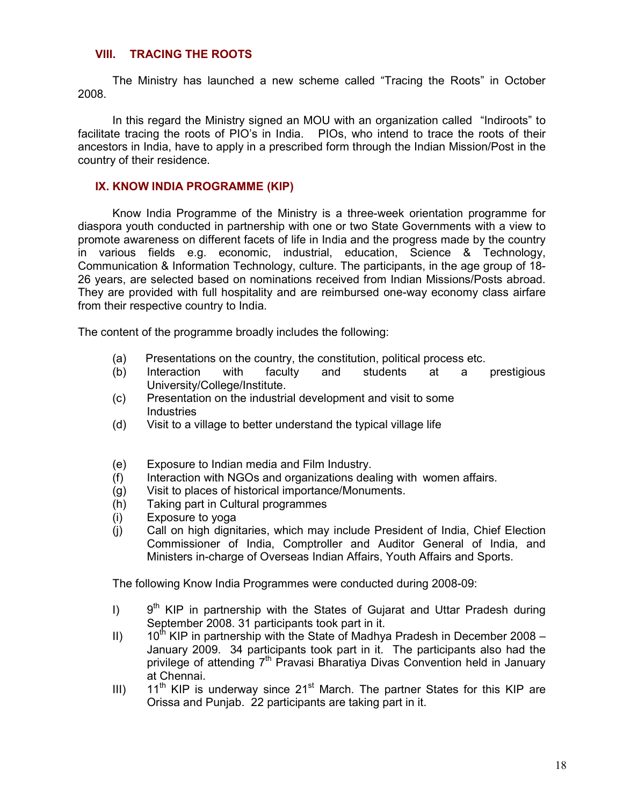#### VIII. TRACING THE ROOTS

The Ministry has launched a new scheme called "Tracing the Roots" in October 2008.

In this regard the Ministry signed an MOU with an organization called "Indiroots" to facilitate tracing the roots of PIO's in India. PIOs, who intend to trace the roots of their ancestors in India, have to apply in a prescribed form through the Indian Mission/Post in the country of their residence.

#### IX. KNOW INDIA PROGRAMME (KIP)

 Know India Programme of the Ministry is a three-week orientation programme for diaspora youth conducted in partnership with one or two State Governments with a view to promote awareness on different facets of life in India and the progress made by the country in various fields e.g. economic, industrial, education, Science & Technology, Communication & Information Technology, culture. The participants, in the age group of 18- 26 years, are selected based on nominations received from Indian Missions/Posts abroad. They are provided with full hospitality and are reimbursed one-way economy class airfare from their respective country to India.

The content of the programme broadly includes the following:

- (a) Presentations on the country, the constitution, political process etc.
- (b) Interaction with faculty and students at a prestigious University/College/Institute.
- (c) Presentation on the industrial development and visit to some **Industries**
- (d) Visit to a village to better understand the typical village life
- (e) Exposure to Indian media and Film Industry.
- (f) Interaction with NGOs and organizations dealing with women affairs.
- (g) Visit to places of historical importance/Monuments.
- (h) Taking part in Cultural programmes
- (i) Exposure to yoga
- (j) Call on high dignitaries, which may include President of India, Chief Election Commissioner of India, Comptroller and Auditor General of India, and Ministers in-charge of Overseas Indian Affairs, Youth Affairs and Sports.

The following Know India Programmes were conducted during 2008-09:

- I)  $9<sup>th</sup> KIP$  in partnership with the States of Gujarat and Uttar Pradesh during September 2008. 31 participants took part in it.
- II)  $10^{th}$  KIP in partnership with the State of Madhya Pradesh in December 2008 January 2009. 34 participants took part in it. The participants also had the privilege of attending  $7<sup>th</sup>$  Pravasi Bharatiya Divas Convention held in January at Chennai.
- III)  $11<sup>th</sup>$  KIP is underway since 21<sup>st</sup> March. The partner States for this KIP are Orissa and Punjab. 22 participants are taking part in it.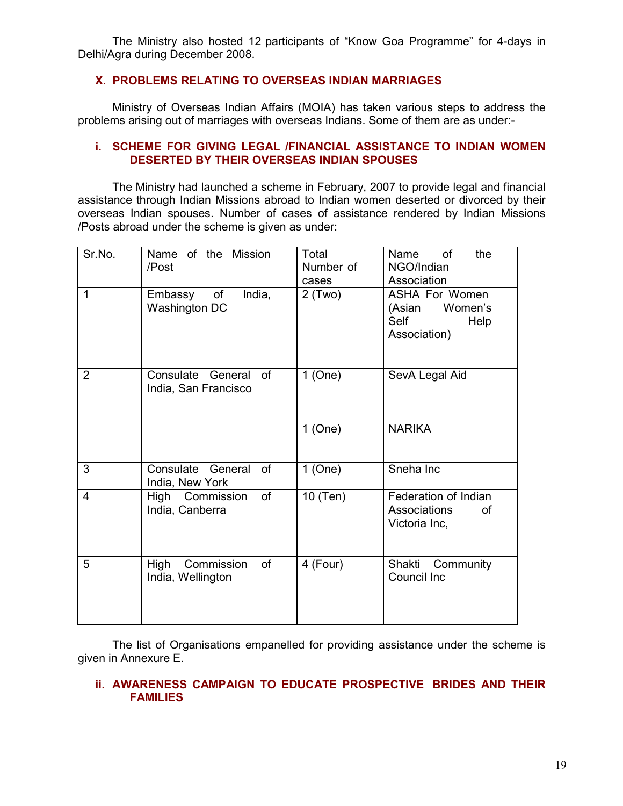The Ministry also hosted 12 participants of "Know Goa Programme" for 4-days in Delhi/Agra during December 2008.

#### X. PROBLEMS RELATING TO OVERSEAS INDIAN MARRIAGES

 Ministry of Overseas Indian Affairs (MOIA) has taken various steps to address the problems arising out of marriages with overseas Indians. Some of them are as under:-

#### i. SCHEME FOR GIVING LEGAL /FINANCIAL ASSISTANCE TO INDIAN WOMEN DESERTED BY THEIR OVERSEAS INDIAN SPOUSES

The Ministry had launched a scheme in February, 2007 to provide legal and financial assistance through Indian Missions abroad to Indian women deserted or divorced by their overseas Indian spouses. Number of cases of assistance rendered by Indian Missions /Posts abroad under the scheme is given as under:

| Sr.No.         | Name of the Mission<br>/Post                           | Total<br>Number of<br>cases | the<br>Name<br>0f<br>NGO/Indian<br>Association                             |
|----------------|--------------------------------------------------------|-----------------------------|----------------------------------------------------------------------------|
| $\mathbf{1}$   | India,<br>of<br>Embassy<br>Washington DC               | $2$ (Two)                   | <b>ASHA For Women</b><br>Women's<br>(Asian<br>Self<br>Help<br>Association) |
| $\overline{2}$ | Consulate General<br><b>of</b><br>India, San Francisco | $1$ (One)                   | SevA Legal Aid                                                             |
|                |                                                        | $1$ (One)                   | <b>NARIKA</b>                                                              |
| $\overline{3}$ | Consulate General<br><b>of</b><br>India, New York      | $1$ (One)                   | Sneha Inc                                                                  |
| $\overline{4}$ | of<br>High Commission<br>India, Canberra               | 10 (Ten)                    | Federation of Indian<br>Associations<br>οf<br>Victoria Inc,                |
| 5              | of<br>High<br>Commission<br>India, Wellington          | 4 (Four)                    | Shakti Community<br>Council Inc                                            |

The list of Organisations empanelled for providing assistance under the scheme is given in Annexure E.

#### ii. AWARENESS CAMPAIGN TO EDUCATE PROSPECTIVE BRIDES AND THEIR FAMILIES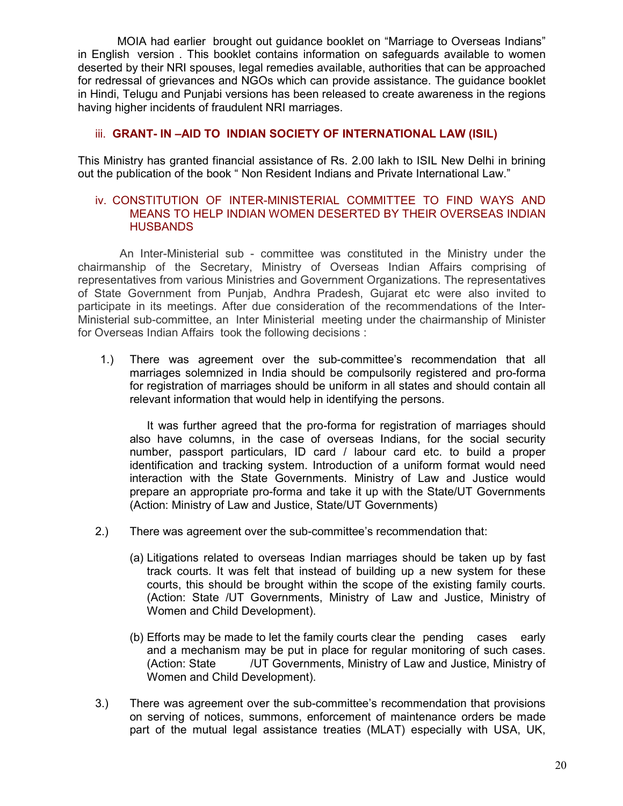MOIA had earlier brought out guidance booklet on "Marriage to Overseas Indians" in English version . This booklet contains information on safeguards available to women deserted by their NRI spouses, legal remedies available, authorities that can be approached for redressal of grievances and NGOs which can provide assistance. The guidance booklet in Hindi, Telugu and Punjabi versions has been released to create awareness in the regions having higher incidents of fraudulent NRI marriages.

#### iii. GRANT- IN –AID TO INDIAN SOCIETY OF INTERNATIONAL LAW (ISIL)

This Ministry has granted financial assistance of Rs. 2.00 lakh to ISIL New Delhi in brining out the publication of the book " Non Resident Indians and Private International Law."

#### iv. CONSTITUTION OF INTER-MINISTERIAL COMMITTEE TO FIND WAYS AND MEANS TO HELP INDIAN WOMEN DESERTED BY THEIR OVERSEAS INDIAN **HUSBANDS**

 An Inter-Ministerial sub - committee was constituted in the Ministry under the chairmanship of the Secretary, Ministry of Overseas Indian Affairs comprising of representatives from various Ministries and Government Organizations. The representatives of State Government from Punjab, Andhra Pradesh, Gujarat etc were also invited to participate in its meetings. After due consideration of the recommendations of the Inter-Ministerial sub-committee, an Inter Ministerial meeting under the chairmanship of Minister for Overseas Indian Affairs took the following decisions :

1.) There was agreement over the sub-committee's recommendation that all marriages solemnized in India should be compulsorily registered and pro-forma for registration of marriages should be uniform in all states and should contain all relevant information that would help in identifying the persons.

 It was further agreed that the pro-forma for registration of marriages should also have columns, in the case of overseas Indians, for the social security number, passport particulars, ID card / labour card etc. to build a proper identification and tracking system. Introduction of a uniform format would need interaction with the State Governments. Ministry of Law and Justice would prepare an appropriate pro-forma and take it up with the State/UT Governments (Action: Ministry of Law and Justice, State/UT Governments)

- 2.) There was agreement over the sub-committee's recommendation that:
	- (a) Litigations related to overseas Indian marriages should be taken up by fast track courts. It was felt that instead of building up a new system for these courts, this should be brought within the scope of the existing family courts. (Action: State /UT Governments, Ministry of Law and Justice, Ministry of Women and Child Development).
	- (b) Efforts may be made to let the family courts clear the pending cases early and a mechanism may be put in place for regular monitoring of such cases. (Action: State /UT Governments, Ministry of Law and Justice, Ministry of Women and Child Development).
- 3.) There was agreement over the sub-committee's recommendation that provisions on serving of notices, summons, enforcement of maintenance orders be made part of the mutual legal assistance treaties (MLAT) especially with USA, UK,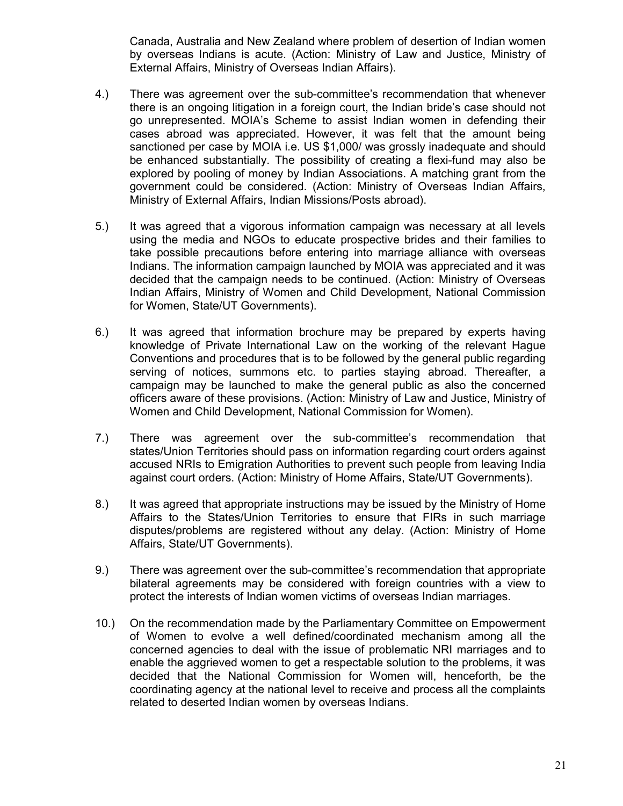Canada, Australia and New Zealand where problem of desertion of Indian women by overseas Indians is acute. (Action: Ministry of Law and Justice, Ministry of External Affairs, Ministry of Overseas Indian Affairs).

- 4.) There was agreement over the sub-committee's recommendation that whenever there is an ongoing litigation in a foreign court, the Indian bride's case should not go unrepresented. MOIA's Scheme to assist Indian women in defending their cases abroad was appreciated. However, it was felt that the amount being sanctioned per case by MOIA i.e. US \$1,000/ was grossly inadequate and should be enhanced substantially. The possibility of creating a flexi-fund may also be explored by pooling of money by Indian Associations. A matching grant from the government could be considered. (Action: Ministry of Overseas Indian Affairs, Ministry of External Affairs, Indian Missions/Posts abroad).
- 5.) It was agreed that a vigorous information campaign was necessary at all levels using the media and NGOs to educate prospective brides and their families to take possible precautions before entering into marriage alliance with overseas Indians. The information campaign launched by MOIA was appreciated and it was decided that the campaign needs to be continued. (Action: Ministry of Overseas Indian Affairs, Ministry of Women and Child Development, National Commission for Women, State/UT Governments).
- 6.) It was agreed that information brochure may be prepared by experts having knowledge of Private International Law on the working of the relevant Hague Conventions and procedures that is to be followed by the general public regarding serving of notices, summons etc. to parties staying abroad. Thereafter, a campaign may be launched to make the general public as also the concerned officers aware of these provisions. (Action: Ministry of Law and Justice, Ministry of Women and Child Development, National Commission for Women).
- 7.) There was agreement over the sub-committee's recommendation that states/Union Territories should pass on information regarding court orders against accused NRIs to Emigration Authorities to prevent such people from leaving India against court orders. (Action: Ministry of Home Affairs, State/UT Governments).
- 8.) It was agreed that appropriate instructions may be issued by the Ministry of Home Affairs to the States/Union Territories to ensure that FIRs in such marriage disputes/problems are registered without any delay. (Action: Ministry of Home Affairs, State/UT Governments).
- 9.) There was agreement over the sub-committee's recommendation that appropriate bilateral agreements may be considered with foreign countries with a view to protect the interests of Indian women victims of overseas Indian marriages.
- 10.) On the recommendation made by the Parliamentary Committee on Empowerment of Women to evolve a well defined/coordinated mechanism among all the concerned agencies to deal with the issue of problematic NRI marriages and to enable the aggrieved women to get a respectable solution to the problems, it was decided that the National Commission for Women will, henceforth, be the coordinating agency at the national level to receive and process all the complaints related to deserted Indian women by overseas Indians.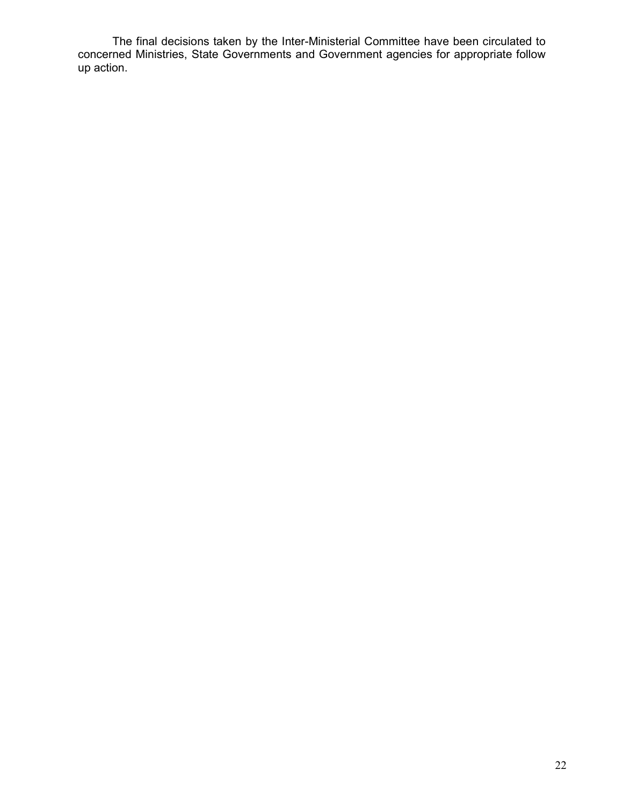The final decisions taken by the Inter-Ministerial Committee have been circulated to concerned Ministries, State Governments and Government agencies for appropriate follow up action.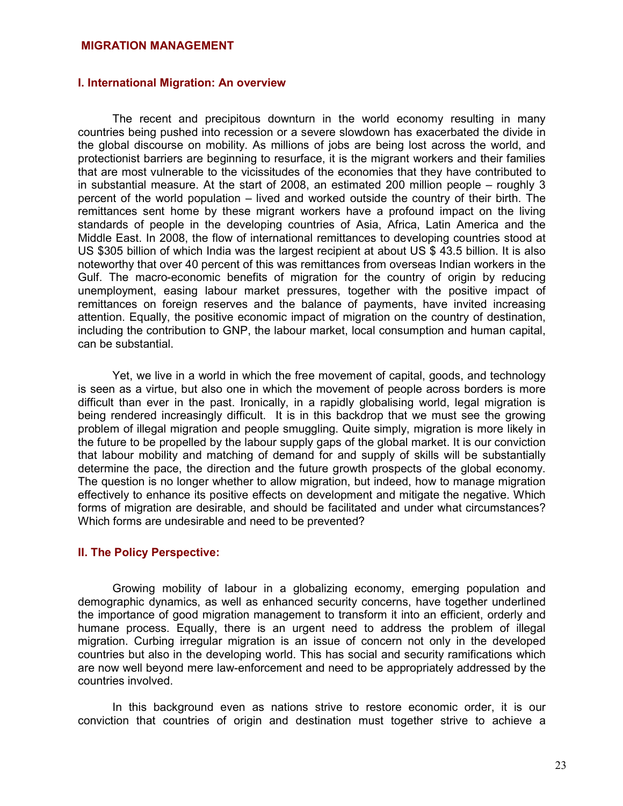#### MIGRATION MANAGEMENT

#### I. International Migration: An overview

The recent and precipitous downturn in the world economy resulting in many countries being pushed into recession or a severe slowdown has exacerbated the divide in the global discourse on mobility. As millions of jobs are being lost across the world, and protectionist barriers are beginning to resurface, it is the migrant workers and their families that are most vulnerable to the vicissitudes of the economies that they have contributed to in substantial measure. At the start of 2008, an estimated 200 million people – roughly 3 percent of the world population – lived and worked outside the country of their birth. The remittances sent home by these migrant workers have a profound impact on the living standards of people in the developing countries of Asia, Africa, Latin America and the Middle East. In 2008, the flow of international remittances to developing countries stood at US \$305 billion of which India was the largest recipient at about US \$ 43.5 billion. It is also noteworthy that over 40 percent of this was remittances from overseas Indian workers in the Gulf. The macro-economic benefits of migration for the country of origin by reducing unemployment, easing labour market pressures, together with the positive impact of remittances on foreign reserves and the balance of payments, have invited increasing attention. Equally, the positive economic impact of migration on the country of destination, including the contribution to GNP, the labour market, local consumption and human capital, can be substantial.

Yet, we live in a world in which the free movement of capital, goods, and technology is seen as a virtue, but also one in which the movement of people across borders is more difficult than ever in the past. Ironically, in a rapidly globalising world, legal migration is being rendered increasingly difficult. It is in this backdrop that we must see the growing problem of illegal migration and people smuggling. Quite simply, migration is more likely in the future to be propelled by the labour supply gaps of the global market. It is our conviction that labour mobility and matching of demand for and supply of skills will be substantially determine the pace, the direction and the future growth prospects of the global economy. The question is no longer whether to allow migration, but indeed, how to manage migration effectively to enhance its positive effects on development and mitigate the negative. Which forms of migration are desirable, and should be facilitated and under what circumstances? Which forms are undesirable and need to be prevented?

#### II. The Policy Perspective:

Growing mobility of labour in a globalizing economy, emerging population and demographic dynamics, as well as enhanced security concerns, have together underlined the importance of good migration management to transform it into an efficient, orderly and humane process. Equally, there is an urgent need to address the problem of illegal migration. Curbing irregular migration is an issue of concern not only in the developed countries but also in the developing world. This has social and security ramifications which are now well beyond mere law-enforcement and need to be appropriately addressed by the countries involved.

In this background even as nations strive to restore economic order, it is our conviction that countries of origin and destination must together strive to achieve a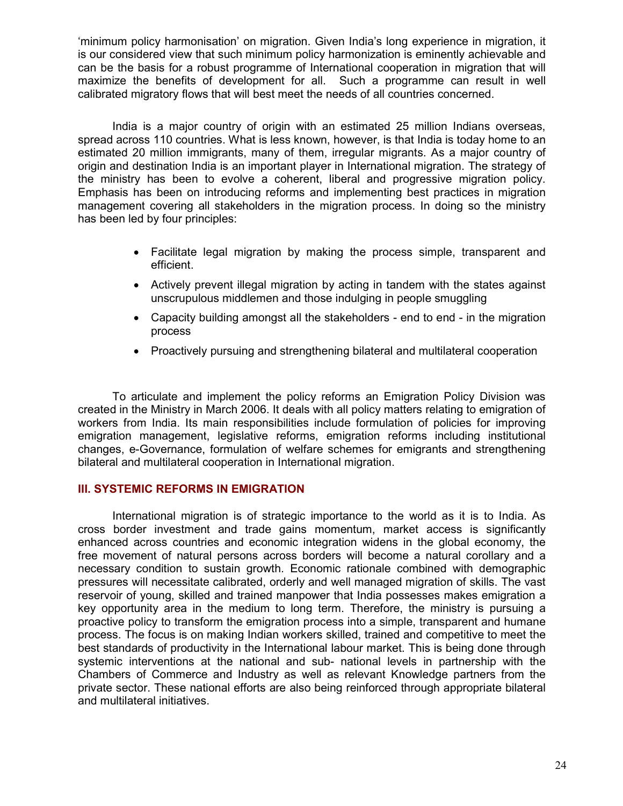'minimum policy harmonisation' on migration. Given India's long experience in migration, it is our considered view that such minimum policy harmonization is eminently achievable and can be the basis for a robust programme of International cooperation in migration that will maximize the benefits of development for all. Such a programme can result in well calibrated migratory flows that will best meet the needs of all countries concerned.

India is a major country of origin with an estimated 25 million Indians overseas, spread across 110 countries. What is less known, however, is that India is today home to an estimated 20 million immigrants, many of them, irregular migrants. As a major country of origin and destination India is an important player in International migration. The strategy of the ministry has been to evolve a coherent, liberal and progressive migration policy. Emphasis has been on introducing reforms and implementing best practices in migration management covering all stakeholders in the migration process. In doing so the ministry has been led by four principles:

- Facilitate legal migration by making the process simple, transparent and efficient.
- Actively prevent illegal migration by acting in tandem with the states against unscrupulous middlemen and those indulging in people smuggling
- Capacity building amongst all the stakeholders end to end in the migration process
- Proactively pursuing and strengthening bilateral and multilateral cooperation

 To articulate and implement the policy reforms an Emigration Policy Division was created in the Ministry in March 2006. It deals with all policy matters relating to emigration of workers from India. Its main responsibilities include formulation of policies for improving emigration management, legislative reforms, emigration reforms including institutional changes, e-Governance, formulation of welfare schemes for emigrants and strengthening bilateral and multilateral cooperation in International migration.

#### III. SYSTEMIC REFORMS IN EMIGRATION

 International migration is of strategic importance to the world as it is to India. As cross border investment and trade gains momentum, market access is significantly enhanced across countries and economic integration widens in the global economy, the free movement of natural persons across borders will become a natural corollary and a necessary condition to sustain growth. Economic rationale combined with demographic pressures will necessitate calibrated, orderly and well managed migration of skills. The vast reservoir of young, skilled and trained manpower that India possesses makes emigration a key opportunity area in the medium to long term. Therefore, the ministry is pursuing a proactive policy to transform the emigration process into a simple, transparent and humane process. The focus is on making Indian workers skilled, trained and competitive to meet the best standards of productivity in the International labour market. This is being done through systemic interventions at the national and sub- national levels in partnership with the Chambers of Commerce and Industry as well as relevant Knowledge partners from the private sector. These national efforts are also being reinforced through appropriate bilateral and multilateral initiatives.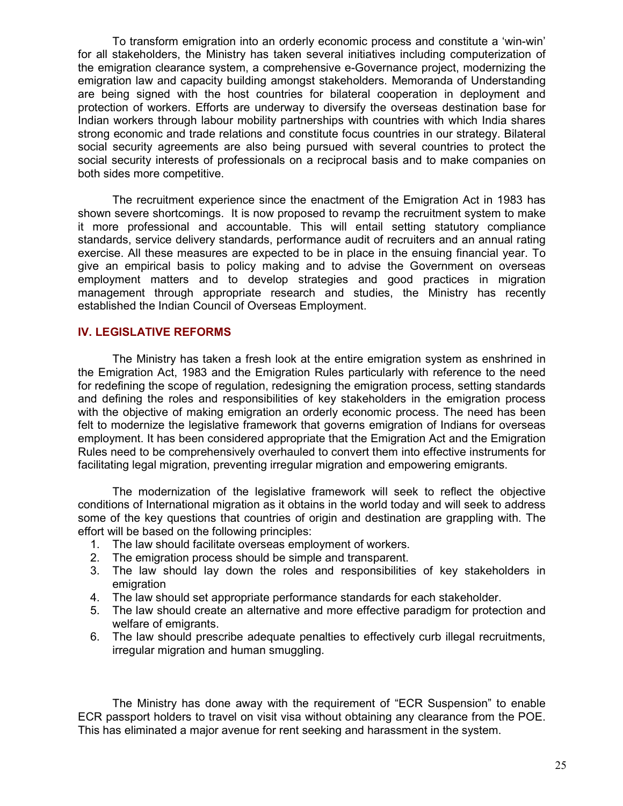To transform emigration into an orderly economic process and constitute a 'win-win' for all stakeholders, the Ministry has taken several initiatives including computerization of the emigration clearance system, a comprehensive e-Governance project, modernizing the emigration law and capacity building amongst stakeholders. Memoranda of Understanding are being signed with the host countries for bilateral cooperation in deployment and protection of workers. Efforts are underway to diversify the overseas destination base for Indian workers through labour mobility partnerships with countries with which India shares strong economic and trade relations and constitute focus countries in our strategy. Bilateral social security agreements are also being pursued with several countries to protect the social security interests of professionals on a reciprocal basis and to make companies on both sides more competitive.

The recruitment experience since the enactment of the Emigration Act in 1983 has shown severe shortcomings. It is now proposed to revamp the recruitment system to make it more professional and accountable. This will entail setting statutory compliance standards, service delivery standards, performance audit of recruiters and an annual rating exercise. All these measures are expected to be in place in the ensuing financial year. To give an empirical basis to policy making and to advise the Government on overseas employment matters and to develop strategies and good practices in migration management through appropriate research and studies, the Ministry has recently established the Indian Council of Overseas Employment.

#### IV. LEGISLATIVE REFORMS

 The Ministry has taken a fresh look at the entire emigration system as enshrined in the Emigration Act, 1983 and the Emigration Rules particularly with reference to the need for redefining the scope of regulation, redesigning the emigration process, setting standards and defining the roles and responsibilities of key stakeholders in the emigration process with the objective of making emigration an orderly economic process. The need has been felt to modernize the legislative framework that governs emigration of Indians for overseas employment. It has been considered appropriate that the Emigration Act and the Emigration Rules need to be comprehensively overhauled to convert them into effective instruments for facilitating legal migration, preventing irregular migration and empowering emigrants.

 The modernization of the legislative framework will seek to reflect the objective conditions of International migration as it obtains in the world today and will seek to address some of the key questions that countries of origin and destination are grappling with. The effort will be based on the following principles:

- 1. The law should facilitate overseas employment of workers.
- 2. The emigration process should be simple and transparent.
- 3. The law should lay down the roles and responsibilities of key stakeholders in emigration
- 4. The law should set appropriate performance standards for each stakeholder.
- 5. The law should create an alternative and more effective paradigm for protection and welfare of emigrants.
- 6. The law should prescribe adequate penalties to effectively curb illegal recruitments, irregular migration and human smuggling.

 The Ministry has done away with the requirement of "ECR Suspension" to enable ECR passport holders to travel on visit visa without obtaining any clearance from the POE. This has eliminated a major avenue for rent seeking and harassment in the system.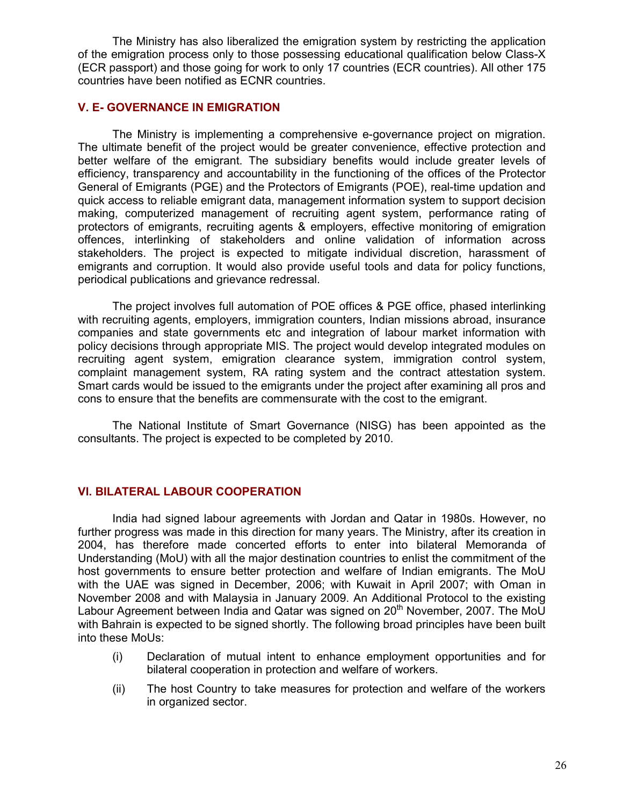The Ministry has also liberalized the emigration system by restricting the application of the emigration process only to those possessing educational qualification below Class-X (ECR passport) and those going for work to only 17 countries (ECR countries). All other 175 countries have been notified as ECNR countries.

#### V. E- GOVERNANCE IN EMIGRATION

 The Ministry is implementing a comprehensive e-governance project on migration. The ultimate benefit of the project would be greater convenience, effective protection and better welfare of the emigrant. The subsidiary benefits would include greater levels of efficiency, transparency and accountability in the functioning of the offices of the Protector General of Emigrants (PGE) and the Protectors of Emigrants (POE), real-time updation and quick access to reliable emigrant data, management information system to support decision making, computerized management of recruiting agent system, performance rating of protectors of emigrants, recruiting agents & employers, effective monitoring of emigration offences, interlinking of stakeholders and online validation of information across stakeholders. The project is expected to mitigate individual discretion, harassment of emigrants and corruption. It would also provide useful tools and data for policy functions, periodical publications and grievance redressal.

 The project involves full automation of POE offices & PGE office, phased interlinking with recruiting agents, employers, immigration counters, Indian missions abroad, insurance companies and state governments etc and integration of labour market information with policy decisions through appropriate MIS. The project would develop integrated modules on recruiting agent system, emigration clearance system, immigration control system, complaint management system, RA rating system and the contract attestation system. Smart cards would be issued to the emigrants under the project after examining all pros and cons to ensure that the benefits are commensurate with the cost to the emigrant.

 The National Institute of Smart Governance (NISG) has been appointed as the consultants. The project is expected to be completed by 2010.

#### VI. BILATERAL LABOUR COOPERATION

 India had signed labour agreements with Jordan and Qatar in 1980s. However, no further progress was made in this direction for many years. The Ministry, after its creation in 2004, has therefore made concerted efforts to enter into bilateral Memoranda of Understanding (MoU) with all the major destination countries to enlist the commitment of the host governments to ensure better protection and welfare of Indian emigrants. The MoU with the UAE was signed in December, 2006; with Kuwait in April 2007; with Oman in November 2008 and with Malaysia in January 2009. An Additional Protocol to the existing Labour Agreement between India and Qatar was signed on  $20<sup>th</sup>$  November, 2007. The MoU with Bahrain is expected to be signed shortly. The following broad principles have been built into these MoUs:

- (i) Declaration of mutual intent to enhance employment opportunities and for bilateral cooperation in protection and welfare of workers.
- (ii) The host Country to take measures for protection and welfare of the workers in organized sector.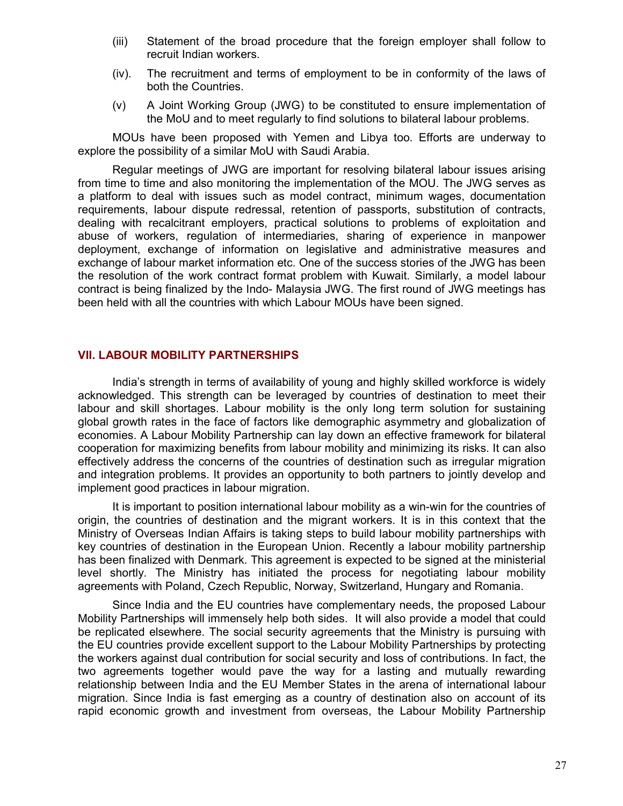- (iii) Statement of the broad procedure that the foreign employer shall follow to recruit Indian workers.
- (iv). The recruitment and terms of employment to be in conformity of the laws of both the Countries.
- (v) A Joint Working Group (JWG) to be constituted to ensure implementation of the MoU and to meet regularly to find solutions to bilateral labour problems.

 MOUs have been proposed with Yemen and Libya too. Efforts are underway to explore the possibility of a similar MoU with Saudi Arabia.

 Regular meetings of JWG are important for resolving bilateral labour issues arising from time to time and also monitoring the implementation of the MOU. The JWG serves as a platform to deal with issues such as model contract, minimum wages, documentation requirements, labour dispute redressal, retention of passports, substitution of contracts, dealing with recalcitrant employers, practical solutions to problems of exploitation and abuse of workers, regulation of intermediaries, sharing of experience in manpower deployment, exchange of information on legislative and administrative measures and exchange of labour market information etc. One of the success stories of the JWG has been the resolution of the work contract format problem with Kuwait. Similarly, a model labour contract is being finalized by the Indo- Malaysia JWG. The first round of JWG meetings has been held with all the countries with which Labour MOUs have been signed.

#### VII. LABOUR MOBILITY PARTNERSHIPS

 India's strength in terms of availability of young and highly skilled workforce is widely acknowledged. This strength can be leveraged by countries of destination to meet their labour and skill shortages. Labour mobility is the only long term solution for sustaining global growth rates in the face of factors like demographic asymmetry and globalization of economies. A Labour Mobility Partnership can lay down an effective framework for bilateral cooperation for maximizing benefits from labour mobility and minimizing its risks. It can also effectively address the concerns of the countries of destination such as irregular migration and integration problems. It provides an opportunity to both partners to jointly develop and implement good practices in labour migration.

 It is important to position international labour mobility as a win-win for the countries of origin, the countries of destination and the migrant workers. It is in this context that the Ministry of Overseas Indian Affairs is taking steps to build labour mobility partnerships with key countries of destination in the European Union. Recently a labour mobility partnership has been finalized with Denmark. This agreement is expected to be signed at the ministerial level shortly. The Ministry has initiated the process for negotiating labour mobility agreements with Poland, Czech Republic, Norway, Switzerland, Hungary and Romania.

 Since India and the EU countries have complementary needs, the proposed Labour Mobility Partnerships will immensely help both sides. It will also provide a model that could be replicated elsewhere. The social security agreements that the Ministry is pursuing with the EU countries provide excellent support to the Labour Mobility Partnerships by protecting the workers against dual contribution for social security and loss of contributions. In fact, the two agreements together would pave the way for a lasting and mutually rewarding relationship between India and the EU Member States in the arena of international labour migration. Since India is fast emerging as a country of destination also on account of its rapid economic growth and investment from overseas, the Labour Mobility Partnership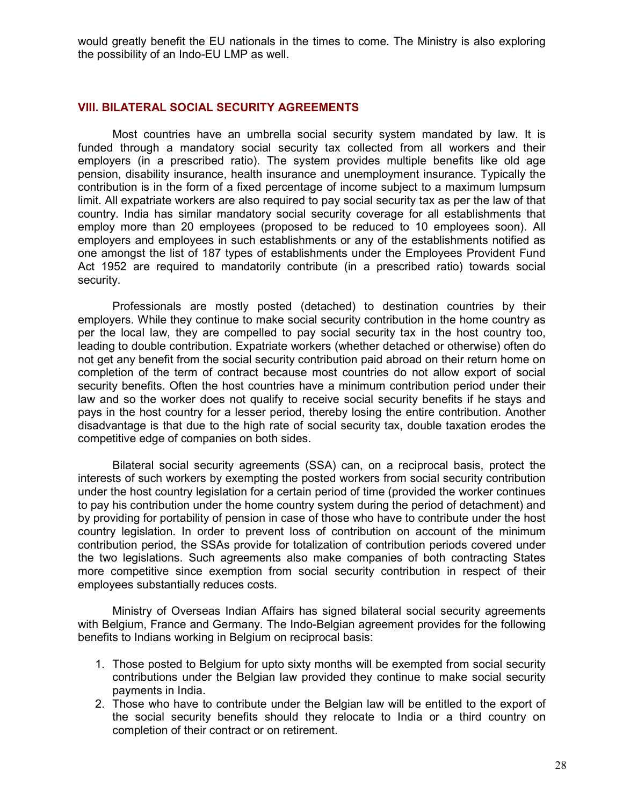would greatly benefit the EU nationals in the times to come. The Ministry is also exploring the possibility of an Indo-EU LMP as well.

#### VIII. BILATERAL SOCIAL SECURITY AGREEMENTS

 Most countries have an umbrella social security system mandated by law. It is funded through a mandatory social security tax collected from all workers and their employers (in a prescribed ratio). The system provides multiple benefits like old age pension, disability insurance, health insurance and unemployment insurance. Typically the contribution is in the form of a fixed percentage of income subject to a maximum lumpsum limit. All expatriate workers are also required to pay social security tax as per the law of that country. India has similar mandatory social security coverage for all establishments that employ more than 20 employees (proposed to be reduced to 10 employees soon). All employers and employees in such establishments or any of the establishments notified as one amongst the list of 187 types of establishments under the Employees Provident Fund Act 1952 are required to mandatorily contribute (in a prescribed ratio) towards social security.

 Professionals are mostly posted (detached) to destination countries by their employers. While they continue to make social security contribution in the home country as per the local law, they are compelled to pay social security tax in the host country too, leading to double contribution. Expatriate workers (whether detached or otherwise) often do not get any benefit from the social security contribution paid abroad on their return home on completion of the term of contract because most countries do not allow export of social security benefits. Often the host countries have a minimum contribution period under their law and so the worker does not qualify to receive social security benefits if he stays and pays in the host country for a lesser period, thereby losing the entire contribution. Another disadvantage is that due to the high rate of social security tax, double taxation erodes the competitive edge of companies on both sides.

 Bilateral social security agreements (SSA) can, on a reciprocal basis, protect the interests of such workers by exempting the posted workers from social security contribution under the host country legislation for a certain period of time (provided the worker continues to pay his contribution under the home country system during the period of detachment) and by providing for portability of pension in case of those who have to contribute under the host country legislation. In order to prevent loss of contribution on account of the minimum contribution period, the SSAs provide for totalization of contribution periods covered under the two legislations. Such agreements also make companies of both contracting States more competitive since exemption from social security contribution in respect of their employees substantially reduces costs.

 Ministry of Overseas Indian Affairs has signed bilateral social security agreements with Belgium, France and Germany. The Indo-Belgian agreement provides for the following benefits to Indians working in Belgium on reciprocal basis:

- 1. Those posted to Belgium for upto sixty months will be exempted from social security contributions under the Belgian law provided they continue to make social security payments in India.
- 2. Those who have to contribute under the Belgian law will be entitled to the export of the social security benefits should they relocate to India or a third country on completion of their contract or on retirement.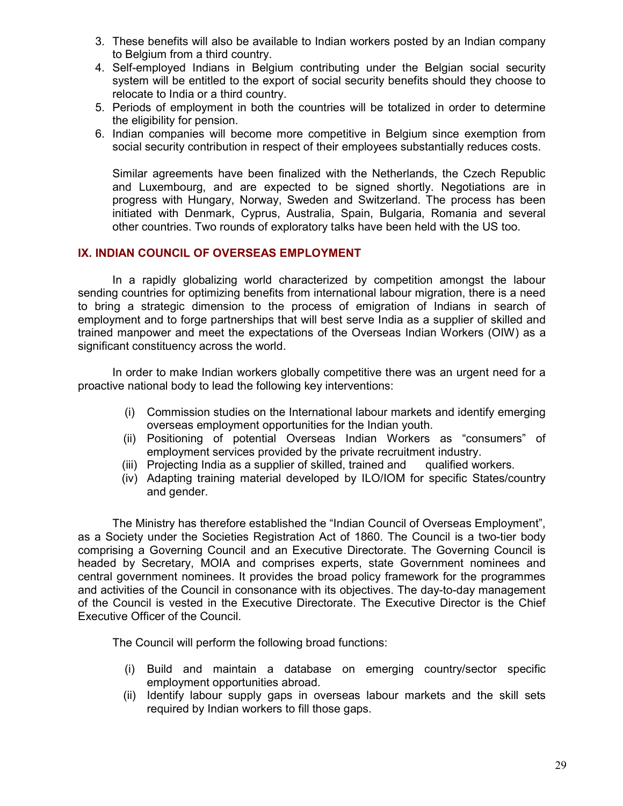- 3. These benefits will also be available to Indian workers posted by an Indian company to Belgium from a third country.
- 4. Self-employed Indians in Belgium contributing under the Belgian social security system will be entitled to the export of social security benefits should they choose to relocate to India or a third country.
- 5. Periods of employment in both the countries will be totalized in order to determine the eligibility for pension.
- 6. Indian companies will become more competitive in Belgium since exemption from social security contribution in respect of their employees substantially reduces costs.

Similar agreements have been finalized with the Netherlands, the Czech Republic and Luxembourg, and are expected to be signed shortly. Negotiations are in progress with Hungary, Norway, Sweden and Switzerland. The process has been initiated with Denmark, Cyprus, Australia, Spain, Bulgaria, Romania and several other countries. Two rounds of exploratory talks have been held with the US too.

#### IX. INDIAN COUNCIL OF OVERSEAS EMPLOYMENT

 In a rapidly globalizing world characterized by competition amongst the labour sending countries for optimizing benefits from international labour migration, there is a need to bring a strategic dimension to the process of emigration of Indians in search of employment and to forge partnerships that will best serve India as a supplier of skilled and trained manpower and meet the expectations of the Overseas Indian Workers (OIW) as a significant constituency across the world.

 In order to make Indian workers globally competitive there was an urgent need for a proactive national body to lead the following key interventions:

- (i) Commission studies on the International labour markets and identify emerging overseas employment opportunities for the Indian youth.
- (ii) Positioning of potential Overseas Indian Workers as "consumers" of employment services provided by the private recruitment industry.
- (iii) Projecting India as a supplier of skilled, trained and qualified workers.
- (iv) Adapting training material developed by ILO/IOM for specific States/country and gender.

 The Ministry has therefore established the "Indian Council of Overseas Employment", as a Society under the Societies Registration Act of 1860. The Council is a two-tier body comprising a Governing Council and an Executive Directorate. The Governing Council is headed by Secretary, MOIA and comprises experts, state Government nominees and central government nominees. It provides the broad policy framework for the programmes and activities of the Council in consonance with its objectives. The day-to-day management of the Council is vested in the Executive Directorate. The Executive Director is the Chief Executive Officer of the Council.

The Council will perform the following broad functions:

- (i) Build and maintain a database on emerging country/sector specific employment opportunities abroad.
- (ii) Identify labour supply gaps in overseas labour markets and the skill sets required by Indian workers to fill those gaps.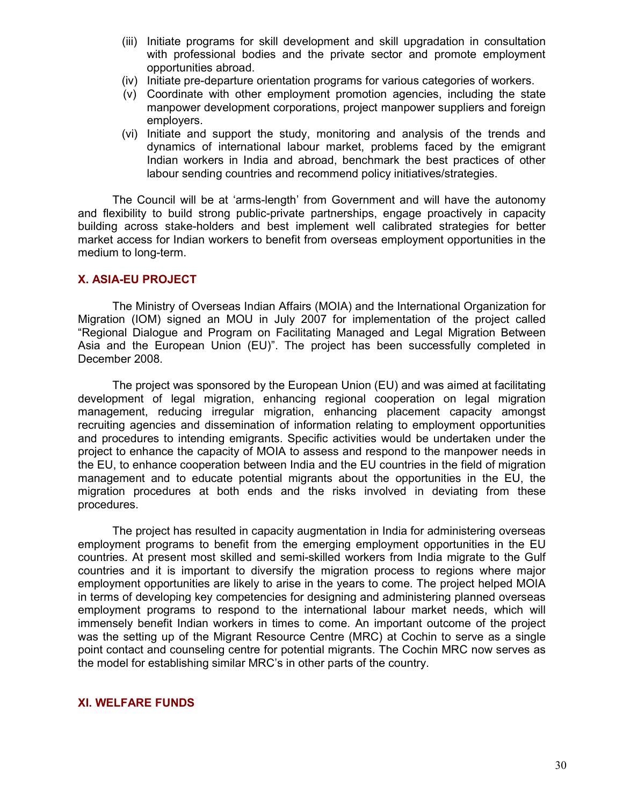- (iii) Initiate programs for skill development and skill upgradation in consultation with professional bodies and the private sector and promote employment opportunities abroad.
- (iv) Initiate pre-departure orientation programs for various categories of workers.
- (v) Coordinate with other employment promotion agencies, including the state manpower development corporations, project manpower suppliers and foreign employers.
- (vi) Initiate and support the study, monitoring and analysis of the trends and dynamics of international labour market, problems faced by the emigrant Indian workers in India and abroad, benchmark the best practices of other labour sending countries and recommend policy initiatives/strategies.

 The Council will be at 'arms-length' from Government and will have the autonomy and flexibility to build strong public-private partnerships, engage proactively in capacity building across stake-holders and best implement well calibrated strategies for better market access for Indian workers to benefit from overseas employment opportunities in the medium to long-term.

#### X. ASIA-EU PROJECT

 The Ministry of Overseas Indian Affairs (MOIA) and the International Organization for Migration (IOM) signed an MOU in July 2007 for implementation of the project called "Regional Dialogue and Program on Facilitating Managed and Legal Migration Between Asia and the European Union (EU)". The project has been successfully completed in December 2008.

 The project was sponsored by the European Union (EU) and was aimed at facilitating development of legal migration, enhancing regional cooperation on legal migration management, reducing irregular migration, enhancing placement capacity amongst recruiting agencies and dissemination of information relating to employment opportunities and procedures to intending emigrants. Specific activities would be undertaken under the project to enhance the capacity of MOIA to assess and respond to the manpower needs in the EU, to enhance cooperation between India and the EU countries in the field of migration management and to educate potential migrants about the opportunities in the EU, the migration procedures at both ends and the risks involved in deviating from these procedures.

 The project has resulted in capacity augmentation in India for administering overseas employment programs to benefit from the emerging employment opportunities in the EU countries. At present most skilled and semi-skilled workers from India migrate to the Gulf countries and it is important to diversify the migration process to regions where major employment opportunities are likely to arise in the years to come. The project helped MOIA in terms of developing key competencies for designing and administering planned overseas employment programs to respond to the international labour market needs, which will immensely benefit Indian workers in times to come. An important outcome of the project was the setting up of the Migrant Resource Centre (MRC) at Cochin to serve as a single point contact and counseling centre for potential migrants. The Cochin MRC now serves as the model for establishing similar MRC's in other parts of the country.

#### XI. WELFARE FUNDS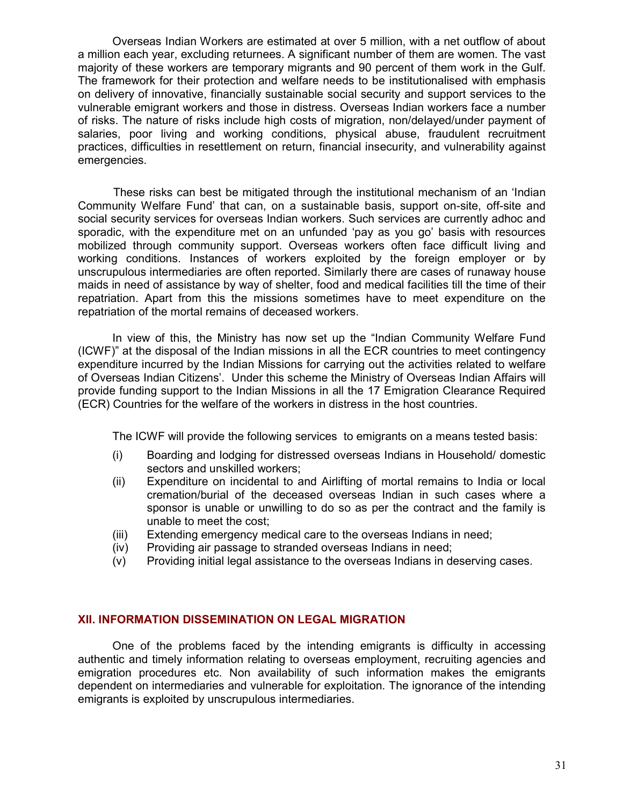Overseas Indian Workers are estimated at over 5 million, with a net outflow of about a million each year, excluding returnees. A significant number of them are women. The vast majority of these workers are temporary migrants and 90 percent of them work in the Gulf. The framework for their protection and welfare needs to be institutionalised with emphasis on delivery of innovative, financially sustainable social security and support services to the vulnerable emigrant workers and those in distress. Overseas Indian workers face a number of risks. The nature of risks include high costs of migration, non/delayed/under payment of salaries, poor living and working conditions, physical abuse, fraudulent recruitment practices, difficulties in resettlement on return, financial insecurity, and vulnerability against emergencies.

 These risks can best be mitigated through the institutional mechanism of an 'Indian Community Welfare Fund' that can, on a sustainable basis, support on-site, off-site and social security services for overseas Indian workers. Such services are currently adhoc and sporadic, with the expenditure met on an unfunded 'pay as you go' basis with resources mobilized through community support. Overseas workers often face difficult living and working conditions. Instances of workers exploited by the foreign employer or by unscrupulous intermediaries are often reported. Similarly there are cases of runaway house maids in need of assistance by way of shelter, food and medical facilities till the time of their repatriation. Apart from this the missions sometimes have to meet expenditure on the repatriation of the mortal remains of deceased workers.

 In view of this, the Ministry has now set up the "Indian Community Welfare Fund (ICWF)" at the disposal of the Indian missions in all the ECR countries to meet contingency expenditure incurred by the Indian Missions for carrying out the activities related to welfare of Overseas Indian Citizens'. Under this scheme the Ministry of Overseas Indian Affairs will provide funding support to the Indian Missions in all the 17 Emigration Clearance Required (ECR) Countries for the welfare of the workers in distress in the host countries.

The ICWF will provide the following services to emigrants on a means tested basis:

- (i) Boarding and lodging for distressed overseas Indians in Household/ domestic sectors and unskilled workers;
- (ii) Expenditure on incidental to and Airlifting of mortal remains to India or local cremation/burial of the deceased overseas Indian in such cases where a sponsor is unable or unwilling to do so as per the contract and the family is unable to meet the cost;
- (iii) Extending emergency medical care to the overseas Indians in need;
- (iv) Providing air passage to stranded overseas Indians in need;
- (v) Providing initial legal assistance to the overseas Indians in deserving cases.

#### XII. INFORMATION DISSEMINATION ON LEGAL MIGRATION

One of the problems faced by the intending emigrants is difficulty in accessing authentic and timely information relating to overseas employment, recruiting agencies and emigration procedures etc. Non availability of such information makes the emigrants dependent on intermediaries and vulnerable for exploitation. The ignorance of the intending emigrants is exploited by unscrupulous intermediaries.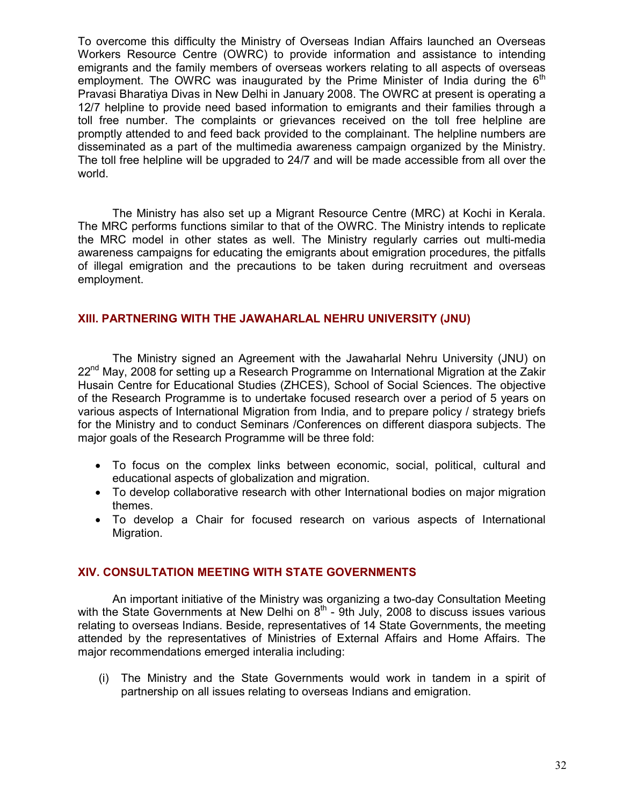To overcome this difficulty the Ministry of Overseas Indian Affairs launched an Overseas Workers Resource Centre (OWRC) to provide information and assistance to intending emigrants and the family members of overseas workers relating to all aspects of overseas employment. The OWRC was inaugurated by the Prime Minister of India during the 6<sup>th</sup> Pravasi Bharatiya Divas in New Delhi in January 2008. The OWRC at present is operating a 12/7 helpline to provide need based information to emigrants and their families through a toll free number. The complaints or grievances received on the toll free helpline are promptly attended to and feed back provided to the complainant. The helpline numbers are disseminated as a part of the multimedia awareness campaign organized by the Ministry. The toll free helpline will be upgraded to 24/7 and will be made accessible from all over the world.

The Ministry has also set up a Migrant Resource Centre (MRC) at Kochi in Kerala. The MRC performs functions similar to that of the OWRC. The Ministry intends to replicate the MRC model in other states as well. The Ministry regularly carries out multi-media awareness campaigns for educating the emigrants about emigration procedures, the pitfalls of illegal emigration and the precautions to be taken during recruitment and overseas employment.

#### XIII. PARTNERING WITH THE JAWAHARLAL NEHRU UNIVERSITY (JNU)

The Ministry signed an Agreement with the Jawaharlal Nehru University (JNU) on  $22<sup>nd</sup>$  May, 2008 for setting up a Research Programme on International Migration at the Zakir Husain Centre for Educational Studies (ZHCES), School of Social Sciences. The objective of the Research Programme is to undertake focused research over a period of 5 years on various aspects of International Migration from India, and to prepare policy / strategy briefs for the Ministry and to conduct Seminars /Conferences on different diaspora subjects. The major goals of the Research Programme will be three fold:

- To focus on the complex links between economic, social, political, cultural and educational aspects of globalization and migration.
- To develop collaborative research with other International bodies on major migration themes.
- To develop a Chair for focused research on various aspects of International Migration.

#### XIV. CONSULTATION MEETING WITH STATE GOVERNMENTS

An important initiative of the Ministry was organizing a two-day Consultation Meeting with the State Governments at New Delhi on  $8<sup>th</sup>$  - 9th July, 2008 to discuss issues various relating to overseas Indians. Beside, representatives of 14 State Governments, the meeting attended by the representatives of Ministries of External Affairs and Home Affairs. The major recommendations emerged interalia including:

(i) The Ministry and the State Governments would work in tandem in a spirit of partnership on all issues relating to overseas Indians and emigration.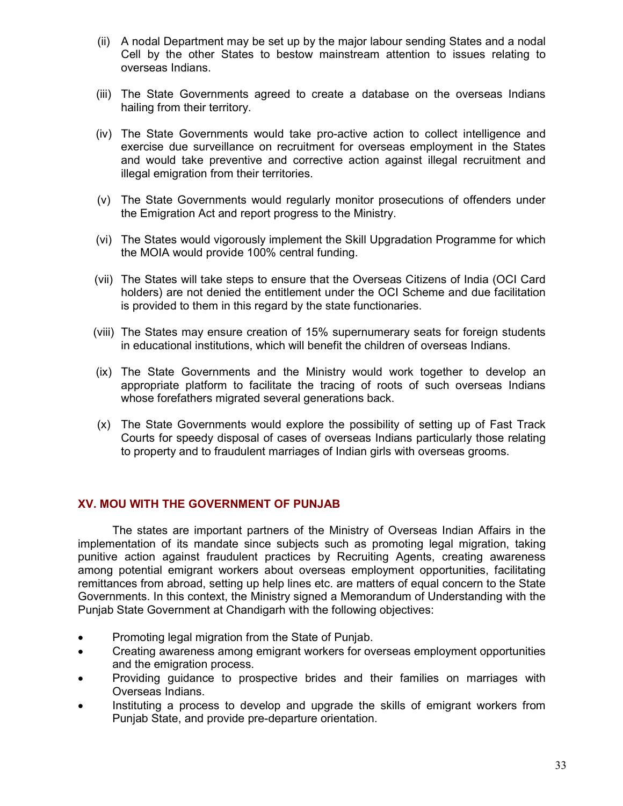- (ii) A nodal Department may be set up by the major labour sending States and a nodal Cell by the other States to bestow mainstream attention to issues relating to overseas Indians.
- (iii) The State Governments agreed to create a database on the overseas Indians hailing from their territory.
- (iv) The State Governments would take pro-active action to collect intelligence and exercise due surveillance on recruitment for overseas employment in the States and would take preventive and corrective action against illegal recruitment and illegal emigration from their territories.
- (v) The State Governments would regularly monitor prosecutions of offenders under the Emigration Act and report progress to the Ministry.
- (vi) The States would vigorously implement the Skill Upgradation Programme for which the MOIA would provide 100% central funding.
- (vii) The States will take steps to ensure that the Overseas Citizens of India (OCI Card holders) are not denied the entitlement under the OCI Scheme and due facilitation is provided to them in this regard by the state functionaries.
- (viii) The States may ensure creation of 15% supernumerary seats for foreign students in educational institutions, which will benefit the children of overseas Indians.
- (ix) The State Governments and the Ministry would work together to develop an appropriate platform to facilitate the tracing of roots of such overseas Indians whose forefathers migrated several generations back.
- (x) The State Governments would explore the possibility of setting up of Fast Track Courts for speedy disposal of cases of overseas Indians particularly those relating to property and to fraudulent marriages of Indian girls with overseas grooms.

#### XV. MOU WITH THE GOVERNMENT OF PUNJAB

The states are important partners of the Ministry of Overseas Indian Affairs in the implementation of its mandate since subjects such as promoting legal migration, taking punitive action against fraudulent practices by Recruiting Agents, creating awareness among potential emigrant workers about overseas employment opportunities, facilitating remittances from abroad, setting up help lines etc. are matters of equal concern to the State Governments. In this context, the Ministry signed a Memorandum of Understanding with the Punjab State Government at Chandigarh with the following objectives:

- Promoting legal migration from the State of Punjab.
- Creating awareness among emigrant workers for overseas employment opportunities and the emigration process.
- Providing guidance to prospective brides and their families on marriages with Overseas Indians.
- Instituting a process to develop and upgrade the skills of emigrant workers from Punjab State, and provide pre-departure orientation.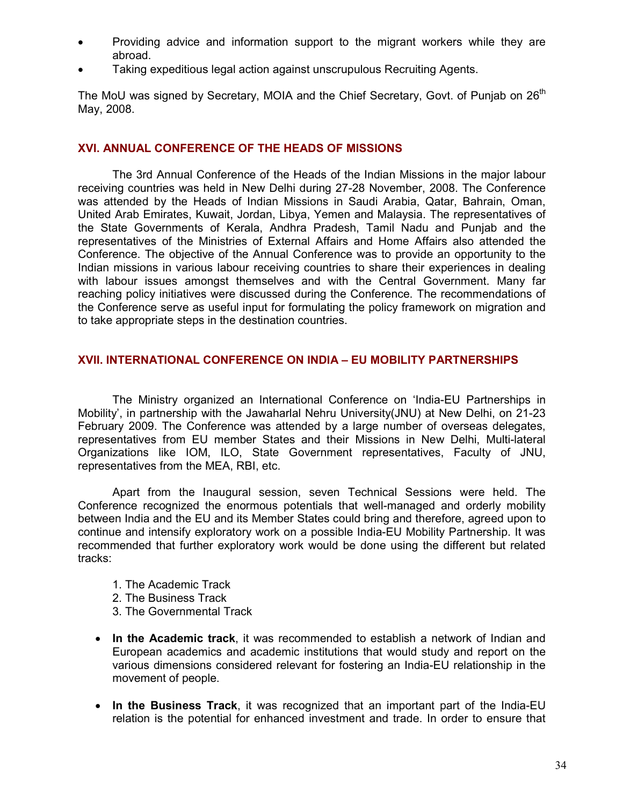- Providing advice and information support to the migrant workers while they are abroad.
- Taking expeditious legal action against unscrupulous Recruiting Agents.

The MoU was signed by Secretary, MOIA and the Chief Secretary, Govt. of Punjab on 26<sup>th</sup> May, 2008.

#### XVI. ANNUAL CONFERENCE OF THE HEADS OF MISSIONS

The 3rd Annual Conference of the Heads of the Indian Missions in the major labour receiving countries was held in New Delhi during 27-28 November, 2008. The Conference was attended by the Heads of Indian Missions in Saudi Arabia, Qatar, Bahrain, Oman, United Arab Emirates, Kuwait, Jordan, Libya, Yemen and Malaysia. The representatives of the State Governments of Kerala, Andhra Pradesh, Tamil Nadu and Punjab and the representatives of the Ministries of External Affairs and Home Affairs also attended the Conference. The objective of the Annual Conference was to provide an opportunity to the Indian missions in various labour receiving countries to share their experiences in dealing with labour issues amongst themselves and with the Central Government. Many far reaching policy initiatives were discussed during the Conference. The recommendations of the Conference serve as useful input for formulating the policy framework on migration and to take appropriate steps in the destination countries.

#### XVII. INTERNATIONAL CONFERENCE ON INDIA – EU MOBILITY PARTNERSHIPS

The Ministry organized an International Conference on 'India-EU Partnerships in Mobility', in partnership with the Jawaharlal Nehru University(JNU) at New Delhi, on 21-23 February 2009. The Conference was attended by a large number of overseas delegates, representatives from EU member States and their Missions in New Delhi, Multi-lateral Organizations like IOM, ILO, State Government representatives, Faculty of JNU, representatives from the MEA, RBI, etc.

Apart from the Inaugural session, seven Technical Sessions were held. The Conference recognized the enormous potentials that well-managed and orderly mobility between India and the EU and its Member States could bring and therefore, agreed upon to continue and intensify exploratory work on a possible India-EU Mobility Partnership. It was recommended that further exploratory work would be done using the different but related tracks:

- 1. The Academic Track
- 2. The Business Track
- 3. The Governmental Track
- In the Academic track, it was recommended to establish a network of Indian and European academics and academic institutions that would study and report on the various dimensions considered relevant for fostering an India-EU relationship in the movement of people.
- In the Business Track, it was recognized that an important part of the India-EU relation is the potential for enhanced investment and trade. In order to ensure that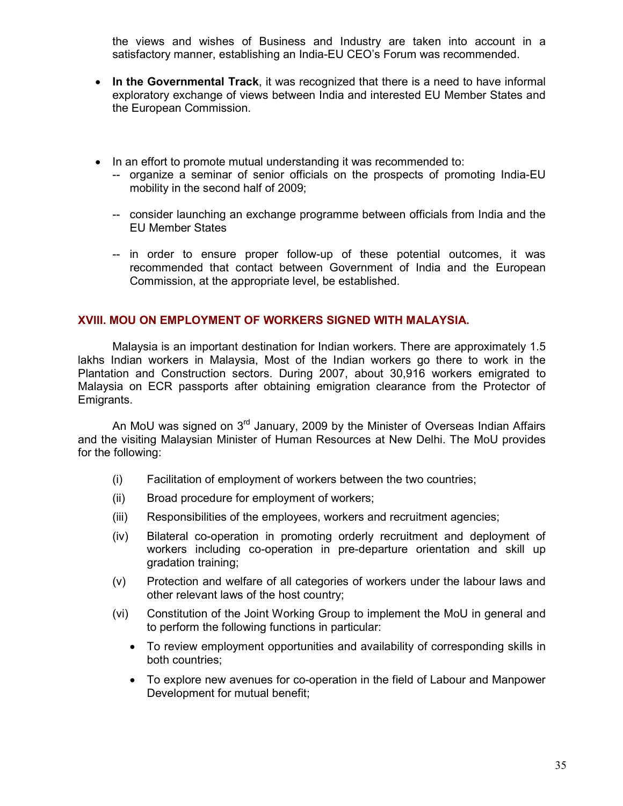the views and wishes of Business and Industry are taken into account in a satisfactory manner, establishing an India-EU CEO's Forum was recommended.

- In the Governmental Track, it was recognized that there is a need to have informal exploratory exchange of views between India and interested EU Member States and the European Commission.
- In an effort to promote mutual understanding it was recommended to:
	- -- organize a seminar of senior officials on the prospects of promoting India-EU mobility in the second half of 2009;
	- -- consider launching an exchange programme between officials from India and the EU Member States
	- -- in order to ensure proper follow-up of these potential outcomes, it was recommended that contact between Government of India and the European Commission, at the appropriate level, be established.

#### XVIII. MOU ON EMPLOYMENT OF WORKERS SIGNED WITH MALAYSIA.

Malaysia is an important destination for Indian workers. There are approximately 1.5 lakhs Indian workers in Malaysia, Most of the Indian workers go there to work in the Plantation and Construction sectors. During 2007, about 30,916 workers emigrated to Malaysia on ECR passports after obtaining emigration clearance from the Protector of Emigrants.

An MoU was signed on  $3^{rd}$  January, 2009 by the Minister of Overseas Indian Affairs and the visiting Malaysian Minister of Human Resources at New Delhi. The MoU provides for the following:

- (i) Facilitation of employment of workers between the two countries;
- (ii) Broad procedure for employment of workers;
- (iii) Responsibilities of the employees, workers and recruitment agencies;
- (iv) Bilateral co-operation in promoting orderly recruitment and deployment of workers including co-operation in pre-departure orientation and skill up gradation training;
- (v) Protection and welfare of all categories of workers under the labour laws and other relevant laws of the host country;
- (vi) Constitution of the Joint Working Group to implement the MoU in general and to perform the following functions in particular:
	- To review employment opportunities and availability of corresponding skills in both countries;
	- To explore new avenues for co-operation in the field of Labour and Manpower Development for mutual benefit;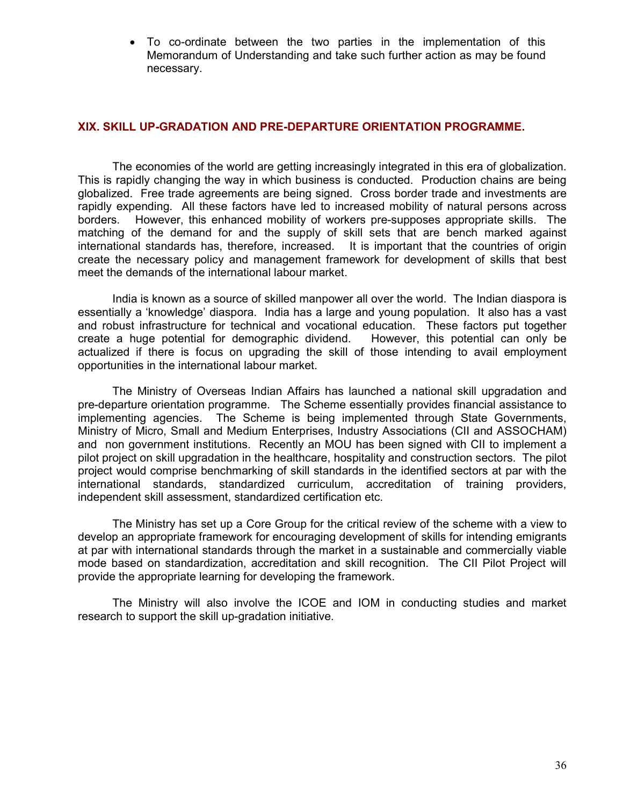• To co-ordinate between the two parties in the implementation of this Memorandum of Understanding and take such further action as may be found necessary.

#### XIX. SKILL UP-GRADATION AND PRE-DEPARTURE ORIENTATION PROGRAMME.

The economies of the world are getting increasingly integrated in this era of globalization. This is rapidly changing the way in which business is conducted. Production chains are being globalized. Free trade agreements are being signed. Cross border trade and investments are rapidly expending. All these factors have led to increased mobility of natural persons across borders. However, this enhanced mobility of workers pre-supposes appropriate skills. The matching of the demand for and the supply of skill sets that are bench marked against international standards has, therefore, increased. It is important that the countries of origin create the necessary policy and management framework for development of skills that best meet the demands of the international labour market.

India is known as a source of skilled manpower all over the world. The Indian diaspora is essentially a 'knowledge' diaspora. India has a large and young population. It also has a vast and robust infrastructure for technical and vocational education. These factors put together create a huge potential for demographic dividend. However, this potential can only be create a huge potential for demographic dividend. actualized if there is focus on upgrading the skill of those intending to avail employment opportunities in the international labour market.

The Ministry of Overseas Indian Affairs has launched a national skill upgradation and pre-departure orientation programme. The Scheme essentially provides financial assistance to implementing agencies. The Scheme is being implemented through State Governments, Ministry of Micro, Small and Medium Enterprises, Industry Associations (CII and ASSOCHAM) and non government institutions. Recently an MOU has been signed with CII to implement a pilot project on skill upgradation in the healthcare, hospitality and construction sectors. The pilot project would comprise benchmarking of skill standards in the identified sectors at par with the international standards, standardized curriculum, accreditation of training providers, independent skill assessment, standardized certification etc.

The Ministry has set up a Core Group for the critical review of the scheme with a view to develop an appropriate framework for encouraging development of skills for intending emigrants at par with international standards through the market in a sustainable and commercially viable mode based on standardization, accreditation and skill recognition. The CII Pilot Project will provide the appropriate learning for developing the framework.

The Ministry will also involve the ICOE and IOM in conducting studies and market research to support the skill up-gradation initiative.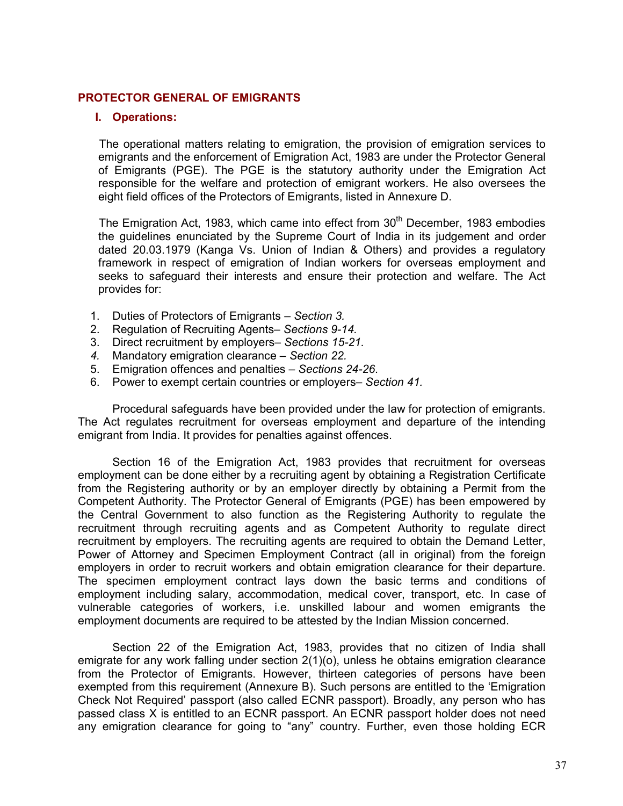#### PROTECTOR GENERAL OF EMIGRANTS

#### I. Operations:

 The operational matters relating to emigration, the provision of emigration services to emigrants and the enforcement of Emigration Act, 1983 are under the Protector General of Emigrants (PGE). The PGE is the statutory authority under the Emigration Act responsible for the welfare and protection of emigrant workers. He also oversees the eight field offices of the Protectors of Emigrants, listed in Annexure D.

The Emigration Act, 1983, which came into effect from  $30<sup>th</sup>$  December, 1983 embodies the guidelines enunciated by the Supreme Court of India in its judgement and order dated 20.03.1979 (Kanga Vs. Union of Indian & Others) and provides a regulatory framework in respect of emigration of Indian workers for overseas employment and seeks to safeguard their interests and ensure their protection and welfare. The Act provides for:

- 1. Duties of Protectors of Emigrants Section 3.
- 2. Regulation of Recruiting Agents– Sections 9-14.
- 3. Direct recruitment by employers– Sections 15-21.
- 4. Mandatory emigration clearance Section 22.
- 5. Emigration offences and penalties Sections 24-26.
- 6. Power to exempt certain countries or employers– Section 41.

Procedural safeguards have been provided under the law for protection of emigrants. The Act regulates recruitment for overseas employment and departure of the intending emigrant from India. It provides for penalties against offences.

Section 16 of the Emigration Act, 1983 provides that recruitment for overseas employment can be done either by a recruiting agent by obtaining a Registration Certificate from the Registering authority or by an employer directly by obtaining a Permit from the Competent Authority. The Protector General of Emigrants (PGE) has been empowered by the Central Government to also function as the Registering Authority to regulate the recruitment through recruiting agents and as Competent Authority to regulate direct recruitment by employers. The recruiting agents are required to obtain the Demand Letter, Power of Attorney and Specimen Employment Contract (all in original) from the foreign employers in order to recruit workers and obtain emigration clearance for their departure. The specimen employment contract lays down the basic terms and conditions of employment including salary, accommodation, medical cover, transport, etc. In case of vulnerable categories of workers, i.e. unskilled labour and women emigrants the employment documents are required to be attested by the Indian Mission concerned.

Section 22 of the Emigration Act, 1983, provides that no citizen of India shall emigrate for any work falling under section 2(1)(o), unless he obtains emigration clearance from the Protector of Emigrants. However, thirteen categories of persons have been exempted from this requirement (Annexure B). Such persons are entitled to the 'Emigration Check Not Required' passport (also called ECNR passport). Broadly, any person who has passed class X is entitled to an ECNR passport. An ECNR passport holder does not need any emigration clearance for going to "any" country. Further, even those holding ECR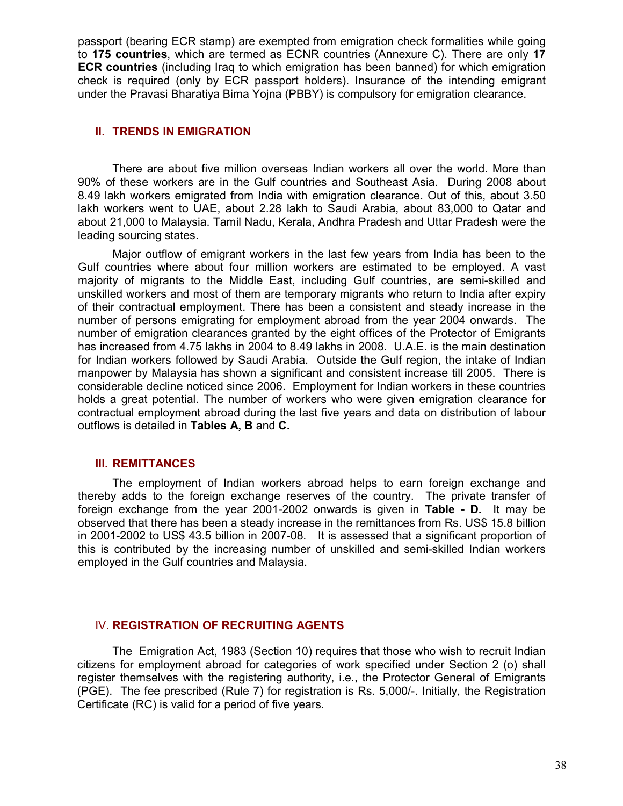passport (bearing ECR stamp) are exempted from emigration check formalities while going to 175 countries, which are termed as ECNR countries (Annexure C). There are only 17 ECR countries (including Iraq to which emigration has been banned) for which emigration check is required (only by ECR passport holders). Insurance of the intending emigrant under the Pravasi Bharatiya Bima Yojna (PBBY) is compulsory for emigration clearance.

#### II. TRENDS IN EMIGRATION

There are about five million overseas Indian workers all over the world. More than 90% of these workers are in the Gulf countries and Southeast Asia. During 2008 about 8.49 lakh workers emigrated from India with emigration clearance. Out of this, about 3.50 lakh workers went to UAE, about 2.28 lakh to Saudi Arabia, about 83,000 to Qatar and about 21,000 to Malaysia. Tamil Nadu, Kerala, Andhra Pradesh and Uttar Pradesh were the leading sourcing states.

Major outflow of emigrant workers in the last few years from India has been to the Gulf countries where about four million workers are estimated to be employed. A vast majority of migrants to the Middle East, including Gulf countries, are semi-skilled and unskilled workers and most of them are temporary migrants who return to India after expiry of their contractual employment. There has been a consistent and steady increase in the number of persons emigrating for employment abroad from the year 2004 onwards. The number of emigration clearances granted by the eight offices of the Protector of Emigrants has increased from 4.75 lakhs in 2004 to 8.49 lakhs in 2008. U.A.E. is the main destination for Indian workers followed by Saudi Arabia. Outside the Gulf region, the intake of Indian manpower by Malaysia has shown a significant and consistent increase till 2005. There is considerable decline noticed since 2006. Employment for Indian workers in these countries holds a great potential. The number of workers who were given emigration clearance for contractual employment abroad during the last five years and data on distribution of labour outflows is detailed in Tables A, B and C.

#### III. REMITTANCES

The employment of Indian workers abroad helps to earn foreign exchange and thereby adds to the foreign exchange reserves of the country. The private transfer of foreign exchange from the year 2001-2002 onwards is given in Table - D. It may be observed that there has been a steady increase in the remittances from Rs. US\$ 15.8 billion in 2001-2002 to US\$ 43.5 billion in 2007-08. It is assessed that a significant proportion of this is contributed by the increasing number of unskilled and semi-skilled Indian workers employed in the Gulf countries and Malaysia.

#### IV. REGISTRATION OF RECRUITING AGENTS

 The Emigration Act, 1983 (Section 10) requires that those who wish to recruit Indian citizens for employment abroad for categories of work specified under Section 2 (o) shall register themselves with the registering authority, i.e., the Protector General of Emigrants (PGE). The fee prescribed (Rule 7) for registration is Rs. 5,000/-. Initially, the Registration Certificate (RC) is valid for a period of five years.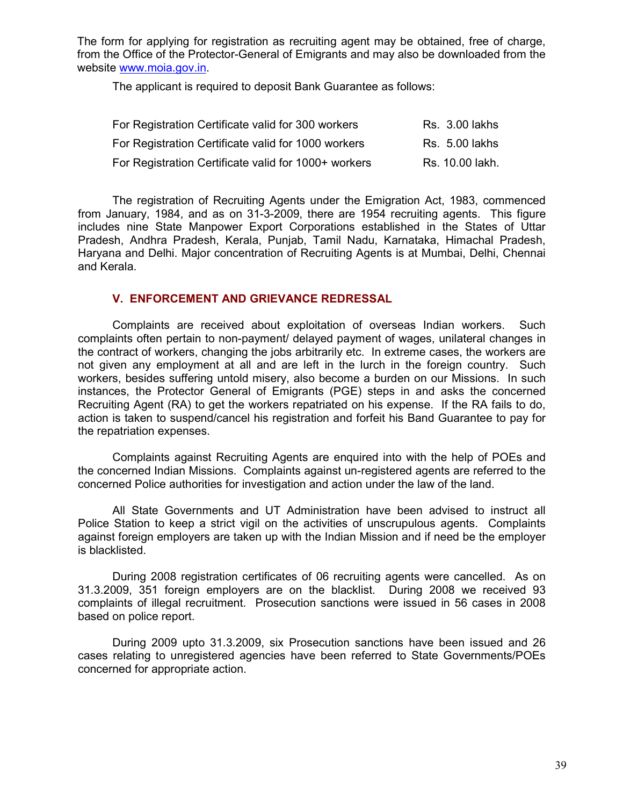The form for applying for registration as recruiting agent may be obtained, free of charge, from the Office of the Protector-General of Emigrants and may also be downloaded from the website www.moia.gov.in.

The applicant is required to deposit Bank Guarantee as follows:

| For Registration Certificate valid for 300 workers   | <b>Rs. 3.00 lakhs</b> |
|------------------------------------------------------|-----------------------|
| For Registration Certificate valid for 1000 workers  | <b>Rs.</b> 5.00 lakhs |
| For Registration Certificate valid for 1000+ workers | Rs. 10.00 lakh.       |

 The registration of Recruiting Agents under the Emigration Act, 1983, commenced from January, 1984, and as on 31-3-2009, there are 1954 recruiting agents. This figure includes nine State Manpower Export Corporations established in the States of Uttar Pradesh, Andhra Pradesh, Kerala, Punjab, Tamil Nadu, Karnataka, Himachal Pradesh, Haryana and Delhi. Major concentration of Recruiting Agents is at Mumbai, Delhi, Chennai and Kerala.

#### V. ENFORCEMENT AND GRIEVANCE REDRESSAL

 Complaints are received about exploitation of overseas Indian workers. Such complaints often pertain to non-payment/ delayed payment of wages, unilateral changes in the contract of workers, changing the jobs arbitrarily etc. In extreme cases, the workers are not given any employment at all and are left in the lurch in the foreign country. Such workers, besides suffering untold misery, also become a burden on our Missions. In such instances, the Protector General of Emigrants (PGE) steps in and asks the concerned Recruiting Agent (RA) to get the workers repatriated on his expense. If the RA fails to do, action is taken to suspend/cancel his registration and forfeit his Band Guarantee to pay for the repatriation expenses.

 Complaints against Recruiting Agents are enquired into with the help of POEs and the concerned Indian Missions. Complaints against un-registered agents are referred to the concerned Police authorities for investigation and action under the law of the land.

 All State Governments and UT Administration have been advised to instruct all Police Station to keep a strict vigil on the activities of unscrupulous agents. Complaints against foreign employers are taken up with the Indian Mission and if need be the employer is blacklisted.

 During 2008 registration certificates of 06 recruiting agents were cancelled. As on 31.3.2009, 351 foreign employers are on the blacklist. During 2008 we received 93 complaints of illegal recruitment. Prosecution sanctions were issued in 56 cases in 2008 based on police report.

 During 2009 upto 31.3.2009, six Prosecution sanctions have been issued and 26 cases relating to unregistered agencies have been referred to State Governments/POEs concerned for appropriate action.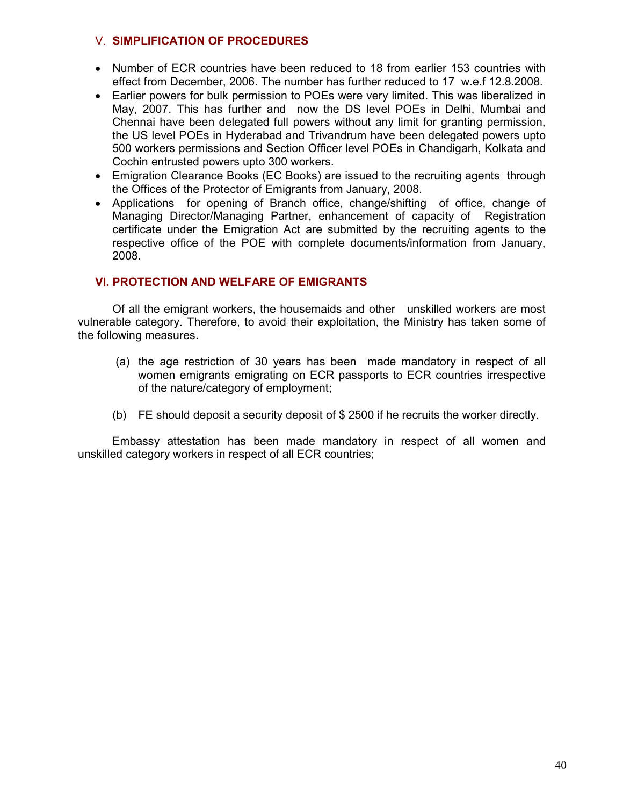#### V. SIMPLIFICATION OF PROCEDURES

- Number of ECR countries have been reduced to 18 from earlier 153 countries with effect from December, 2006. The number has further reduced to 17 w.e.f 12.8.2008.
- Earlier powers for bulk permission to POEs were very limited. This was liberalized in May, 2007. This has further and now the DS level POEs in Delhi, Mumbai and Chennai have been delegated full powers without any limit for granting permission, the US level POEs in Hyderabad and Trivandrum have been delegated powers upto 500 workers permissions and Section Officer level POEs in Chandigarh, Kolkata and Cochin entrusted powers upto 300 workers.
- Emigration Clearance Books (EC Books) are issued to the recruiting agents through the Offices of the Protector of Emigrants from January, 2008.
- Applications for opening of Branch office, change/shifting of office, change of Managing Director/Managing Partner, enhancement of capacity of Registration certificate under the Emigration Act are submitted by the recruiting agents to the respective office of the POE with complete documents/information from January, 2008.

#### VI. PROTECTION AND WELFARE OF EMIGRANTS

 Of all the emigrant workers, the housemaids and other unskilled workers are most vulnerable category. Therefore, to avoid their exploitation, the Ministry has taken some of the following measures.

- (a) the age restriction of 30 years has been made mandatory in respect of all women emigrants emigrating on ECR passports to ECR countries irrespective of the nature/category of employment;
- (b) FE should deposit a security deposit of \$ 2500 if he recruits the worker directly.

 Embassy attestation has been made mandatory in respect of all women and unskilled category workers in respect of all ECR countries;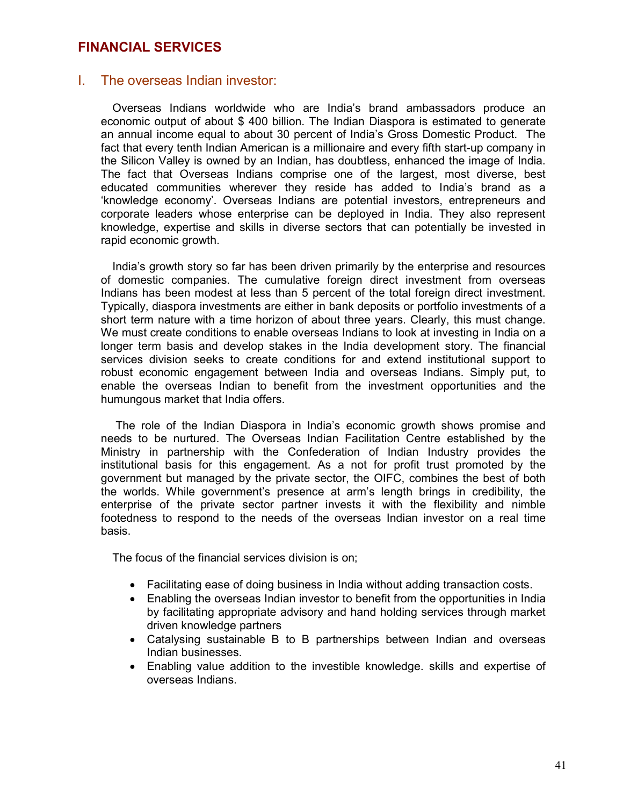## FINANCIAL SERVICES

## I. The overseas Indian investor:

Overseas Indians worldwide who are India's brand ambassadors produce an economic output of about \$ 400 billion. The Indian Diaspora is estimated to generate an annual income equal to about 30 percent of India's Gross Domestic Product. The fact that every tenth Indian American is a millionaire and every fifth start-up company in the Silicon Valley is owned by an Indian, has doubtless, enhanced the image of India. The fact that Overseas Indians comprise one of the largest, most diverse, best educated communities wherever they reside has added to India's brand as a 'knowledge economy'. Overseas Indians are potential investors, entrepreneurs and corporate leaders whose enterprise can be deployed in India. They also represent knowledge, expertise and skills in diverse sectors that can potentially be invested in rapid economic growth.

India's growth story so far has been driven primarily by the enterprise and resources of domestic companies. The cumulative foreign direct investment from overseas Indians has been modest at less than 5 percent of the total foreign direct investment. Typically, diaspora investments are either in bank deposits or portfolio investments of a short term nature with a time horizon of about three years. Clearly, this must change. We must create conditions to enable overseas Indians to look at investing in India on a longer term basis and develop stakes in the India development story. The financial services division seeks to create conditions for and extend institutional support to robust economic engagement between India and overseas Indians. Simply put, to enable the overseas Indian to benefit from the investment opportunities and the humungous market that India offers.

 The role of the Indian Diaspora in India's economic growth shows promise and needs to be nurtured. The Overseas Indian Facilitation Centre established by the Ministry in partnership with the Confederation of Indian Industry provides the institutional basis for this engagement. As a not for profit trust promoted by the government but managed by the private sector, the OIFC, combines the best of both the worlds. While government's presence at arm's length brings in credibility, the enterprise of the private sector partner invests it with the flexibility and nimble footedness to respond to the needs of the overseas Indian investor on a real time basis.

The focus of the financial services division is on;

- Facilitating ease of doing business in India without adding transaction costs.
- Enabling the overseas Indian investor to benefit from the opportunities in India by facilitating appropriate advisory and hand holding services through market driven knowledge partners
- Catalysing sustainable B to B partnerships between Indian and overseas Indian businesses.
- Enabling value addition to the investible knowledge. skills and expertise of overseas Indians.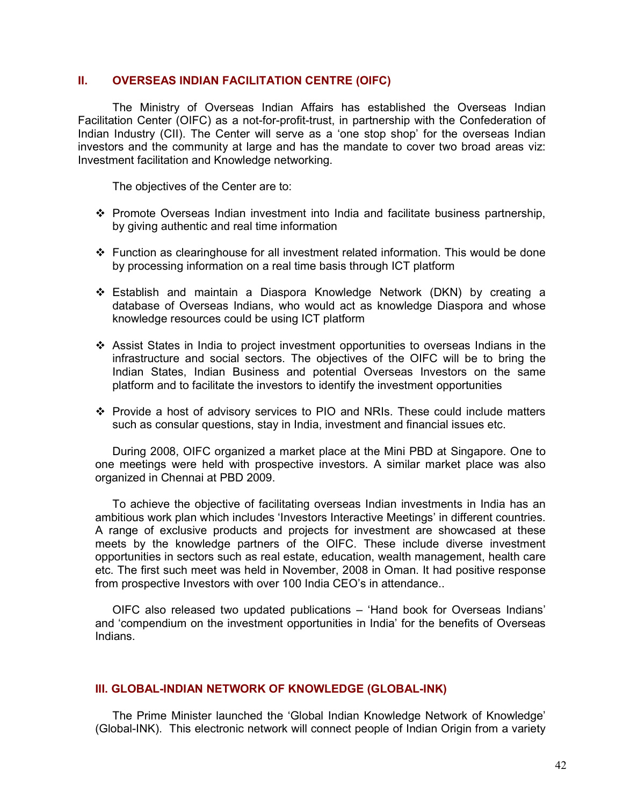#### II. OVERSEAS INDIAN FACILITATION CENTRE (OIFC)

The Ministry of Overseas Indian Affairs has established the Overseas Indian Facilitation Center (OIFC) as a not-for-profit-trust, in partnership with the Confederation of Indian Industry (CII). The Center will serve as a 'one stop shop' for the overseas Indian investors and the community at large and has the mandate to cover two broad areas viz: Investment facilitation and Knowledge networking.

The objectives of the Center are to:

- Promote Overseas Indian investment into India and facilitate business partnership, by giving authentic and real time information
- Function as clearinghouse for all investment related information. This would be done by processing information on a real time basis through ICT platform
- Establish and maintain a Diaspora Knowledge Network (DKN) by creating a database of Overseas Indians, who would act as knowledge Diaspora and whose knowledge resources could be using ICT platform
- Assist States in India to project investment opportunities to overseas Indians in the infrastructure and social sectors. The objectives of the OIFC will be to bring the Indian States, Indian Business and potential Overseas Investors on the same platform and to facilitate the investors to identify the investment opportunities
- Provide a host of advisory services to PIO and NRIs. These could include matters such as consular questions, stay in India, investment and financial issues etc.

 During 2008, OIFC organized a market place at the Mini PBD at Singapore. One to one meetings were held with prospective investors. A similar market place was also organized in Chennai at PBD 2009.

 To achieve the objective of facilitating overseas Indian investments in India has an ambitious work plan which includes 'Investors Interactive Meetings' in different countries. A range of exclusive products and projects for investment are showcased at these meets by the knowledge partners of the OIFC. These include diverse investment opportunities in sectors such as real estate, education, wealth management, health care etc. The first such meet was held in November, 2008 in Oman. It had positive response from prospective Investors with over 100 India CEO's in attendance..

 OIFC also released two updated publications – 'Hand book for Overseas Indians' and 'compendium on the investment opportunities in India' for the benefits of Overseas Indians.

#### III. GLOBAL-INDIAN NETWORK OF KNOWLEDGE (GLOBAL-INK)

 The Prime Minister launched the 'Global Indian Knowledge Network of Knowledge' (Global-INK). This electronic network will connect people of Indian Origin from a variety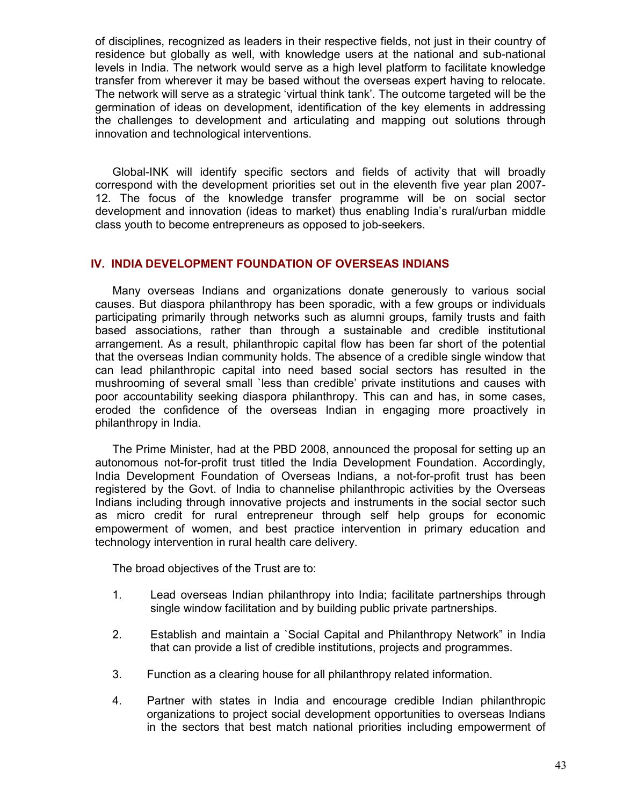of disciplines, recognized as leaders in their respective fields, not just in their country of residence but globally as well, with knowledge users at the national and sub-national levels in India. The network would serve as a high level platform to facilitate knowledge transfer from wherever it may be based without the overseas expert having to relocate. The network will serve as a strategic 'virtual think tank'. The outcome targeted will be the germination of ideas on development, identification of the key elements in addressing the challenges to development and articulating and mapping out solutions through innovation and technological interventions.

 Global-INK will identify specific sectors and fields of activity that will broadly correspond with the development priorities set out in the eleventh five year plan 2007- 12. The focus of the knowledge transfer programme will be on social sector development and innovation (ideas to market) thus enabling India's rural/urban middle class youth to become entrepreneurs as opposed to job-seekers.

#### IV. INDIA DEVELOPMENT FOUNDATION OF OVERSEAS INDIANS

 Many overseas Indians and organizations donate generously to various social causes. But diaspora philanthropy has been sporadic, with a few groups or individuals participating primarily through networks such as alumni groups, family trusts and faith based associations, rather than through a sustainable and credible institutional arrangement. As a result, philanthropic capital flow has been far short of the potential that the overseas Indian community holds. The absence of a credible single window that can lead philanthropic capital into need based social sectors has resulted in the mushrooming of several small `less than credible' private institutions and causes with poor accountability seeking diaspora philanthropy. This can and has, in some cases, eroded the confidence of the overseas Indian in engaging more proactively in philanthropy in India.

 The Prime Minister, had at the PBD 2008, announced the proposal for setting up an autonomous not-for-profit trust titled the India Development Foundation. Accordingly, India Development Foundation of Overseas Indians, a not-for-profit trust has been registered by the Govt. of India to channelise philanthropic activities by the Overseas Indians including through innovative projects and instruments in the social sector such as micro credit for rural entrepreneur through self help groups for economic empowerment of women, and best practice intervention in primary education and technology intervention in rural health care delivery.

The broad objectives of the Trust are to:

- 1. Lead overseas Indian philanthropy into India; facilitate partnerships through single window facilitation and by building public private partnerships.
- 2. Establish and maintain a `Social Capital and Philanthropy Network" in India that can provide a list of credible institutions, projects and programmes.
- 3. Function as a clearing house for all philanthropy related information.
- 4. Partner with states in India and encourage credible Indian philanthropic organizations to project social development opportunities to overseas Indians in the sectors that best match national priorities including empowerment of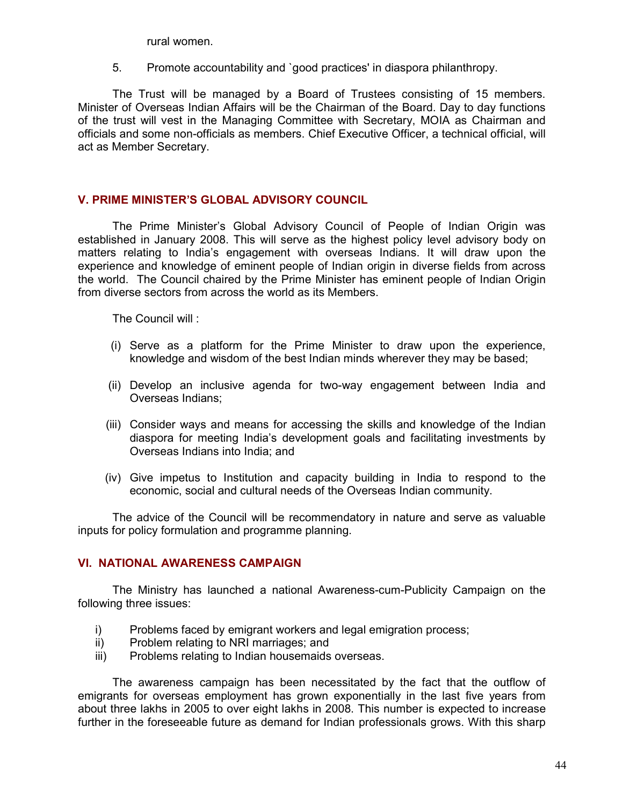rural women.

5. Promote accountability and `good practices' in diaspora philanthropy.

 The Trust will be managed by a Board of Trustees consisting of 15 members. Minister of Overseas Indian Affairs will be the Chairman of the Board. Day to day functions of the trust will vest in the Managing Committee with Secretary, MOIA as Chairman and officials and some non-officials as members. Chief Executive Officer, a technical official, will act as Member Secretary.

#### V. PRIME MINISTER'S GLOBAL ADVISORY COUNCIL

 The Prime Minister's Global Advisory Council of People of Indian Origin was established in January 2008. This will serve as the highest policy level advisory body on matters relating to India's engagement with overseas Indians. It will draw upon the experience and knowledge of eminent people of Indian origin in diverse fields from across the world. The Council chaired by the Prime Minister has eminent people of Indian Origin from diverse sectors from across the world as its Members.

The Council will :

- (i) Serve as a platform for the Prime Minister to draw upon the experience, knowledge and wisdom of the best Indian minds wherever they may be based;
- (ii) Develop an inclusive agenda for two-way engagement between India and Overseas Indians;
- (iii) Consider ways and means for accessing the skills and knowledge of the Indian diaspora for meeting India's development goals and facilitating investments by Overseas Indians into India; and
- (iv) Give impetus to Institution and capacity building in India to respond to the economic, social and cultural needs of the Overseas Indian community.

 The advice of the Council will be recommendatory in nature and serve as valuable inputs for policy formulation and programme planning.

#### VI. NATIONAL AWARENESS CAMPAIGN

The Ministry has launched a national Awareness-cum-Publicity Campaign on the following three issues:

- i) Problems faced by emigrant workers and legal emigration process;
- ii) Problem relating to NRI marriages; and
- iii) Problems relating to Indian housemaids overseas.

The awareness campaign has been necessitated by the fact that the outflow of emigrants for overseas employment has grown exponentially in the last five years from about three lakhs in 2005 to over eight lakhs in 2008. This number is expected to increase further in the foreseeable future as demand for Indian professionals grows. With this sharp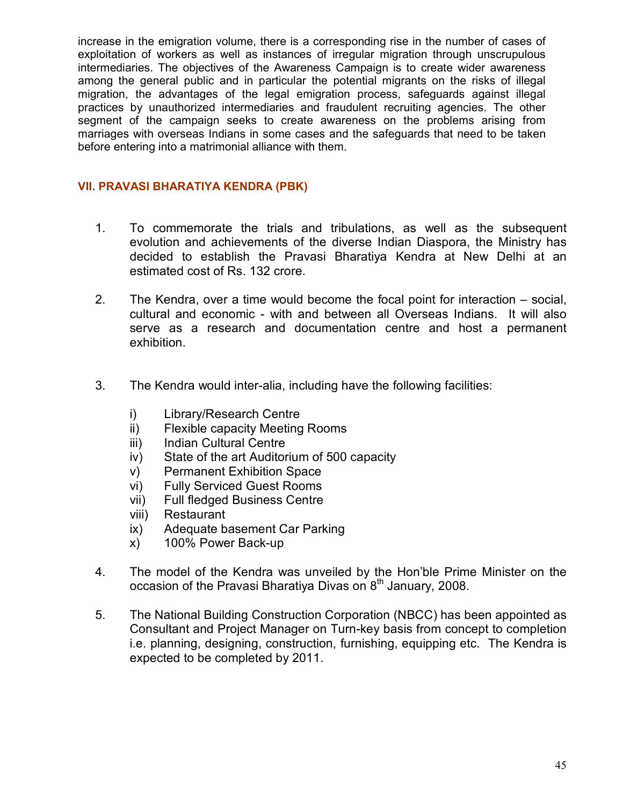increase in the emigration volume, there is a corresponding rise in the number of cases of exploitation of workers as well as instances of irregular migration through unscrupulous intermediaries. The objectives of the Awareness Campaign is to create wider awareness among the general public and in particular the potential migrants on the risks of illegal migration, the advantages of the legal emigration process, safeguards against illegal practices by unauthorized intermediaries and fraudulent recruiting agencies. The other segment of the campaign seeks to create awareness on the problems arising from marriages with overseas Indians in some cases and the safeguards that need to be taken before entering into a matrimonial alliance with them.

## VII. PRAVASI BHARATIYA KENDRA (PBK)

- 1. To commemorate the trials and tribulations, as well as the subsequent evolution and achievements of the diverse Indian Diaspora, the Ministry has decided to establish the Pravasi Bharatiya Kendra at New Delhi at an estimated cost of Rs. 132 crore.
- 2. The Kendra, over a time would become the focal point for interaction social, cultural and economic - with and between all Overseas Indians. It will also serve as a research and documentation centre and host a permanent exhibition.
- 3. The Kendra would inter-alia, including have the following facilities:
	- i) Library/Research Centre
	- ii) Flexible capacity Meeting Rooms
	- iii) Indian Cultural Centre
	- iv) State of the art Auditorium of 500 capacity
	- v) Permanent Exhibition Space
	- vi) Fully Serviced Guest Rooms
	- vii) Full fledged Business Centre
	- viii) Restaurant
	- ix) Adequate basement Car Parking
	- x) 100% Power Back-up
- 4. The model of the Kendra was unveiled by the Hon'ble Prime Minister on the occasion of the Pravasi Bharatiya Divas on 8<sup>th</sup> January, 2008.
- 5. The National Building Construction Corporation (NBCC) has been appointed as Consultant and Project Manager on Turn-key basis from concept to completion i.e. planning, designing, construction, furnishing, equipping etc. The Kendra is expected to be completed by 2011.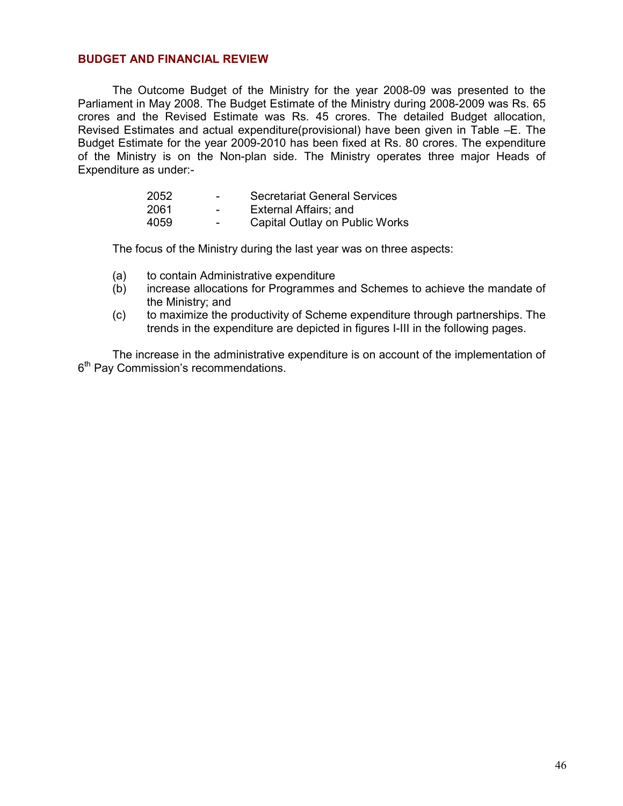#### BUDGET AND FINANCIAL REVIEW

The Outcome Budget of the Ministry for the year 2008-09 was presented to the Parliament in May 2008. The Budget Estimate of the Ministry during 2008-2009 was Rs. 65 crores and the Revised Estimate was Rs. 45 crores. The detailed Budget allocation, Revised Estimates and actual expenditure(provisional) have been given in Table –E. The Budget Estimate for the year 2009-2010 has been fixed at Rs. 80 crores. The expenditure of the Ministry is on the Non-plan side. The Ministry operates three major Heads of Expenditure as under:-

| 2052 | $\overline{\phantom{0}}$ | <b>Secretariat General Services</b> |
|------|--------------------------|-------------------------------------|
| 2061 | $\overline{\phantom{0}}$ | External Affairs; and               |
| 4059 | $\overline{\phantom{0}}$ | Capital Outlay on Public Works      |

The focus of the Ministry during the last year was on three aspects:

- (a) to contain Administrative expenditure
- (b) increase allocations for Programmes and Schemes to achieve the mandate of the Ministry; and
- (c) to maximize the productivity of Scheme expenditure through partnerships. The trends in the expenditure are depicted in figures I-III in the following pages.

 The increase in the administrative expenditure is on account of the implementation of 6<sup>th</sup> Pay Commission's recommendations.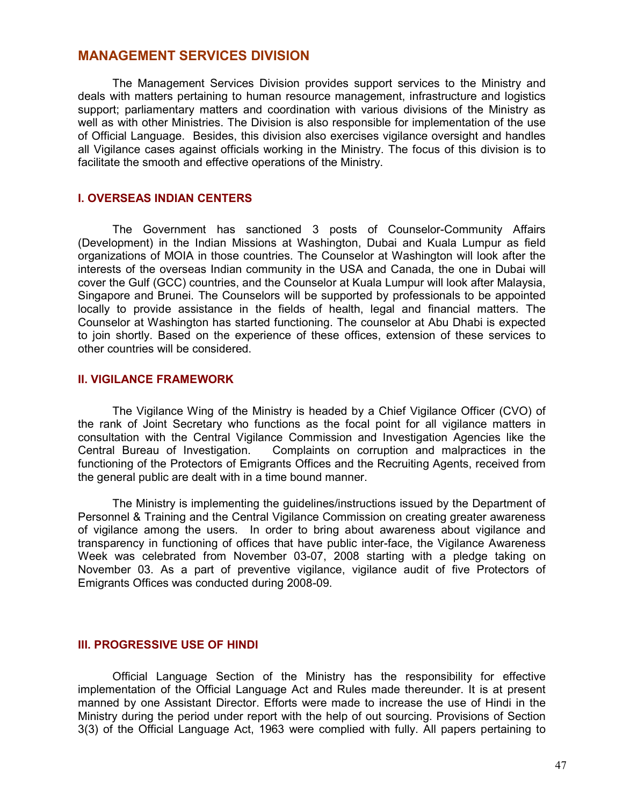## MANAGEMENT SERVICES DIVISION

The Management Services Division provides support services to the Ministry and deals with matters pertaining to human resource management, infrastructure and logistics support; parliamentary matters and coordination with various divisions of the Ministry as well as with other Ministries. The Division is also responsible for implementation of the use of Official Language. Besides, this division also exercises vigilance oversight and handles all Vigilance cases against officials working in the Ministry. The focus of this division is to facilitate the smooth and effective operations of the Ministry.

#### I. OVERSEAS INDIAN CENTERS

The Government has sanctioned 3 posts of Counselor-Community Affairs (Development) in the Indian Missions at Washington, Dubai and Kuala Lumpur as field organizations of MOIA in those countries. The Counselor at Washington will look after the interests of the overseas Indian community in the USA and Canada, the one in Dubai will cover the Gulf (GCC) countries, and the Counselor at Kuala Lumpur will look after Malaysia, Singapore and Brunei. The Counselors will be supported by professionals to be appointed locally to provide assistance in the fields of health, legal and financial matters. The Counselor at Washington has started functioning. The counselor at Abu Dhabi is expected to join shortly. Based on the experience of these offices, extension of these services to other countries will be considered.

#### II. VIGILANCE FRAMEWORK

The Vigilance Wing of the Ministry is headed by a Chief Vigilance Officer (CVO) of the rank of Joint Secretary who functions as the focal point for all vigilance matters in consultation with the Central Vigilance Commission and Investigation Agencies like the Central Bureau of Investigation. Complaints on corruption and malpractices in the functioning of the Protectors of Emigrants Offices and the Recruiting Agents, received from the general public are dealt with in a time bound manner.

The Ministry is implementing the guidelines/instructions issued by the Department of Personnel & Training and the Central Vigilance Commission on creating greater awareness of vigilance among the users. In order to bring about awareness about vigilance and transparency in functioning of offices that have public inter-face, the Vigilance Awareness Week was celebrated from November 03-07, 2008 starting with a pledge taking on November 03. As a part of preventive vigilance, vigilance audit of five Protectors of Emigrants Offices was conducted during 2008-09.

#### III. PROGRESSIVE USE OF HINDI

Official Language Section of the Ministry has the responsibility for effective implementation of the Official Language Act and Rules made thereunder. It is at present manned by one Assistant Director. Efforts were made to increase the use of Hindi in the Ministry during the period under report with the help of out sourcing. Provisions of Section 3(3) of the Official Language Act, 1963 were complied with fully. All papers pertaining to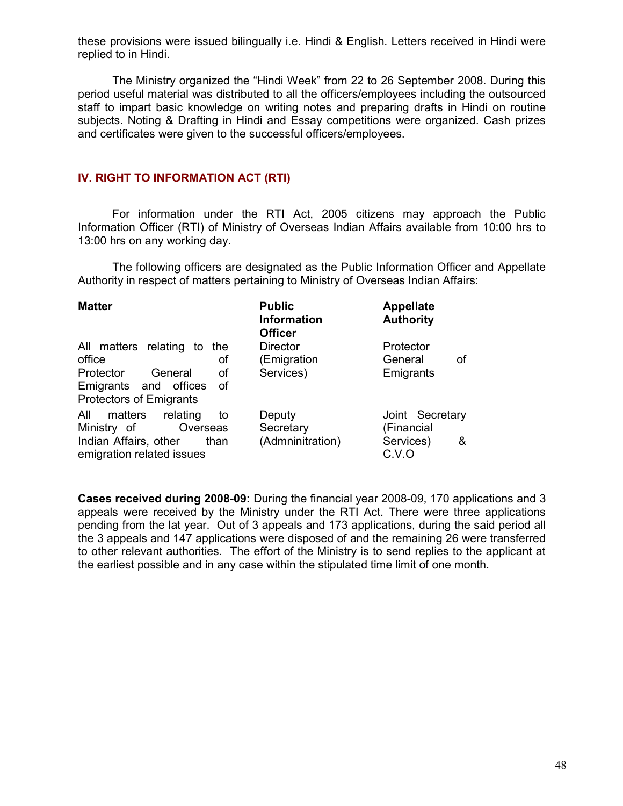these provisions were issued bilingually i.e. Hindi & English. Letters received in Hindi were replied to in Hindi.

The Ministry organized the "Hindi Week" from 22 to 26 September 2008. During this period useful material was distributed to all the officers/employees including the outsourced staff to impart basic knowledge on writing notes and preparing drafts in Hindi on routine subjects. Noting & Drafting in Hindi and Essay competitions were organized. Cash prizes and certificates were given to the successful officers/employees.

#### IV. RIGHT TO INFORMATION ACT (RTI)

For information under the RTI Act, 2005 citizens may approach the Public Information Officer (RTI) of Ministry of Overseas Indian Affairs available from 10:00 hrs to 13:00 hrs on any working day.

The following officers are designated as the Public Information Officer and Appellate Authority in respect of matters pertaining to Ministry of Overseas Indian Affairs:

| <b>Matter</b>                                              | <b>Public</b><br><b>Information</b><br><b>Officer</b> | <b>Appellate</b><br><b>Authority</b> |
|------------------------------------------------------------|-------------------------------------------------------|--------------------------------------|
| All matters relating to the                                | <b>Director</b>                                       | Protector                            |
| office<br>οf                                               | (Emigration                                           | General<br>οf                        |
| Protector<br>οf<br>General                                 | Services)                                             | Emigrants                            |
| Emigrants and offices<br>0f                                |                                                       |                                      |
| <b>Protectors of Emigrants</b>                             |                                                       |                                      |
| matters<br>All<br>relating<br>to                           | Deputy                                                | Joint Secretary                      |
| Ministry of<br>Overseas                                    | Secretary                                             | (Financial                           |
| Indian Affairs, other<br>than<br>emigration related issues | (Admninitration)                                      | Services)<br>&<br>C.V.O              |

Cases received during 2008-09: During the financial year 2008-09, 170 applications and 3 appeals were received by the Ministry under the RTI Act. There were three applications pending from the lat year. Out of 3 appeals and 173 applications, during the said period all the 3 appeals and 147 applications were disposed of and the remaining 26 were transferred to other relevant authorities. The effort of the Ministry is to send replies to the applicant at the earliest possible and in any case within the stipulated time limit of one month.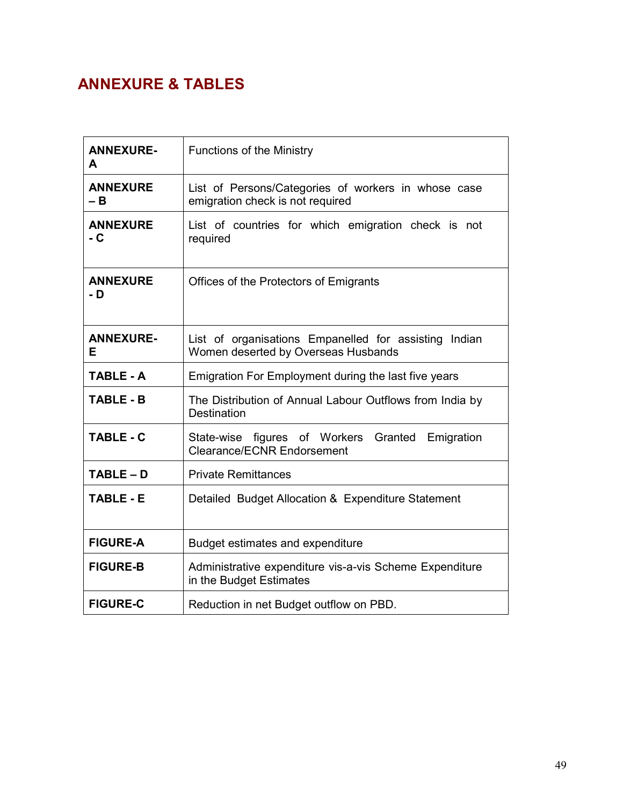## ANNEXURE & TABLES

| <b>ANNEXURE-</b><br>A   | <b>Functions of the Ministry</b>                                                             |
|-------------------------|----------------------------------------------------------------------------------------------|
| <b>ANNEXURE</b><br>– B  | List of Persons/Categories of workers in whose case<br>emigration check is not required      |
| <b>ANNEXURE</b><br>$-C$ | List of countries for which emigration check is not<br>required                              |
| <b>ANNEXURE</b><br>- D  | Offices of the Protectors of Emigrants                                                       |
| <b>ANNEXURE-</b><br>Е   | List of organisations Empanelled for assisting Indian<br>Women deserted by Overseas Husbands |
| <b>TABLE - A</b>        | Emigration For Employment during the last five years                                         |
| <b>TABLE - B</b>        | The Distribution of Annual Labour Outflows from India by<br><b>Destination</b>               |
| <b>TABLE - C</b>        | State-wise figures of Workers Granted<br>Emigration<br><b>Clearance/ECNR Endorsement</b>     |
| TABLE-D                 | <b>Private Remittances</b>                                                                   |
| <b>TABLE - E</b>        | Detailed Budget Allocation & Expenditure Statement                                           |
| <b>FIGURE-A</b>         | Budget estimates and expenditure                                                             |
| <b>FIGURE-B</b>         | Administrative expenditure vis-a-vis Scheme Expenditure<br>in the Budget Estimates           |
| <b>FIGURE-C</b>         | Reduction in net Budget outflow on PBD.                                                      |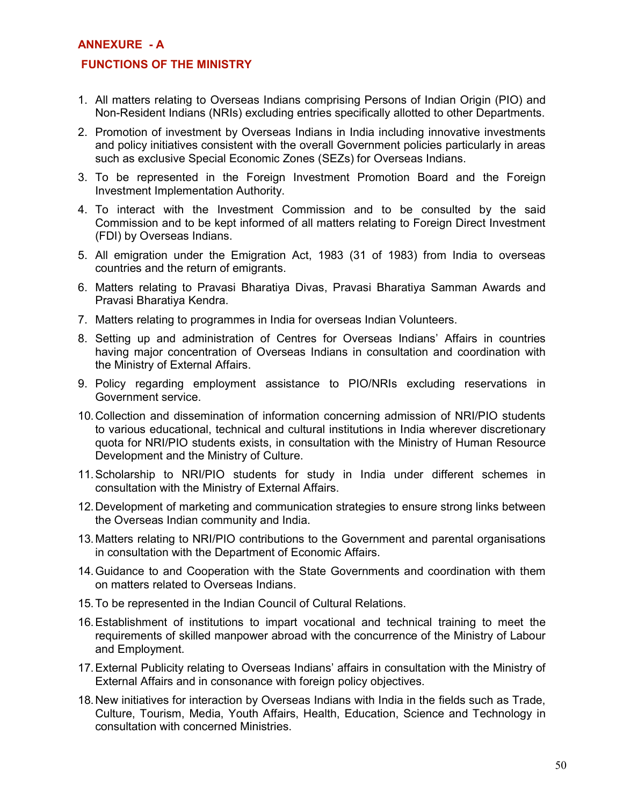#### ANNEXURE - A

#### FUNCTIONS OF THE MINISTRY

- 1. All matters relating to Overseas Indians comprising Persons of Indian Origin (PIO) and Non-Resident Indians (NRIs) excluding entries specifically allotted to other Departments.
- 2. Promotion of investment by Overseas Indians in India including innovative investments and policy initiatives consistent with the overall Government policies particularly in areas such as exclusive Special Economic Zones (SEZs) for Overseas Indians.
- 3. To be represented in the Foreign Investment Promotion Board and the Foreign Investment Implementation Authority.
- 4. To interact with the Investment Commission and to be consulted by the said Commission and to be kept informed of all matters relating to Foreign Direct Investment (FDI) by Overseas Indians.
- 5. All emigration under the Emigration Act, 1983 (31 of 1983) from India to overseas countries and the return of emigrants.
- 6. Matters relating to Pravasi Bharatiya Divas, Pravasi Bharatiya Samman Awards and Pravasi Bharatiya Kendra.
- 7. Matters relating to programmes in India for overseas Indian Volunteers.
- 8. Setting up and administration of Centres for Overseas Indians' Affairs in countries having major concentration of Overseas Indians in consultation and coordination with the Ministry of External Affairs.
- 9. Policy regarding employment assistance to PIO/NRIs excluding reservations in Government service.
- 10. Collection and dissemination of information concerning admission of NRI/PIO students to various educational, technical and cultural institutions in India wherever discretionary quota for NRI/PIO students exists, in consultation with the Ministry of Human Resource Development and the Ministry of Culture.
- 11. Scholarship to NRI/PIO students for study in India under different schemes in consultation with the Ministry of External Affairs.
- 12. Development of marketing and communication strategies to ensure strong links between the Overseas Indian community and India.
- 13. Matters relating to NRI/PIO contributions to the Government and parental organisations in consultation with the Department of Economic Affairs.
- 14. Guidance to and Cooperation with the State Governments and coordination with them on matters related to Overseas Indians.
- 15. To be represented in the Indian Council of Cultural Relations.
- 16. Establishment of institutions to impart vocational and technical training to meet the requirements of skilled manpower abroad with the concurrence of the Ministry of Labour and Employment.
- 17. External Publicity relating to Overseas Indians' affairs in consultation with the Ministry of External Affairs and in consonance with foreign policy objectives.
- 18. New initiatives for interaction by Overseas Indians with India in the fields such as Trade, Culture, Tourism, Media, Youth Affairs, Health, Education, Science and Technology in consultation with concerned Ministries.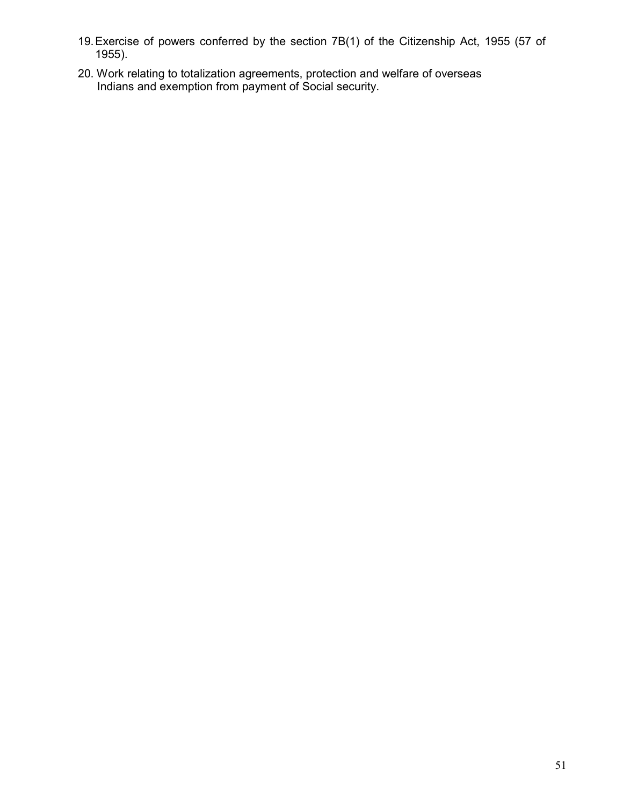- 19. Exercise of powers conferred by the section 7B(1) of the Citizenship Act, 1955 (57 of 1955).
- 20. Work relating to totalization agreements, protection and welfare of overseas Indians and exemption from payment of Social security.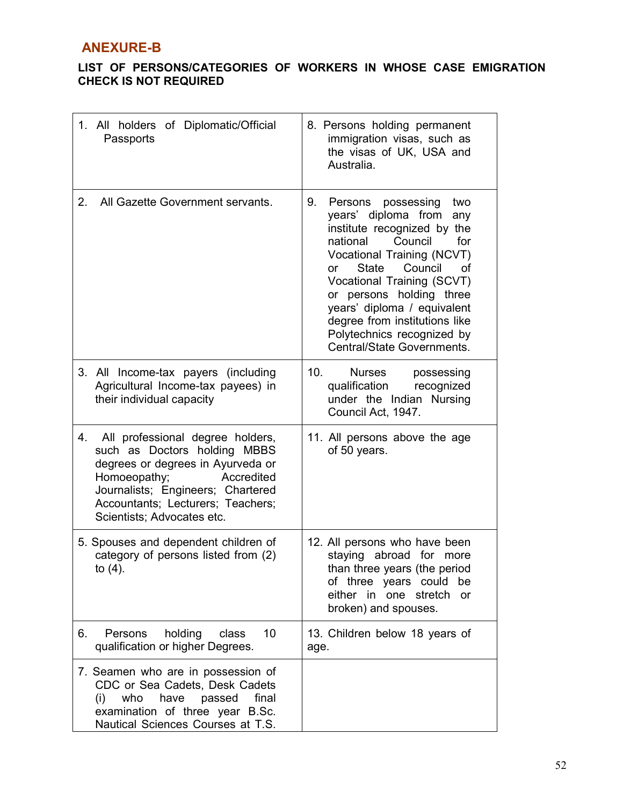## ANEXURE-B

## LIST OF PERSONS/CATEGORIES OF WORKERS IN WHOSE CASE EMIGRATION CHECK IS NOT REQUIRED

| 1. All holders of Diplomatic/Official<br>Passports                                                                                                                                                                                                | 8. Persons holding permanent<br>immigration visas, such as<br>the visas of UK, USA and<br>Australia.                                                                                                                                                                                                                                                                                  |
|---------------------------------------------------------------------------------------------------------------------------------------------------------------------------------------------------------------------------------------------------|---------------------------------------------------------------------------------------------------------------------------------------------------------------------------------------------------------------------------------------------------------------------------------------------------------------------------------------------------------------------------------------|
| All Gazette Government servants.<br>2.                                                                                                                                                                                                            | 9.<br>Persons<br>possessing<br>two<br>years' diploma from any<br>institute recognized by the<br>national<br>Council<br>for<br>Vocational Training (NCVT)<br>Council<br><b>State</b><br>οf<br>or<br>Vocational Training (SCVT)<br>or persons holding three<br>years' diploma / equivalent<br>degree from institutions like<br>Polytechnics recognized by<br>Central/State Governments. |
| All Income-tax payers (including<br>3.<br>Agricultural Income-tax payees) in<br>their individual capacity                                                                                                                                         | 10.<br>Nurses<br>possessing<br>qualification<br>recognized<br>under the Indian Nursing<br>Council Act, 1947.                                                                                                                                                                                                                                                                          |
| All professional degree holders,<br>4.<br>such as Doctors holding MBBS<br>degrees or degrees in Ayurveda or<br>Homoeopathy;<br>Accredited<br>Journalists; Engineers; Chartered<br>Accountants; Lecturers; Teachers;<br>Scientists; Advocates etc. | 11. All persons above the age<br>of 50 years.                                                                                                                                                                                                                                                                                                                                         |
| 5. Spouses and dependent children of<br>category of persons listed from (2)<br>to $(4)$ .                                                                                                                                                         | 12. All persons who have been<br>staying abroad<br>for<br>more<br>than three years (the period<br>of three years could be<br>either in one stretch<br>or<br>broken) and spouses.                                                                                                                                                                                                      |
| holding<br>10<br>6.<br>Persons<br>class<br>qualification or higher Degrees.                                                                                                                                                                       | 13. Children below 18 years of<br>age.                                                                                                                                                                                                                                                                                                                                                |
| 7. Seamen who are in possession of<br>CDC or Sea Cadets, Desk Cadets<br>(i)<br>who<br>have<br>passed<br>final<br>examination of three year B.Sc.<br>Nautical Sciences Courses at T.S.                                                             |                                                                                                                                                                                                                                                                                                                                                                                       |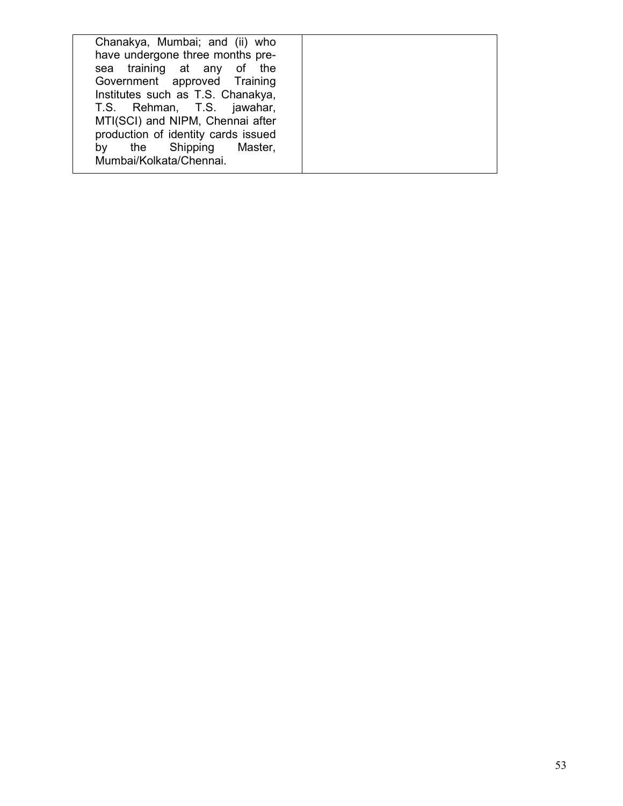| Chanakya, Mumbai; and (ii) who<br>have undergone three months pre-<br>sea training at any of the<br>Government approved Training<br>Institutes such as T.S. Chanakya,<br>T.S. Rehman, T.S. jawahar,<br>MTI(SCI) and NIPM, Chennai after<br>production of identity cards issued<br>by the Shipping Master, |  |
|-----------------------------------------------------------------------------------------------------------------------------------------------------------------------------------------------------------------------------------------------------------------------------------------------------------|--|
| Mumbai/Kolkata/Chennai.                                                                                                                                                                                                                                                                                   |  |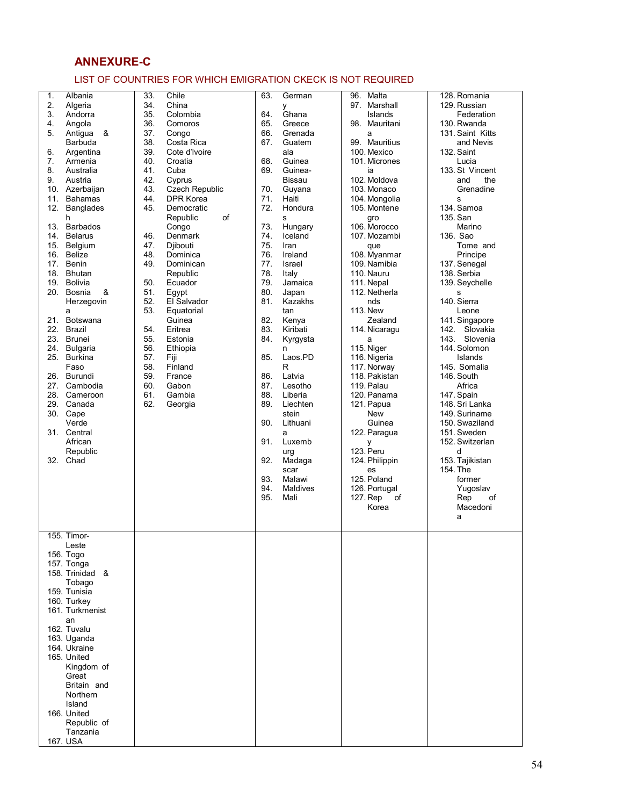## ANNEXURE-C

#### LIST OF COUNTRIES FOR WHICH EMIGRATION CKECK IS NOT REQUIRED

| 1.<br>2.<br>3.<br>4.<br>5.<br>6.<br>7.<br>8.<br>9.<br>11.<br>12.<br>13.<br>14.<br>15.<br>17.<br>19.<br>20.<br>21.<br>22.<br>23.<br>24.<br>25.<br>26.<br>27.<br>32. | Albania<br>Algeria<br>Andorra<br>Angola<br>Antigua<br>&<br>Barbuda<br>Argentina<br>Armenia<br>Australia<br>Austria<br>10. Azerbaijan<br><b>Bahamas</b><br>Banglades<br>h<br><b>Barbados</b><br><b>Belarus</b><br>Belgium<br>16. Belize<br>Benin<br>18. Bhutan<br>Bolivia<br>Bosnia<br>&<br>Herzegovin<br>a<br>Botswana<br>Brazil<br><b>Brunei</b><br>Bulgaria<br><b>Burkina</b><br>Faso<br>Burundi<br>Cambodia<br>28. Cameroon<br>29. Canada<br>30. Cape<br>Verde<br>31. Central<br>African<br>Republic<br>Chad | 33.<br>Chile<br>34.<br>China<br>35.<br>Colombia<br>36.<br>Comoros<br>37.<br>Congo<br>38.<br>Costa Rica<br>39.<br>Cote d'Ivoire<br>40.<br>Croatia<br>41.<br>Cuba<br>42.<br>Cyprus<br>Czech Republic<br>43.<br>44.<br><b>DPR Korea</b><br>45.<br>Democratic<br>of<br>Republic<br>Congo<br>46.<br>Denmark<br>47.<br>Djibouti<br>48.<br>Dominica<br>49.<br>Dominican<br>Republic<br>50.<br>Ecuador<br>51.<br>Egypt<br>52.<br>El Salvador<br>53.<br>Equatorial<br>Guinea<br>54.<br>Eritrea<br>55.<br>Estonia<br>56.<br>Ethiopia<br>57.<br>Fiji<br>58.<br>Finland<br>59.<br>France<br>60.<br>Gabon<br>61.<br>Gambia<br>62.<br>Georgia | 63.<br>64.<br>65.<br>66.<br>67.<br>68.<br>69.<br>70.<br>71.<br>72.<br>73.<br>74.<br>75.<br>76.<br>77.<br>78.<br>79.<br>80.<br>81.<br>82.<br>83.<br>84.<br>85.<br>86.<br>87.<br>88.<br>89.<br>90.<br>91.<br>92.<br>93.<br>94.<br>95. | German<br>У<br>Ghana<br>Greece<br>Grenada<br>Guatem<br>ala<br>Guinea<br>Guinea-<br><b>Bissau</b><br>Guyana<br>Haiti<br>Hondura<br>s<br>Hungary<br>Iceland<br>Iran<br>Ireland<br>Israel<br>Italy<br>Jamaica<br>Japan<br>Kazakhs<br>tan<br>Kenya<br>Kiribati<br>Kyrgysta<br>n<br>Laos.PD<br>R<br>Latvia<br>Lesotho<br>Liberia<br>Liechten<br>stein<br>Lithuani<br>a<br>Luxemb<br>urg<br>Madaga<br>scar<br>Malawi<br>Maldives<br>Mali | 96. Malta<br>97. Marshall<br>Islands<br>98. Mauritani<br>a<br>99. Mauritius<br>100. Mexico<br>101. Micrones<br>ia<br>102. Moldova<br>103. Monaco<br>104. Mongolia<br>105. Montene<br>gro<br>106. Morocco<br>107. Mozambi<br>que<br>108. Myanmar<br>109. Namibia<br>110. Nauru<br>111. Nepal<br>112. Netherla<br>nds<br>113. New<br>Zealand<br>114. Nicaragu<br>a<br>115. Niger<br>116. Nigeria<br>117. Norway<br>118. Pakistan<br>119. Palau<br>120. Panama<br>121. Papua<br><b>New</b><br>Guinea<br>122. Paragua<br>у<br>123. Peru<br>124. Philippin<br>es<br>125. Poland<br>126. Portugal<br>127. Rep<br>of<br>Korea | 128. Romania<br>129. Russian<br>Federation<br>130. Rwanda<br>131. Saint Kitts<br>and Nevis<br>132. Saint<br>Lucia<br>133. St Vincent<br>and<br>the<br>Grenadine<br>s<br>134. Samoa<br>135. San<br>Marino<br>136. Sao<br>Tome and<br>Principe<br>137. Senegal<br>138. Serbia<br>139. Seychelle<br>s<br>140. Sierra<br>Leone<br>141. Singapore<br>142. Slovakia<br>143. Slovenia<br>144. Solomon<br>Islands<br>145. Somalia<br>146. South<br>Africa<br>147. Spain<br>148. Sri Lanka<br>149. Suriname<br>150. Swaziland<br>151. Sweden<br>152. Switzerlan<br>d<br>153. Tajikistan<br>154. The<br>former<br>Yugoslav<br>Rep<br>of<br>Macedoni<br>a |
|--------------------------------------------------------------------------------------------------------------------------------------------------------------------|-----------------------------------------------------------------------------------------------------------------------------------------------------------------------------------------------------------------------------------------------------------------------------------------------------------------------------------------------------------------------------------------------------------------------------------------------------------------------------------------------------------------|---------------------------------------------------------------------------------------------------------------------------------------------------------------------------------------------------------------------------------------------------------------------------------------------------------------------------------------------------------------------------------------------------------------------------------------------------------------------------------------------------------------------------------------------------------------------------------------------------------------------------------|-------------------------------------------------------------------------------------------------------------------------------------------------------------------------------------------------------------------------------------|------------------------------------------------------------------------------------------------------------------------------------------------------------------------------------------------------------------------------------------------------------------------------------------------------------------------------------------------------------------------------------------------------------------------------------|------------------------------------------------------------------------------------------------------------------------------------------------------------------------------------------------------------------------------------------------------------------------------------------------------------------------------------------------------------------------------------------------------------------------------------------------------------------------------------------------------------------------------------------------------------------------------------------------------------------------|------------------------------------------------------------------------------------------------------------------------------------------------------------------------------------------------------------------------------------------------------------------------------------------------------------------------------------------------------------------------------------------------------------------------------------------------------------------------------------------------------------------------------------------------------------------------------------------------------------------------------------------------|
|                                                                                                                                                                    | 155. Timor-<br>Leste<br>156. Togo<br>157. Tonga<br>158. Trinidad &<br>Tobago<br>159. Tunisia<br>160. Turkey<br>161. Turkmenist<br>an<br>162. Tuvalu<br>163. Uganda<br>164. Ukraine<br>165. United<br>Kingdom of<br>Great<br>Britain and<br>Northern<br>Island<br>166. United<br>Republic of<br>Tanzania<br>167. USA                                                                                                                                                                                             |                                                                                                                                                                                                                                                                                                                                                                                                                                                                                                                                                                                                                                 |                                                                                                                                                                                                                                     |                                                                                                                                                                                                                                                                                                                                                                                                                                    |                                                                                                                                                                                                                                                                                                                                                                                                                                                                                                                                                                                                                        |                                                                                                                                                                                                                                                                                                                                                                                                                                                                                                                                                                                                                                                |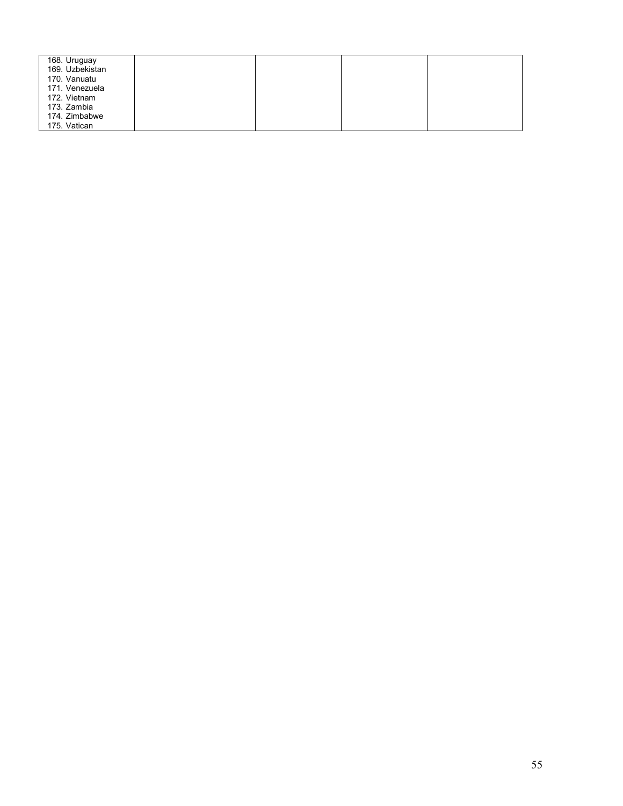| 168. Uruguay    |  |  |
|-----------------|--|--|
| 169. Uzbekistan |  |  |
| 170. Vanuatu    |  |  |
| 171. Venezuela  |  |  |
| 172. Vietnam    |  |  |
| 173. Zambia     |  |  |
| 174. Zimbabwe   |  |  |
| 175. Vatican    |  |  |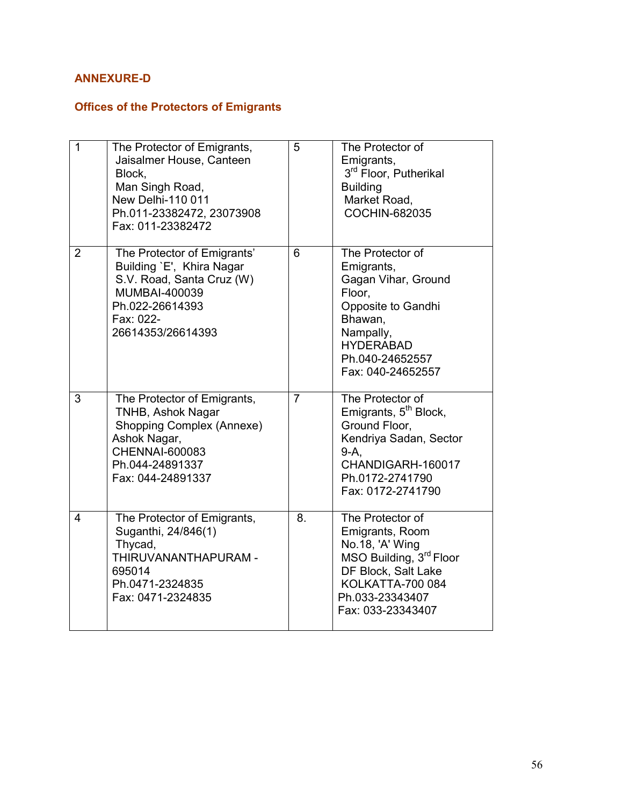## ANNEXURE-D

## Offices of the Protectors of Emigrants

| $\overline{1}$ | The Protector of Emigrants,<br>Jaisalmer House, Canteen<br>Block,<br>Man Singh Road,<br><b>New Delhi-110 011</b><br>Ph.011-23382472, 23073908<br>Fax: 011-23382472 | 5                | The Protector of<br>Emigrants,<br>3 <sup>rd</sup> Floor, Putherikal<br><b>Building</b><br>Market Road,<br>COCHIN-682035                                                     |
|----------------|--------------------------------------------------------------------------------------------------------------------------------------------------------------------|------------------|-----------------------------------------------------------------------------------------------------------------------------------------------------------------------------|
| $\overline{2}$ | The Protector of Emigrants'<br>Building `E', Khira Nagar<br>S.V. Road, Santa Cruz (W)<br>MUMBAI-400039<br>Ph.022-26614393<br>Fax: 022-<br>26614353/26614393        | $6\phantom{1}$   | The Protector of<br>Emigrants,<br>Gagan Vihar, Ground<br>Floor.<br>Opposite to Gandhi<br>Bhawan,<br>Nampally,<br><b>HYDERABAD</b><br>Ph.040-24652557<br>Fax: 040-24652557   |
| 3              | The Protector of Emigrants,<br>TNHB, Ashok Nagar<br>Shopping Complex (Annexe)<br>Ashok Nagar,<br><b>CHENNAI-600083</b><br>Ph.044-24891337<br>Fax: 044-24891337     | $\overline{7}$   | The Protector of<br>Emigrants, 5 <sup>th</sup> Block,<br>Ground Floor,<br>Kendriya Sadan, Sector<br>$9-A$ ,<br>CHANDIGARH-160017<br>Ph.0172-2741790<br>Fax: 0172-2741790    |
| $\overline{4}$ | The Protector of Emigrants,<br>Suganthi, 24/846(1)<br>Thycad,<br>THIRUVANANTHAPURAM -<br>695014<br>Ph.0471-2324835<br>Fax: 0471-2324835                            | $\overline{8}$ . | The Protector of<br>Emigrants, Room<br>No.18, 'A' Wing<br>MSO Building, 3rd Floor<br>DF Block, Salt Lake<br><b>KOLKATTA-700 084</b><br>Ph.033-23343407<br>Fax: 033-23343407 |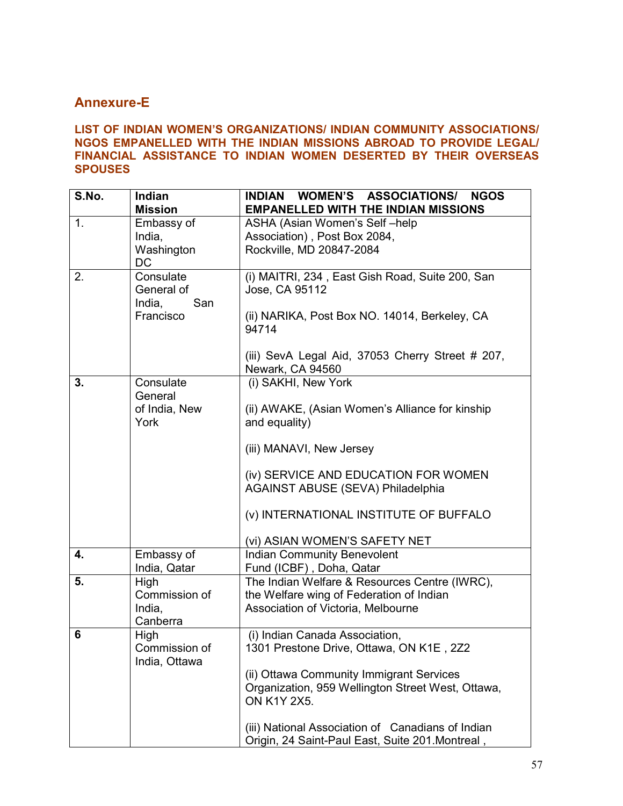## Annexure-E

#### LIST OF INDIAN WOMEN'S ORGANIZATIONS/ INDIAN COMMUNITY ASSOCIATIONS/ NGOS EMPANELLED WITH THE INDIAN MISSIONS ABROAD TO PROVIDE LEGAL/ FINANCIAL ASSISTANCE TO INDIAN WOMEN DESERTED BY THEIR OVERSEAS **SPOUSES**

| S.No. | <b>Indian</b><br><b>Mission</b>                       | WOMEN'S ASSOCIATIONS/<br><b>INDIAN</b><br><b>NGOS</b><br><b>EMPANELLED WITH THE INDIAN MISSIONS</b>                                                                                                                                                                                                 |
|-------|-------------------------------------------------------|-----------------------------------------------------------------------------------------------------------------------------------------------------------------------------------------------------------------------------------------------------------------------------------------------------|
| 1.    | Embassy of<br>India,<br>Washington<br>DC              | ASHA (Asian Women's Self-help<br>Association), Post Box 2084,<br>Rockville, MD 20847-2084                                                                                                                                                                                                           |
| 2.    | Consulate<br>General of<br>San<br>India,<br>Francisco | (i) MAITRI, 234, East Gish Road, Suite 200, San<br>Jose, CA 95112<br>(ii) NARIKA, Post Box NO. 14014, Berkeley, CA<br>94714<br>(iii) SevA Legal Aid, 37053 Cherry Street # 207,<br>Newark, CA 94560                                                                                                 |
| 3.    | Consulate<br>General<br>of India, New<br>York         | (i) SAKHI, New York<br>(ii) AWAKE, (Asian Women's Alliance for kinship<br>and equality)<br>(iii) MANAVI, New Jersey<br>(iv) SERVICE AND EDUCATION FOR WOMEN<br><b>AGAINST ABUSE (SEVA) Philadelphia</b><br>(v) INTERNATIONAL INSTITUTE OF BUFFALO<br>(vi) ASIAN WOMEN'S SAFETY NET                  |
| 4.    | Embassy of<br>India, Qatar                            | <b>Indian Community Benevolent</b><br>Fund (ICBF), Doha, Qatar                                                                                                                                                                                                                                      |
| 5.    | High<br>Commission of<br>India,<br>Canberra           | The Indian Welfare & Resources Centre (IWRC),<br>the Welfare wing of Federation of Indian<br>Association of Victoria, Melbourne                                                                                                                                                                     |
| 6     | High<br>Commission of<br>India, Ottawa                | (i) Indian Canada Association,<br>1301 Prestone Drive, Ottawa, ON K1E, 2Z2<br>(ii) Ottawa Community Immigrant Services<br>Organization, 959 Wellington Street West, Ottawa,<br>ON K1Y 2X5.<br>(iii) National Association of Canadians of Indian<br>Origin, 24 Saint-Paul East, Suite 201. Montreal, |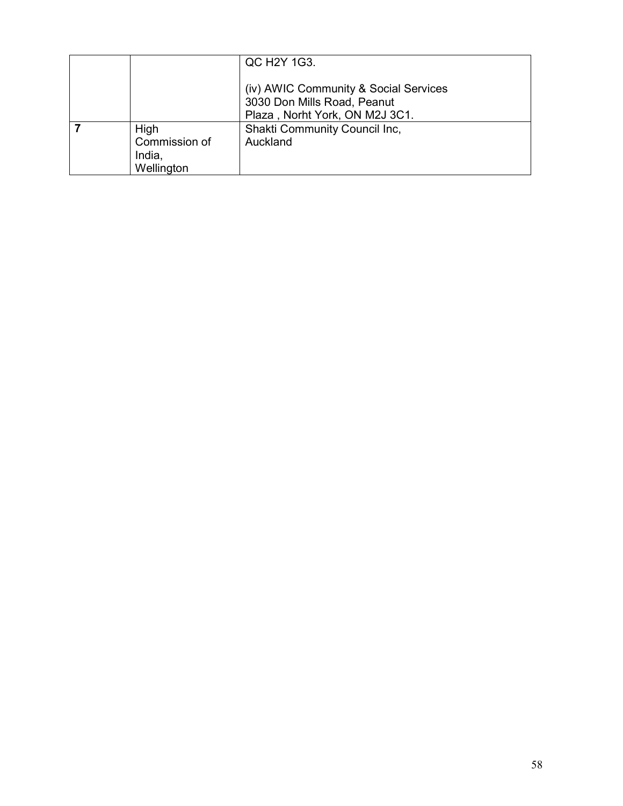|                       | QC H2Y 1G3.                                                                                            |
|-----------------------|--------------------------------------------------------------------------------------------------------|
|                       | (iv) AWIC Community & Social Services<br>3030 Don Mills Road, Peanut<br>Plaza, Norht York, ON M2J 3C1. |
| High<br>Commission of | Shakti Community Council Inc,<br>Auckland                                                              |
| India,<br>Wellington  |                                                                                                        |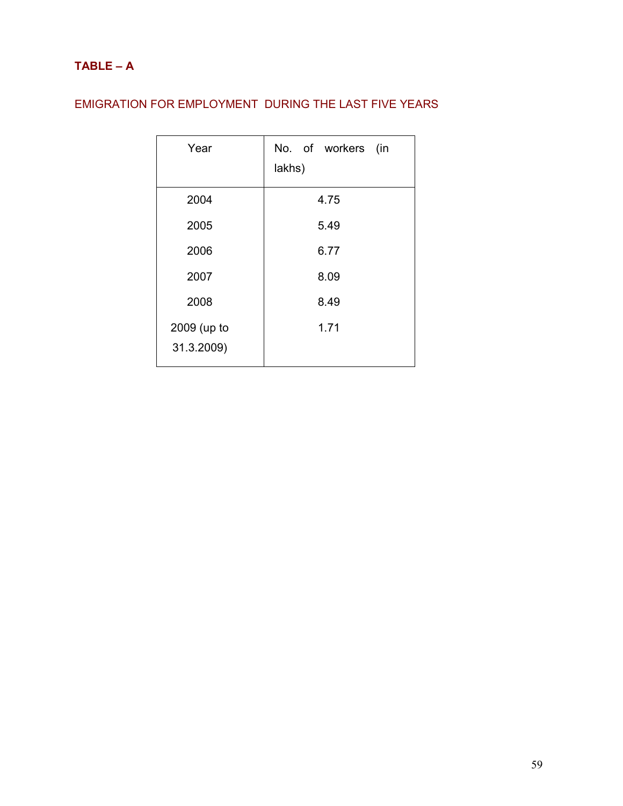## EMIGRATION FOR EMPLOYMENT DURING THE LAST FIVE YEARS

| Year                      | No. of workers (in<br>lakhs) |
|---------------------------|------------------------------|
| 2004                      | 4.75                         |
| 2005                      | 5.49                         |
| 2006                      | 6.77                         |
| 2007                      | 8.09                         |
| 2008                      | 8.49                         |
| 2009 (up to<br>31.3.2009) | 1.71                         |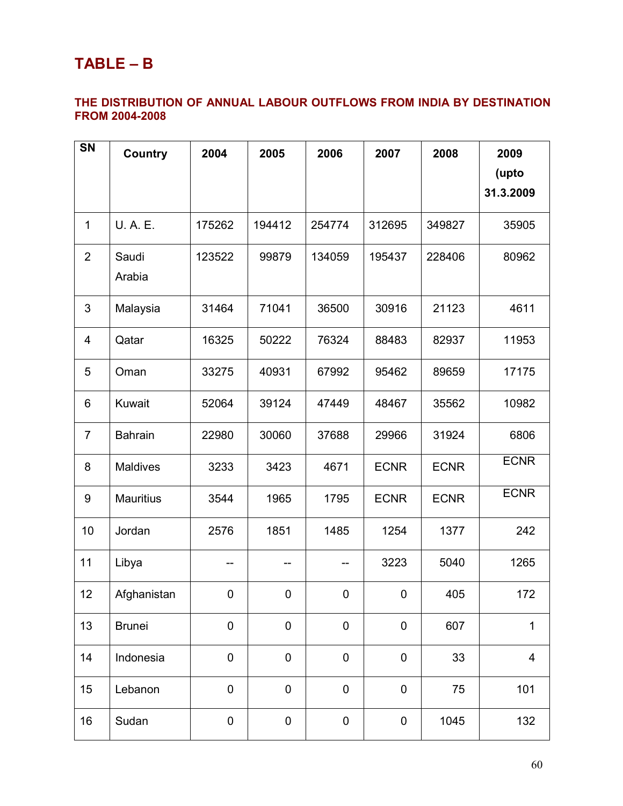# TABLE – B

## THE DISTRIBUTION OF ANNUAL LABOUR OUTFLOWS FROM INDIA BY DESTINATION FROM 2004-2008

| <b>SN</b>      | Country          | 2004      | 2005        | 2006             | 2007        | 2008        | 2009<br>(upto<br>31.3.2009 |
|----------------|------------------|-----------|-------------|------------------|-------------|-------------|----------------------------|
| 1              | U. A. E.         | 175262    | 194412      | 254774           | 312695      | 349827      | 35905                      |
| $\overline{2}$ | Saudi<br>Arabia  | 123522    | 99879       | 134059           | 195437      | 228406      | 80962                      |
| 3              | Malaysia         | 31464     | 71041       | 36500            | 30916       | 21123       | 4611                       |
| 4              | Qatar            | 16325     | 50222       | 76324            | 88483       | 82937       | 11953                      |
| 5              | Oman             | 33275     | 40931       | 67992            | 95462       | 89659       | 17175                      |
| 6              | Kuwait           | 52064     | 39124       | 47449            | 48467       | 35562       | 10982                      |
| $\overline{7}$ | <b>Bahrain</b>   | 22980     | 30060       | 37688            | 29966       | 31924       | 6806                       |
| 8              | <b>Maldives</b>  | 3233      | 3423        | 4671             | <b>ECNR</b> | <b>ECNR</b> | <b>ECNR</b>                |
| 9              | <b>Mauritius</b> | 3544      | 1965        | 1795             | <b>ECNR</b> | <b>ECNR</b> | <b>ECNR</b>                |
| 10             | Jordan           | 2576      | 1851        | 1485             | 1254        | 1377        | 242                        |
| 11             | Libya            |           |             |                  | 3223        | 5040        | 1265                       |
| 12             | Afghanistan      | 0         | 0           | 0                | $\pmb{0}$   | 405         | 172                        |
| 13             | <b>Brunei</b>    | $\pmb{0}$ | $\pmb{0}$   | $\mathbf 0$      | $\pmb{0}$   | 607         | $\mathbf 1$                |
| 14             | Indonesia        | $\pmb{0}$ | $\mathbf 0$ | $\boldsymbol{0}$ | $\pmb{0}$   | 33          | 4                          |
| 15             | Lebanon          | $\pmb{0}$ | $\pmb{0}$   | $\mathbf 0$      | $\pmb{0}$   | 75          | 101                        |
| 16             | Sudan            | $\pmb{0}$ | $\pmb{0}$   | $\pmb{0}$        | $\pmb{0}$   | 1045        | 132                        |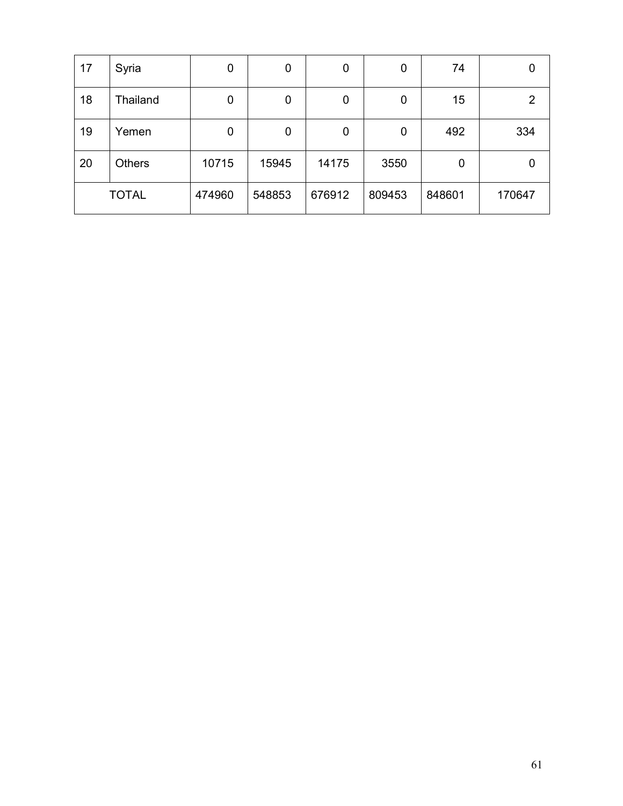| 17 | Syria         | 0      | 0      | 0      | 0      | 74     |        |
|----|---------------|--------|--------|--------|--------|--------|--------|
| 18 | Thailand      | 0      | 0      | 0      | 0      | 15     |        |
| 19 | Yemen         | 0      | 0      | 0      | 0      | 492    | 334    |
| 20 | <b>Others</b> | 10715  | 15945  | 14175  | 3550   | 0      |        |
|    | <b>TOTAL</b>  | 474960 | 548853 | 676912 | 809453 | 848601 | 170647 |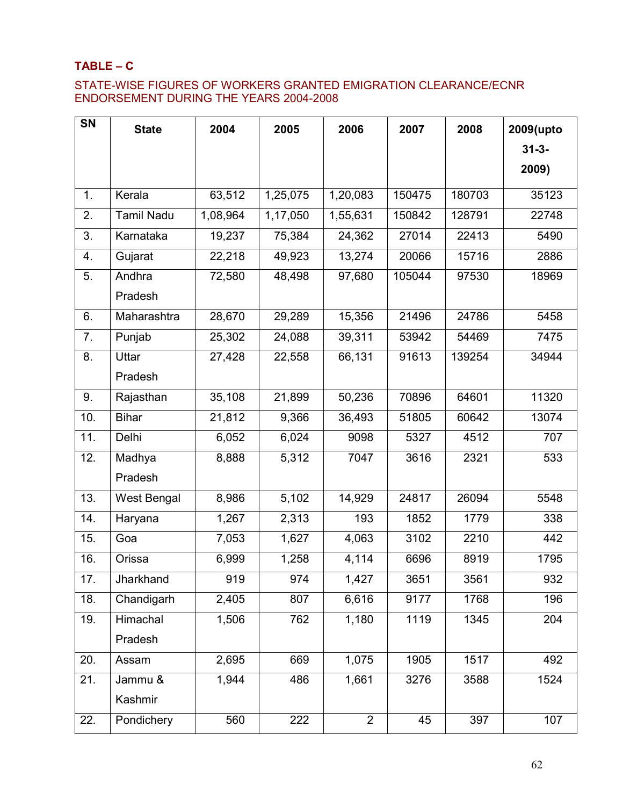#### TABLE – C

#### STATE-WISE FIGURES OF WORKERS GRANTED EMIGRATION CLEARANCE/ECNR ENDORSEMENT DURING THE YEARS 2004-2008

| SN  | <b>State</b>      | 2004     | 2005     | 2006           | 2007   | 2008   | 2009(upto  |
|-----|-------------------|----------|----------|----------------|--------|--------|------------|
|     |                   |          |          |                |        |        | $31 - 3 -$ |
|     |                   |          |          |                |        |        | 2009)      |
| 1.  | Kerala            | 63,512   | 1,25,075 | 1,20,083       | 150475 | 180703 | 35123      |
| 2.  | <b>Tamil Nadu</b> | 1,08,964 | 1,17,050 | 1,55,631       | 150842 | 128791 | 22748      |
| 3.  | Karnataka         | 19,237   | 75,384   | 24,362         | 27014  | 22413  | 5490       |
| 4.  | Gujarat           | 22,218   | 49,923   | 13,274         | 20066  | 15716  | 2886       |
| 5.  | Andhra            | 72,580   | 48,498   | 97,680         | 105044 | 97530  | 18969      |
|     | Pradesh           |          |          |                |        |        |            |
| 6.  | Maharashtra       | 28,670   | 29,289   | 15,356         | 21496  | 24786  | 5458       |
| 7.  | Punjab            | 25,302   | 24,088   | 39,311         | 53942  | 54469  | 7475       |
| 8.  | Uttar             | 27,428   | 22,558   | 66,131         | 91613  | 139254 | 34944      |
|     | Pradesh           |          |          |                |        |        |            |
| 9.  | Rajasthan         | 35,108   | 21,899   | 50,236         | 70896  | 64601  | 11320      |
| 10. | <b>Bihar</b>      | 21,812   | 9,366    | 36,493         | 51805  | 60642  | 13074      |
| 11. | Delhi             | 6,052    | 6,024    | 9098           | 5327   | 4512   | 707        |
| 12. | Madhya            | 8,888    | 5,312    | 7047           | 3616   | 2321   | 533        |
|     | Pradesh           |          |          |                |        |        |            |
| 13. | West Bengal       | 8,986    | 5,102    | 14,929         | 24817  | 26094  | 5548       |
| 14. | Haryana           | 1,267    | 2,313    | 193            | 1852   | 1779   | 338        |
| 15. | Goa               | 7,053    | 1,627    | 4,063          | 3102   | 2210   | 442        |
| 16. | Orissa            | 6,999    | 1,258    | 4,114          | 6696   | 8919   | 1795       |
| 17. | Jharkhand         | 919      | 974      | 1,427          | 3651   | 3561   | 932        |
| 18. | Chandigarh        | 2,405    | 807      | 6,616          | 9177   | 1768   | 196        |
| 19. | Himachal          | 1,506    | 762      | 1,180          | 1119   | 1345   | 204        |
|     | Pradesh           |          |          |                |        |        |            |
| 20. | Assam             | 2,695    | 669      | 1,075          | 1905   | 1517   | 492        |
| 21. | Jammu &           | 1,944    | 486      | 1,661          | 3276   | 3588   | 1524       |
|     | Kashmir           |          |          |                |        |        |            |
| 22. | Pondichery        | 560      | 222      | $\overline{2}$ | 45     | 397    | 107        |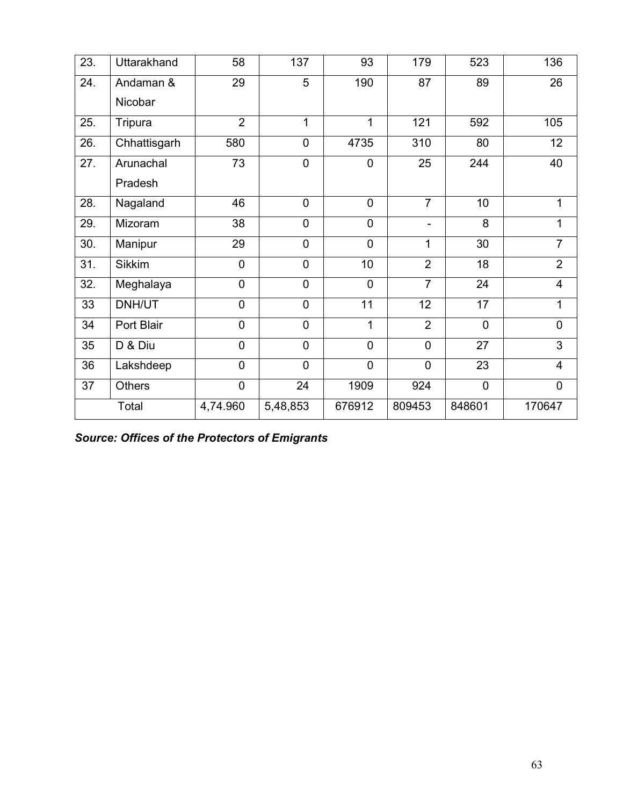| 23. | Uttarakhand   | 58             | 137            | 93             | 179            | 523            | 136                     |
|-----|---------------|----------------|----------------|----------------|----------------|----------------|-------------------------|
| 24. | Andaman &     | 29             | 5              | 190            | 87             | 89             | 26                      |
|     | Nicobar       |                |                |                |                |                |                         |
| 25. | Tripura       | $\overline{2}$ | 1              | 1              | 121            | 592            | 105                     |
| 26. | Chhattisgarh  | 580            | $\overline{0}$ | 4735           | 310            | 80             | 12                      |
| 27. | Arunachal     | 73             | $\mathbf 0$    | $\mathbf 0$    | 25             | 244            | 40                      |
|     | Pradesh       |                |                |                |                |                |                         |
| 28. | Nagaland      | 46             | $\overline{0}$ | $\overline{0}$ | $\overline{7}$ | 10             | 1                       |
| 29. | Mizoram       | 38             | $\mathbf 0$    | $\mathbf 0$    |                | 8              | 1                       |
| 30. | Manipur       | 29             | $\mathbf 0$    | $\mathbf 0$    | 1              | 30             | $\overline{7}$          |
| 31. | <b>Sikkim</b> | $\mathbf 0$    | $\mathbf 0$    | 10             | $\overline{2}$ | 18             | $\overline{2}$          |
| 32. | Meghalaya     | $\mathbf 0$    | $\mathbf 0$    | $\mathbf 0$    | $\overline{7}$ | 24             | $\overline{\mathbf{4}}$ |
| 33  | DNH/UT        | $\mathbf 0$    | $\mathbf 0$    | 11             | 12             | 17             | $\mathbf{1}$            |
| 34  | Port Blair    | $\overline{0}$ | $\mathbf 0$    | 1              | $\overline{2}$ | $\overline{0}$ | $\mathbf 0$             |
| 35  | D & Diu       | $\overline{0}$ | $\overline{0}$ | $\overline{0}$ | $\overline{0}$ | 27             | 3                       |
| 36  | Lakshdeep     | $\overline{0}$ | $\overline{0}$ | $\overline{0}$ | $\mathbf 0$    | 23             | $\overline{4}$          |
| 37  | <b>Others</b> | $\overline{0}$ | 24             | 1909           | 924            | 0              | $\mathbf 0$             |
|     | Total         | 4,74.960       | 5,48,853       | 676912         | 809453         | 848601         | 170647                  |

Source: Offices of the Protectors of Emigrants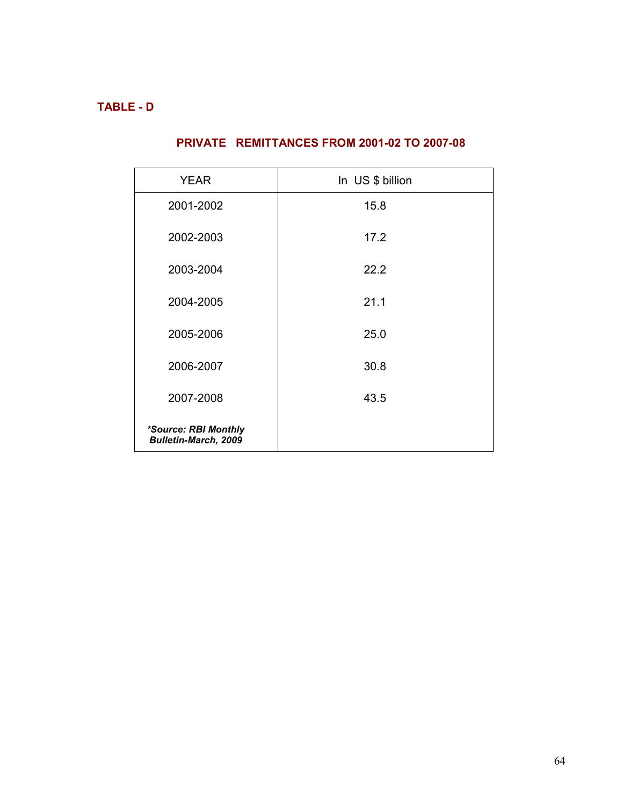## TABLE - D

## PRIVATE REMITTANCES FROM 2001-02 TO 2007-08

| <b>YEAR</b>                                         | In US \$ billion |
|-----------------------------------------------------|------------------|
| 2001-2002                                           | 15.8             |
| 2002-2003                                           | 17.2             |
| 2003-2004                                           | 22.2             |
| 2004-2005                                           | 21.1             |
| 2005-2006                                           | 25.0             |
| 2006-2007                                           | 30.8             |
| 2007-2008                                           | 43.5             |
| *Source: RBI Monthly<br><b>Bulletin-March, 2009</b> |                  |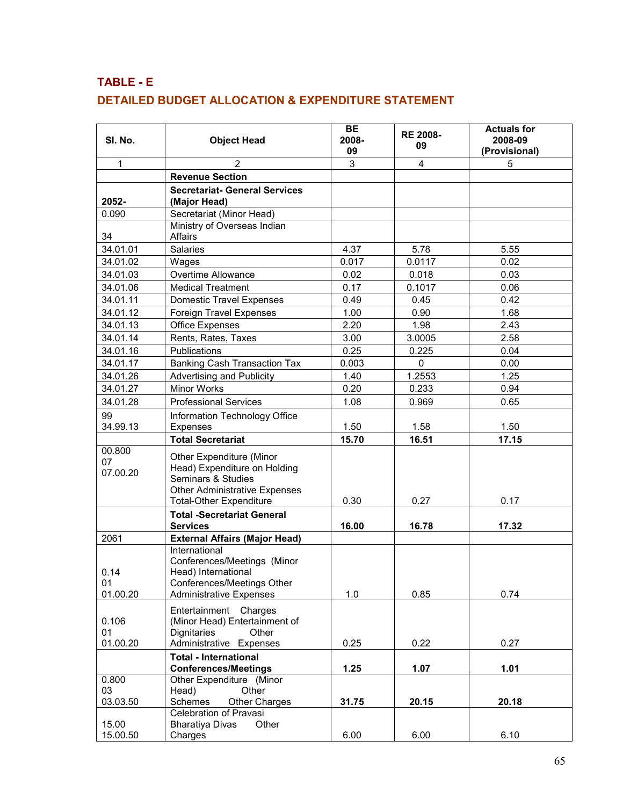## TABLE - E DETAILED BUDGET ALLOCATION & EXPENDITURE STATEMENT

| SI. No.                        | <b>Object Head</b>                                                                                                                                                          | <b>BE</b><br>2008-<br>09 | <b>RE 2008-</b><br>09 | <b>Actuals for</b><br>2008-09<br>(Provisional) |
|--------------------------------|-----------------------------------------------------------------------------------------------------------------------------------------------------------------------------|--------------------------|-----------------------|------------------------------------------------|
| 1                              | $\overline{2}$                                                                                                                                                              | 3                        | 4                     | 5                                              |
|                                | <b>Revenue Section</b>                                                                                                                                                      |                          |                       |                                                |
| 2052-                          | <b>Secretariat- General Services</b><br>(Major Head)                                                                                                                        |                          |                       |                                                |
| 0.090                          | Secretariat (Minor Head)                                                                                                                                                    |                          |                       |                                                |
| 34                             | Ministry of Overseas Indian<br>Affairs                                                                                                                                      |                          |                       |                                                |
| 34.01.01                       | Salaries                                                                                                                                                                    | 4.37                     | 5.78                  | 5.55                                           |
| 34.01.02                       | Wages                                                                                                                                                                       | 0.017                    | 0.0117                | 0.02                                           |
| 34.01.03                       | Overtime Allowance                                                                                                                                                          | 0.02                     | 0.018                 | 0.03                                           |
| 34.01.06                       | <b>Medical Treatment</b>                                                                                                                                                    | 0.17                     | 0.1017                | 0.06                                           |
| 34.01.11                       | <b>Domestic Travel Expenses</b>                                                                                                                                             | 0.49                     | 0.45                  | 0.42                                           |
| 34.01.12                       | Foreign Travel Expenses                                                                                                                                                     | 1.00                     | 0.90                  | 1.68                                           |
| 34.01.13                       | Office Expenses                                                                                                                                                             | 2.20                     | 1.98                  | 2.43                                           |
| 34.01.14                       | Rents, Rates, Taxes                                                                                                                                                         | 3.00                     | 3.0005                | 2.58                                           |
| 34.01.16                       | Publications                                                                                                                                                                | 0.25                     | 0.225                 | 0.04                                           |
| 34.01.17                       | <b>Banking Cash Transaction Tax</b>                                                                                                                                         | 0.003                    | 0                     | 0.00                                           |
| 34.01.26                       | <b>Advertising and Publicity</b>                                                                                                                                            | 1.40                     | 1.2553                | 1.25                                           |
| 34.01.27                       | Minor Works                                                                                                                                                                 | 0.20                     | 0.233                 | 0.94                                           |
| 34.01.28                       | <b>Professional Services</b>                                                                                                                                                | 1.08                     | 0.969                 | 0.65                                           |
| 99<br>34.99.13                 | Information Technology Office<br>Expenses                                                                                                                                   | 1.50                     | 1.58                  | 1.50                                           |
|                                | <b>Total Secretariat</b>                                                                                                                                                    | 15.70                    | 16.51                 | 17.15                                          |
| 00.800<br>07<br>07.00.20       | Other Expenditure (Minor<br>Head) Expenditure on Holding<br>Seminars & Studies<br><b>Other Administrative Expenses</b><br><b>Total-Other Expenditure</b>                    | 0.30                     | 0.27                  | 0.17                                           |
|                                | <b>Total -Secretariat General</b>                                                                                                                                           |                          |                       |                                                |
|                                | <b>Services</b>                                                                                                                                                             | 16.00                    | 16.78                 | 17.32                                          |
| 2061<br>0.14<br>01<br>01.00.20 | <b>External Affairs (Major Head)</b><br>International<br>Conferences/Meetings (Minor<br>Head) International<br>Conferences/Meetings Other<br><b>Administrative Expenses</b> | 1.0                      | 0.85                  | 0.74                                           |
| 0.106<br>01<br>01.00.20        | Entertainment Charges<br>(Minor Head) Entertainment of<br>Dignitaries<br>Other<br>Administrative Expenses                                                                   | 0.25                     | 0.22                  | 0.27                                           |
|                                | <b>Total - International</b><br><b>Conferences/Meetings</b>                                                                                                                 | 1.25                     | 1.07                  | 1.01                                           |
| 0.800<br>03                    | Other Expenditure (Minor<br>Head)<br>Other                                                                                                                                  |                          |                       |                                                |
| 03.03.50                       | Schemes<br>Other Charges                                                                                                                                                    | 31.75                    | 20.15                 | 20.18                                          |
| 15.00<br>15.00.50              | Celebration of Pravasi<br><b>Bharatiya Divas</b><br>Other<br>Charges                                                                                                        | 6.00                     | 6.00                  | 6.10                                           |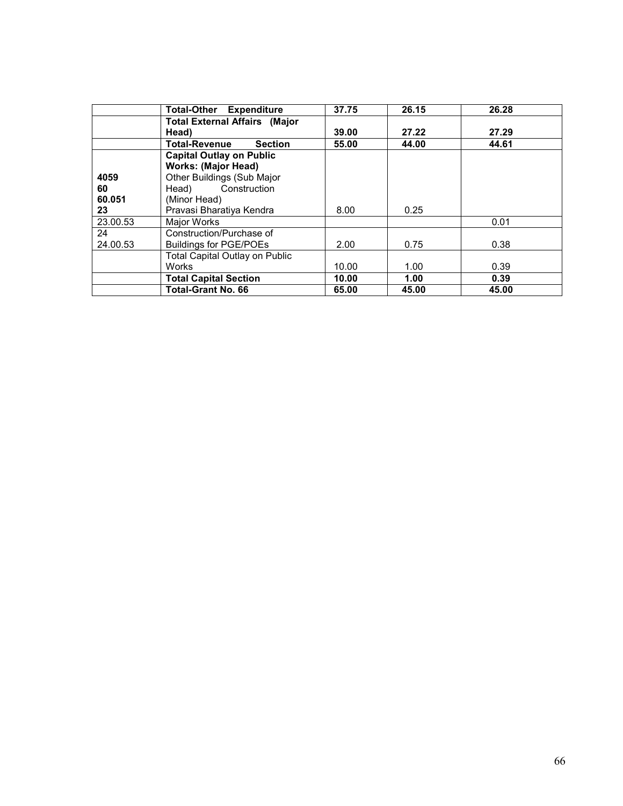|          | <b>Total-Other Expenditure</b>         | 37.75 | 26.15 | 26.28 |
|----------|----------------------------------------|-------|-------|-------|
|          | <b>Total External Affairs (Major</b>   |       |       |       |
|          | Head)                                  | 39.00 | 27.22 | 27.29 |
|          | <b>Total-Revenue</b><br><b>Section</b> | 55.00 | 44.00 | 44.61 |
|          | <b>Capital Outlay on Public</b>        |       |       |       |
|          | <b>Works: (Major Head)</b>             |       |       |       |
| 4059     | Other Buildings (Sub Major             |       |       |       |
| 60       | Construction<br>Head)                  |       |       |       |
| 60.051   | (Minor Head)                           |       |       |       |
| 23       | Pravasi Bharatiya Kendra               | 8.00  | 0.25  |       |
| 23.00.53 | Major Works                            |       |       | 0.01  |
| 24       | Construction/Purchase of               |       |       |       |
| 24.00.53 | Buildings for PGE/POEs                 | 2.00  | 0.75  | 0.38  |
|          | <b>Total Capital Outlay on Public</b>  |       |       |       |
|          | <b>Works</b>                           | 10.00 | 1.00  | 0.39  |
|          | <b>Total Capital Section</b>           | 10.00 | 1.00  | 0.39  |
|          | <b>Total-Grant No. 66</b>              | 65.00 | 45.00 | 45.00 |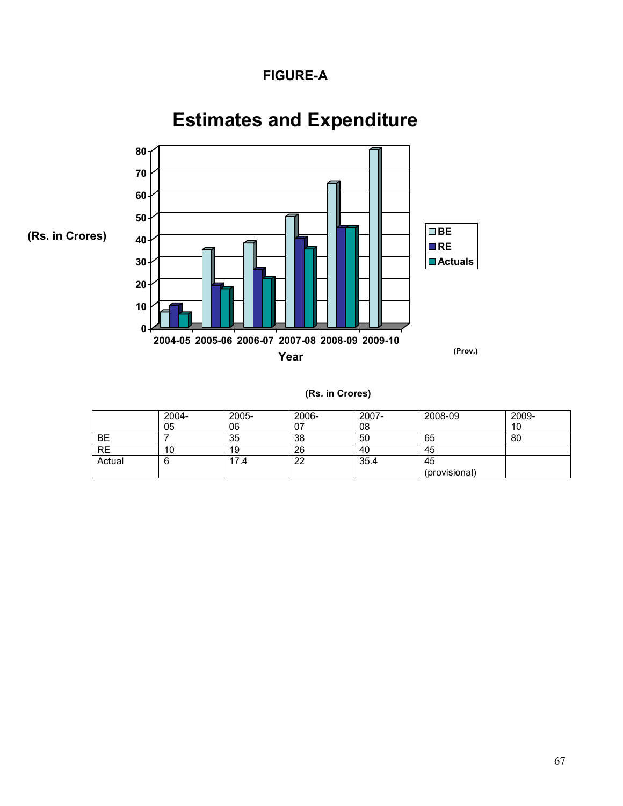## FIGURE-A



# Estimates and Expenditure

|  | (Rs. in Crores) |
|--|-----------------|
|  |                 |

|        | 2004-<br>05 | 2005-<br>06 | 2006-<br>07 | 2007-<br>08 | 2008-09       | 2009-<br>10 |
|--------|-------------|-------------|-------------|-------------|---------------|-------------|
| BE     |             | 35          | 38          | 50          | 65            | 80          |
| RE     | 10          | 19          | 26          | 40          | 45            |             |
| Actual | ь           | 17.4        | 22          | 35.4        | 45            |             |
|        |             |             |             |             | (provisional) |             |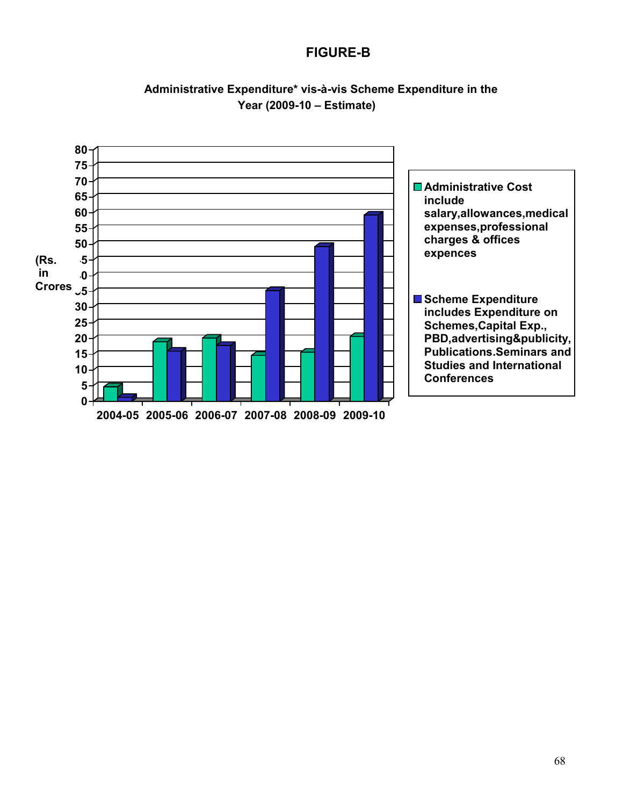## FIGURE-B



### Administrative Expenditure\* vis-à-vis Scheme Expenditure in the Year (2009-10 – Estimate)